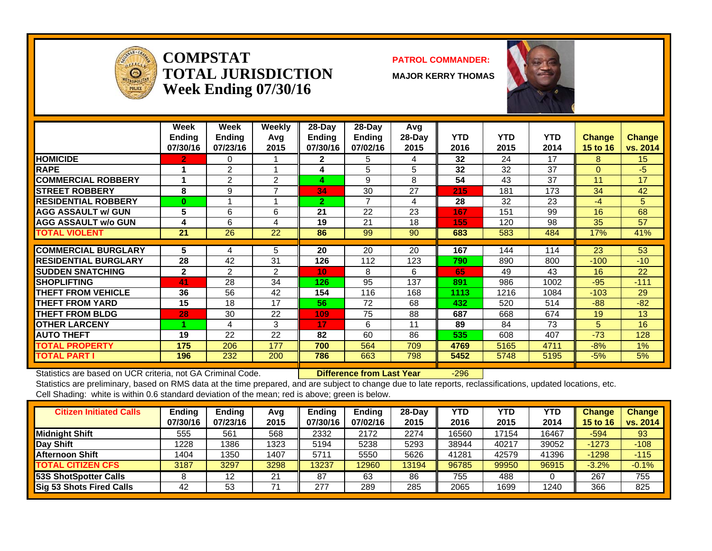

**COMPSTATTOTAL JURISDICTIONWeek Ending 07/30/16**

#### **PATROL COMMANDER:**

**MAJOR KERRY THOMAS**



|                             | Week<br><b>Ending</b><br>07/30/16 | <b>Week</b><br>Endina<br>07/23/16 | Weekly<br>Avq<br>2015 | 28-Dav<br><b>Endina</b><br>07/30/16 | $28$ -Dav<br><b>Ending</b><br>07/02/16 | Avg<br>$28-Day$<br>2015 | <b>YTD</b><br>2016 | <b>YTD</b><br>2015 | <b>YTD</b><br>2014 | <b>Change</b><br>15 to 16 | <b>Change</b><br>vs. 2014 |
|-----------------------------|-----------------------------------|-----------------------------------|-----------------------|-------------------------------------|----------------------------------------|-------------------------|--------------------|--------------------|--------------------|---------------------------|---------------------------|
| <b>HOMICIDE</b>             | $\mathbf{2}$                      | 0                                 |                       | $\mathbf{2}$                        | 5                                      | 4                       | 32                 | 24                 | 17                 | 8                         | 15                        |
| <b>RAPE</b>                 |                                   | 2                                 |                       | 4                                   | 5                                      | 5                       | 32                 | 32                 | 37                 | $\Omega$                  | $-5$                      |
| <b>ICOMMERCIAL ROBBERY</b>  |                                   | 2                                 | 2                     | 4                                   | 9                                      | 8                       | 54                 | 43                 | 37                 | 11                        | 17                        |
| <b>ISTREET ROBBERY</b>      | 8                                 | 9                                 | 7                     | 34                                  | 30                                     | 27                      | 215                | 181                | 173                | 34                        | 42                        |
| <b>RESIDENTIAL ROBBERY</b>  | $\mathbf{0}$                      |                                   |                       | 2.                                  | $\overline{7}$                         | 4                       | 28                 | 32                 | 23                 | $-4$                      | 5                         |
| <b>AGG ASSAULT w/ GUN</b>   | 5                                 | 6                                 | 6                     | 21                                  | 22                                     | 23                      | 167                | 151                | 99                 | 16                        | 68                        |
| <b>AGG ASSAULT w/o GUN</b>  | 4                                 | 6                                 | 4                     | 19                                  | 21                                     | 18                      | 155                | 120                | 98                 | 35                        | 57                        |
| <b>TOTAL VIOLENT</b>        | 21                                | 26                                | 22                    | 86                                  | 99                                     | 90                      | 683                | 583                | 484                | 17%                       | 41%                       |
|                             |                                   |                                   |                       |                                     |                                        |                         |                    |                    |                    |                           |                           |
| <b>COMMERCIAL BURGLARY</b>  | 5                                 | 4                                 | 5                     | 20                                  | 20                                     | 20                      | 167                | 144                | 114                | 23                        | 53                        |
| <b>RESIDENTIAL BURGLARY</b> | 28                                | 42                                | 31                    | 126                                 | 112                                    | 123                     | 790                | 890                | 800                | $-100$                    | $-10$                     |
| <b>ISUDDEN SNATCHING</b>    | $\mathbf{2}$                      | 2                                 | 2                     | 10                                  | 8                                      | 6                       | 65                 | 49                 | 43                 | 16                        | 22                        |
| <b>ISHOPLIFTING</b>         | 41                                | 28                                | 34                    | 126                                 | 95                                     | 137                     | 891                | 986                | 1002               | $-95$                     | $-111$                    |
| <b>THEFT FROM VEHICLE</b>   | 36                                | 56                                | 42                    | 154                                 | 116                                    | 168                     | 1113               | 1216               | 1084               | $-103$                    | 29                        |
| <b>THEFT FROM YARD</b>      | 15                                | 18                                | 17                    | 56                                  | 72                                     | 68                      | 432                | 520                | 514                | $-88$                     | $-82$                     |
| <b>THEFT FROM BLDG</b>      | 28                                | 30                                | 22                    | 109                                 | 75                                     | 88                      | 687                | 668                | 674                | 19                        | 13                        |
| <b>OTHER LARCENY</b>        |                                   | 4                                 | 3                     | 17                                  | 6                                      | 11                      | 89                 | 84                 | 73                 | 5.                        | 16                        |
| <b>AUTO THEFT</b>           | 19                                | 22                                | 22                    | 82                                  | 60                                     | 86                      | 535                | 608                | 407                | $-73$                     | 128                       |
| <b>TOTAL PROPERTY</b>       | 175                               | 206                               | 177                   | 700                                 | 564                                    | 709                     | 4769               | 5165               | 4711               | $-8%$                     | $1\%$                     |
| <b>TOTAL PART I</b>         | 196                               | 232                               | 200                   | 786                                 | 663                                    | 798                     | 5452               | 5748               | 5195               | $-5%$                     | 5%                        |

Statistics are based on UCR criteria, not GA Criminal Code. **Difference from Last Year** -296

| <b>Citizen Initiated Calls</b>  | Ending   | <b>Ending</b> | Avg  | <b>Ending</b> | <b>Ending</b> | 28-Dav | YTD   | <b>YTD</b> | YTD   | <b>Change</b>   | <b>Change</b> |
|---------------------------------|----------|---------------|------|---------------|---------------|--------|-------|------------|-------|-----------------|---------------|
|                                 | 07/30/16 | 07/23/16      | 2015 | 07/30/16      | 07/02/16      | 2015   | 2016  | 2015       | 2014  | <b>15 to 16</b> | vs. 2014      |
| <b>Midnight Shift</b>           | 555      | 561           | 568  | 2332          | 2172          | 2274   | 16560 | 7154       | 16467 | $-594$          | 93            |
| <b>Day Shift</b>                | 1228     | 1386          | 1323 | 5194          | 5238          | 5293   | 38944 | 40217      | 39052 | $-1273$         | $-108$        |
| <b>Afternoon Shift</b>          | 1404     | 1350          | 1407 | 5711          | 5550          | 5626   | 41281 | 42579      | 41396 | $-1298$         | $-115$        |
| <b>TOTAL CITIZEN CFS</b>        | 3187     | 3297          | 3298 | 13237         | 2960          | 13194  | 96785 | 99950      | 96915 | $-3.2%$         | $-0.1%$       |
| 53S ShotSpotter Calls           |          | 12            | 21   | 87            | 63            | 86     | 755   | 488        |       | 267             | 755           |
| <b>Sig 53 Shots Fired Calls</b> | 42       | 53            |      | 277           | 289           | 285    | 2065  | 1699       | 1240  | 366             | 825           |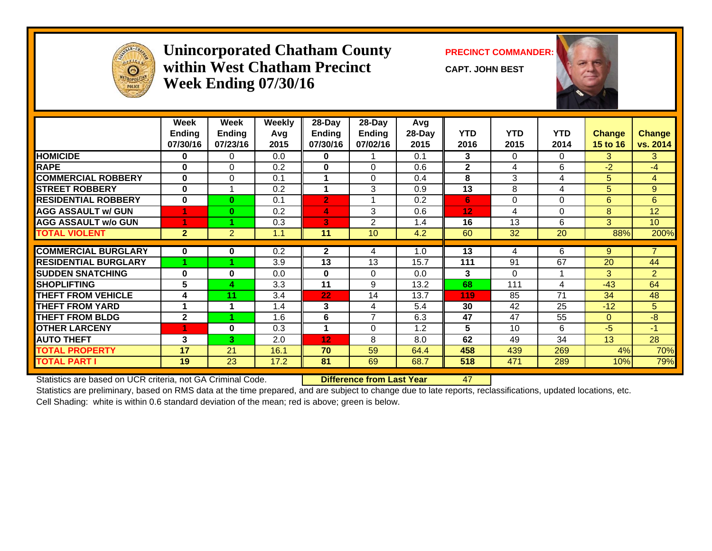

#### **Unincorporated Chatham County PRECINCT COMMANDER: within West Chatham PrecinctWeek Ending 07/30/16**

**CAPT. JOHN BEST**



|                             | Week<br><b>Ending</b><br>07/30/16 | Week<br><b>Ending</b><br>07/23/16 | Weekly<br>Avg<br>2015 | 28-Day<br><b>Ending</b><br>07/30/16 | 28-Day<br>Ending<br>07/02/16 | Avg<br>28-Day<br>2015 | <b>YTD</b><br>2016 | <b>YTD</b><br>2015 | <b>YTD</b><br>2014 | <b>Change</b><br>15 to 16 | <b>Change</b><br>vs. 2014 |
|-----------------------------|-----------------------------------|-----------------------------------|-----------------------|-------------------------------------|------------------------------|-----------------------|--------------------|--------------------|--------------------|---------------------------|---------------------------|
| <b>HOMICIDE</b>             | $\bf{0}$                          | 0                                 | 0.0                   | 0                                   |                              | 0.1                   | 3                  | 0                  | $\Omega$           | 3.                        | 3                         |
| <b>RAPE</b>                 | $\bf{0}$                          | $\Omega$                          | 0.2                   | 0                                   | $\Omega$                     | 0.6                   | $\mathbf{2}$       | 4                  | 6                  | $-2$                      | $-4$                      |
| <b>COMMERCIAL ROBBERY</b>   | $\mathbf{0}$                      | $\mathbf 0$                       | 0.1                   |                                     | $\Omega$                     | 0.4                   | 8                  | 3                  | 4                  | 5                         | $\overline{4}$            |
| <b>STREET ROBBERY</b>       | $\bf{0}$                          |                                   | 0.2                   |                                     | 3                            | 0.9                   | 13                 | 8                  | 4                  | 5                         | 9                         |
| <b>RESIDENTIAL ROBBERY</b>  | $\bf{0}$                          | $\bf{0}$                          | 0.1                   | $\overline{2}$                      |                              | 0.2                   | 6                  | $\Omega$           | 0                  | 6                         | 6                         |
| <b>AGG ASSAULT w/ GUN</b>   |                                   | $\bf{0}$                          | 0.2                   | 4                                   | 3                            | 0.6                   | 12                 | 4                  | $\Omega$           | 8                         | 12 <sup>2</sup>           |
| <b>AGG ASSAULT w/o GUN</b>  |                                   |                                   | 0.3                   | 3                                   | $\overline{2}$               | 1.4                   | 16                 | 13                 | 6                  | 3                         | 10                        |
| <b>TOTAL VIOLENT</b>        | $\overline{2}$                    | $\overline{2}$                    | 1.1                   | 11                                  | 10                           | 4.2                   | 60                 | 32                 | 20                 | 88%                       | 200%                      |
|                             |                                   |                                   |                       |                                     |                              |                       |                    |                    |                    |                           |                           |
| <b>COMMERCIAL BURGLARY</b>  | $\bf{0}$                          | 0                                 | 0.2                   | $\mathbf{2}$                        | 4                            | 1.0                   | 13                 | 4                  | 6                  | 9                         | $\overline{7}$            |
| <b>RESIDENTIAL BURGLARY</b> |                                   |                                   | 3.9                   | 13                                  | 13                           | 15.7                  | 111                | 91                 | 67                 | 20                        | 44                        |
| <b>SUDDEN SNATCHING</b>     | $\bf{0}$                          | $\bf{0}$                          | 0.0                   | 0                                   | $\Omega$                     | 0.0                   | 3                  | $\Omega$           |                    | 3                         | $\overline{2}$            |
| <b>ISHOPLIFTING</b>         | 5                                 | 4                                 | 3.3                   | 11                                  | 9                            | 13.2                  | 68                 | 111                | 4                  | $-43$                     | 64                        |
| <b>THEFT FROM VEHICLE</b>   | 4                                 | 11                                | 3.4                   | 22                                  | 14                           | 13.7                  | 119                | 85                 | 71                 | 34                        | 48                        |
| <b>THEFT FROM YARD</b>      | 1                                 |                                   | 1.4                   | 3                                   | 4                            | 5.4                   | 30                 | 42                 | 25                 | $-12$                     | 5                         |
| <b>THEFT FROM BLDG</b>      | $\mathbf{2}$                      |                                   | 1.6                   | 6                                   | $\overline{7}$               | 6.3                   | 47                 | 47                 | 55                 | $\Omega$                  | $-8$                      |
| <b>OTHER LARCENY</b>        |                                   | $\mathbf{0}$                      | 0.3                   | 1                                   | $\Omega$                     | 1.2                   | 5                  | 10                 | 6                  | $-5$                      | $-1$                      |
| <b>AUTO THEFT</b>           | 3                                 | 3                                 | 2.0                   | 12                                  | 8                            | 8.0                   | 62                 | 49                 | 34                 | 13                        | 28                        |
| <b>TOTAL PROPERTY</b>       | 17                                | 21                                | 16.1                  | 70                                  | 59                           | 64.4                  | 458                | 439                | 269                | 4%                        | 70%                       |
| <b>TOTAL PART I</b>         | 19                                | 23                                | 17.2                  | 81                                  | 69                           | 68.7                  | 518                | 471                | 289                | 10%                       | 79%                       |

Statistics are based on UCR criteria, not GA Criminal Code. **Difference from Last Year** 47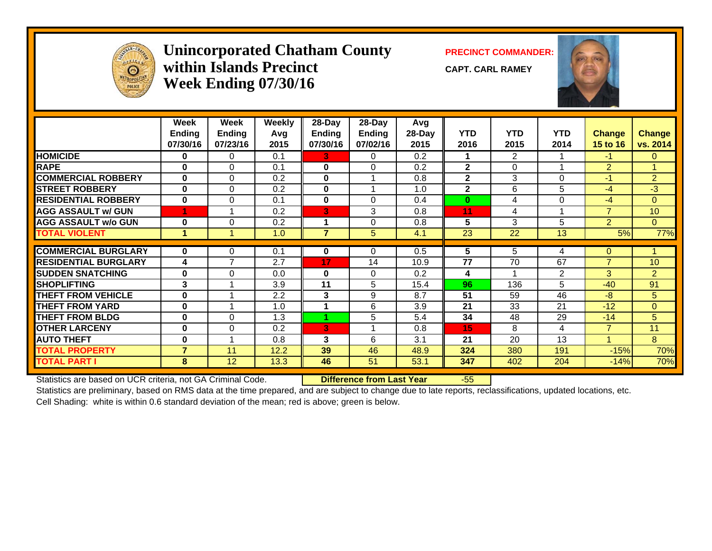

#### **Unincorporated Chatham County PRECINCT COMMANDER: within Islands PrecinctWeek Ending 07/30/16**

**CAPT. CARL RAMEY**



|                             | Week<br><b>Ending</b><br>07/30/16 | Week<br><b>Ending</b><br>07/23/16 | Weekly<br>Avq<br>2015 | 28-Day<br><b>Ending</b><br>07/30/16 | 28-Day<br><b>Ending</b><br>07/02/16 | Avg<br>28-Day<br>2015 | <b>YTD</b><br>2016 | <b>YTD</b><br>2015 | <b>YTD</b><br>2014 | <b>Change</b><br>15 to 16 | <b>Change</b><br>vs. 2014 |
|-----------------------------|-----------------------------------|-----------------------------------|-----------------------|-------------------------------------|-------------------------------------|-----------------------|--------------------|--------------------|--------------------|---------------------------|---------------------------|
| <b>HOMICIDE</b>             | $\mathbf{0}$                      | 0                                 | 0.1                   | 3.                                  | $\Omega$                            | 0.2                   | 1                  | $\overline{2}$     |                    | $-1$                      | $\mathbf{0}$              |
| <b>RAPE</b>                 | 0                                 | 0                                 | 0.1                   | $\bf{0}$                            | $\Omega$                            | 0.2                   | $\overline{2}$     | $\Omega$           |                    | $\overline{2}$            |                           |
| <b>COMMERCIAL ROBBERY</b>   | $\bf{0}$                          | $\Omega$                          | 0.2                   | $\bf{0}$                            |                                     | 0.8                   | $\mathbf{2}$       | 3                  | $\Omega$           | $-1$                      | $\overline{2}$            |
| <b>STREET ROBBERY</b>       | $\bf{0}$                          | $\Omega$                          | 0.2                   | $\bf{0}$                            |                                     | 1.0                   | $\overline{2}$     | 6                  | 5                  | $-4$                      | $-3$                      |
| <b>RESIDENTIAL ROBBERY</b>  | $\bf{0}$                          | 0                                 | 0.1                   | $\bf{0}$                            | $\mathbf{0}$                        | 0.4                   | $\bf{0}$           | 4                  | 0                  | $-4$                      | $\mathbf{0}$              |
| <b>AGG ASSAULT w/ GUN</b>   |                                   | 1                                 | 0.2                   | 3                                   | 3                                   | 0.8                   | 11                 | 4                  |                    | $\overline{7}$            | 10                        |
| <b>AGG ASSAULT w/o GUN</b>  | $\bf{0}$                          | $\Omega$                          | 0.2                   |                                     | $\Omega$                            | 0.8                   | 5                  | 3                  | 5                  | $\overline{2}$            | $\Omega$                  |
| <b>TOTAL VIOLENT</b>        |                                   |                                   | 1.0                   | 7                                   | 5.                                  | 4.1                   | 23                 | 22                 | 13                 | 5%                        | 77%                       |
|                             |                                   |                                   |                       |                                     |                                     |                       |                    |                    |                    |                           |                           |
| <b>COMMERCIAL BURGLARY</b>  | $\bf{0}$                          | 0                                 | 0.1                   | 0                                   | $\Omega$                            | 0.5                   | 5                  | 5                  | 4                  | $\mathbf{0}$              |                           |
| <b>RESIDENTIAL BURGLARY</b> | 4                                 | 7                                 | 2.7                   | 17                                  | 14                                  | 10.9                  | 77                 | 70                 | 67                 | $\overline{7}$            | 10                        |
| <b>SUDDEN SNATCHING</b>     | $\bf{0}$                          | $\Omega$                          | 0.0                   | $\bf{0}$                            | $\Omega$                            | 0.2                   | 4                  |                    | $\overline{2}$     | 3                         | $\overline{2}$            |
| <b>SHOPLIFTING</b>          | 3                                 | 1                                 | 3.9                   | 11                                  | 5                                   | 15.4                  | 96                 | 136                | 5                  | $-40$                     | 91                        |
| <b>THEFT FROM VEHICLE</b>   | $\bf{0}$                          |                                   | 2.2                   | 3                                   | 9                                   | 8.7                   | 51                 | 59                 | 46                 | $-8$                      | $5\phantom{.}$            |
| <b>THEFT FROM YARD</b>      | $\bf{0}$                          |                                   | 1.0                   |                                     | 6                                   | 3.9                   | 21                 | 33                 | 21                 | $-12$                     | $\mathbf{0}$              |
| <b>THEFT FROM BLDG</b>      | $\bf{0}$                          | $\Omega$                          | 1.3                   | 4                                   | 5                                   | 5.4                   | 34                 | 48                 | 29                 | $-14$                     | 5 <sup>5</sup>            |
| <b>OTHER LARCENY</b>        | $\bf{0}$                          | $\Omega$                          | 0.2                   | 3                                   |                                     | 0.8                   | 15                 | 8                  | 4                  | $\overline{7}$            | 11                        |
| <b>AUTO THEFT</b>           | $\bf{0}$                          | $\overline{ }$                    | 0.8                   | 3                                   | 6                                   | 3.1                   | 21                 | 20                 | 13                 | $\overline{A}$            | 8                         |
| <b>TOTAL PROPERTY</b>       | $\overline{7}$                    | 11                                | 12.2                  | 39                                  | 46                                  | 48.9                  | 324                | 380                | 191                | $-15%$                    | 70%                       |
| <b>TOTAL PART I</b>         | 8                                 | 12                                | 13.3                  | 46                                  | 51                                  | 53.1                  | 347                | 402                | 204                | $-14%$                    | 70%                       |

Statistics are based on UCR criteria, not GA Criminal Code. **Difference from Last Year** -55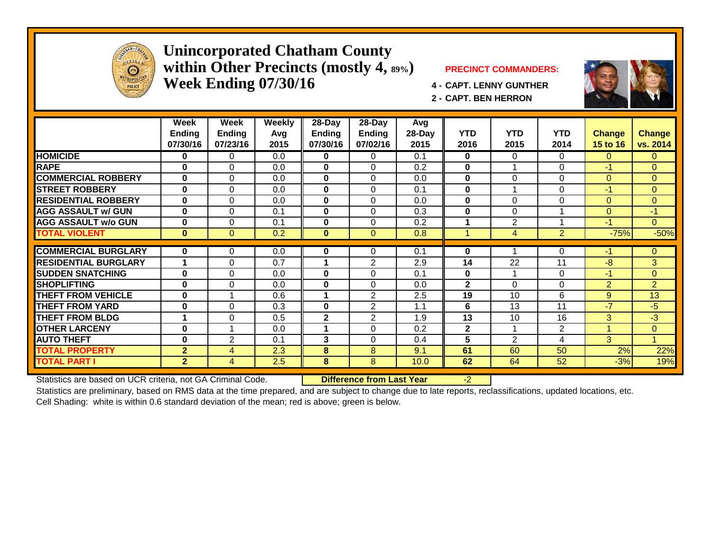

#### **Unincorporated Chatham County within Other Precincts (mostly 4, 89%) PRECINCT COMMANDERS: Week Ending 07/30/16 4 - CAPT. LENNY GUNTHER**



**2 - CAPT. BEN HERRON**

|                             | Week<br>Ending<br>07/30/16 | Week<br><b>Ending</b><br>07/23/16 | <b>Weekly</b><br>Avg<br>2015 | 28-Day<br><b>Ending</b><br>07/30/16 | $28 - Day$<br><b>Ending</b><br>07/02/16 | Avg<br>28-Day<br>2015 | <b>YTD</b><br>2016 | <b>YTD</b><br>2015 | <b>YTD</b><br>2014 | <b>Change</b><br>15 to 16 | <b>Change</b><br>vs. 2014 |
|-----------------------------|----------------------------|-----------------------------------|------------------------------|-------------------------------------|-----------------------------------------|-----------------------|--------------------|--------------------|--------------------|---------------------------|---------------------------|
| <b>HOMICIDE</b>             | 0                          | 0                                 | 0.0                          | 0                                   | 0                                       | 0.1                   | 0                  | 0                  | 0                  | 0                         | $\mathbf{0}$              |
| <b>RAPE</b>                 | 0                          | 0                                 | 0.0                          | $\bf{0}$                            | $\Omega$                                | 0.2                   | $\bf{0}$           |                    | $\Omega$           | -1                        | $\Omega$                  |
| <b>COMMERCIAL ROBBERY</b>   | $\bf{0}$                   | 0                                 | 0.0                          | $\bf{0}$                            | $\Omega$                                | 0.0                   | $\bf{0}$           | 0                  | $\Omega$           | $\Omega$                  | $\Omega$                  |
| <b>STREET ROBBERY</b>       | $\bf{0}$                   | 0                                 | 0.0                          | $\bf{0}$                            | $\Omega$                                | 0.1                   | $\mathbf 0$        |                    | $\Omega$           | $-1$                      | $\overline{0}$            |
| <b>RESIDENTIAL ROBBERY</b>  | $\bf{0}$                   | 0                                 | 0.0                          | $\bf{0}$                            | $\Omega$                                | 0.0                   | $\bf{0}$           | $\Omega$           | $\Omega$           | $\Omega$                  | $\mathbf{0}$              |
| <b>AGG ASSAULT w/ GUN</b>   | $\mathbf{0}$               | 0                                 | 0.1                          | $\bf{0}$                            | $\Omega$                                | 0.3                   | $\bf{0}$           | $\Omega$           |                    | $\Omega$                  | -1                        |
| <b>AGG ASSAULT w/o GUN</b>  | 0                          | $\Omega$                          | 0.1                          | 0                                   | $\Omega$                                | 0.2                   |                    | 2                  |                    | $-1$                      | $\Omega$                  |
| <b>TOTAL VIOLENT</b>        | $\bf{0}$                   | $\overline{0}$                    | 0.2                          | $\bf{0}$                            | $\mathbf{0}$                            | 0.8                   |                    | 4                  | $\overline{2}$     | $-75%$                    | $-50%$                    |
|                             |                            |                                   |                              |                                     |                                         |                       |                    |                    |                    |                           |                           |
| <b>COMMERCIAL BURGLARY</b>  | $\bf{0}$                   | 0                                 | 0.0                          | 0                                   | 0                                       | 0.1                   | $\bf{0}$           |                    | 0                  | -1                        | $\mathbf{0}$              |
| <b>RESIDENTIAL BURGLARY</b> | 1                          | $\Omega$                          | 0.7                          |                                     | 2                                       | 2.9                   | 14                 | 22                 | 11                 | -8                        | 3                         |
| <b>SUDDEN SNATCHING</b>     | 0                          | 0                                 | 0.0                          | $\bf{0}$                            | $\Omega$                                | 0.1                   | $\bf{0}$           |                    | $\Omega$           | $-1$                      | $\mathbf{0}$              |
| <b>SHOPLIFTING</b>          | 0                          | 0                                 | 0.0                          | $\bf{0}$                            | $\Omega$                                | 0.0                   | $\mathbf{2}$       | $\Omega$           | $\Omega$           | $\overline{2}$            | 2                         |
| <b>THEFT FROM VEHICLE</b>   | 0                          | 4                                 | 0.6                          |                                     | $\overline{2}$                          | 2.5                   | 19                 | 10                 | 6                  | 9                         | 13                        |
| <b>THEFT FROM YARD</b>      | $\bf{0}$                   | 0                                 | 0.3                          | $\bf{0}$                            | 2                                       | 1.1                   | 6                  | 13                 | 11                 | $-7$                      | -5                        |
| <b>THEFT FROM BLDG</b>      | 1                          | 0                                 | 0.5                          | $\overline{2}$                      | $\overline{2}$                          | 1.9                   | 13                 | 10                 | 16                 | 3 <sup>1</sup>            | $-3$                      |
| <b>OTHER LARCENY</b>        | 0                          |                                   | 0.0                          |                                     | $\Omega$                                | 0.2                   | $\mathbf{2}$       |                    | $\overline{2}$     |                           | $\overline{0}$            |
| <b>AUTO THEFT</b>           | 0                          | $\overline{2}$                    | 0.1                          | 3                                   | $\Omega$                                | 0.4                   | 5                  | $\overline{2}$     | 4                  | 3                         | $\overline{1}$            |
| <b>TOTAL PROPERTY</b>       | $\mathbf{2}$               | 4                                 | 2.3                          | 8                                   | 8                                       | 9.1                   | 61                 | 60                 | 50                 | 2%                        | 22%                       |
| <b>TOTAL PART I</b>         | $\mathbf{2}$               | 4                                 | 2.5                          | 8                                   | 8                                       | 10.0                  | 62                 | 64                 | 52                 | $-3%$                     | 19%                       |

Statistics are based on UCR criteria, not GA Criminal Code. **Difference from Last Year** -2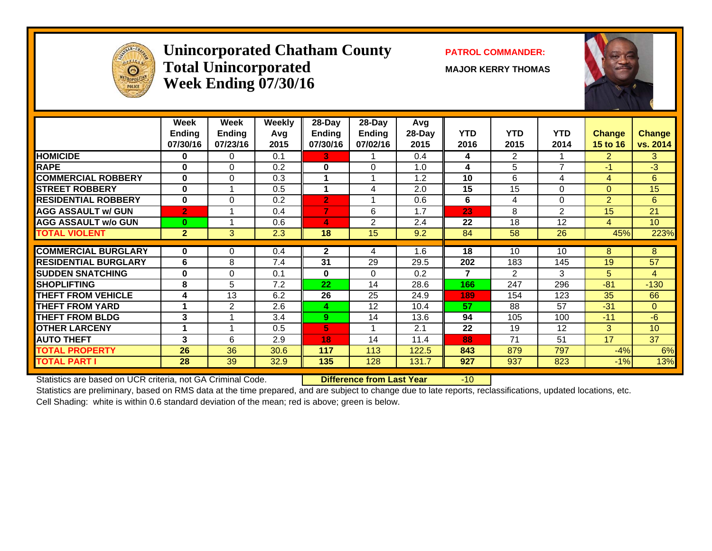

#### **Unincorporated Chatham County PATROL COMMANDER:**  $\bf Total\ Unincorporated$   $\qquad\qquad$   $\qquad\qquad$   $\qquad$   $\qquad$   $\qquad$   $\qquad$   $\qquad$   $\qquad$   $\qquad$   $\qquad$   $\qquad$   $\qquad$   $\qquad$   $\qquad$   $\qquad$   $\qquad$   $\qquad$   $\qquad$   $\qquad$   $\qquad$   $\qquad$   $\qquad$   $\qquad$   $\qquad$   $\qquad$   $\qquad$   $\qquad$   $\qquad$   $\qquad$   $\qquad$   $\qquad$   $\qquad$   $\qquad$   $\qquad$  **Week Ending 07/30/16**



| <b>HOMICIDE</b><br>$\overline{2}$<br>0.4<br>$\overline{2}$<br>0<br>0<br>0.1<br>3.<br>4<br>7<br><b>RAPE</b><br>5<br>$\bf{0}$<br>$\Omega$<br>1.0<br>$-1/$<br>0.2<br>$\bf{0}$<br>$\Omega$<br>4<br><b>COMMERCIAL ROBBERY</b><br>6<br>$\bf{0}$<br>$\Omega$<br>10<br>0.3<br>1.2<br>4<br>4<br>1<br>1<br>15<br>15<br><b>STREET ROBBERY</b><br>$\bf{0}$<br>1<br>$\Omega$<br>0.5<br>2.0<br>0<br>4<br><b>RESIDENTIAL ROBBERY</b><br>$\overline{2}$<br>$\bf{0}$<br>$\Omega$<br>$\overline{2}$<br>6<br>$\Omega$<br>0.2<br>0.6<br>4<br>1<br><b>AGG ASSAULT w/ GUN</b><br>7<br>23<br>2<br>$\overline{2}$<br>6<br>8<br>15<br>0.4<br>1.7<br><b>AGG ASSAULT w/o GUN</b><br>18<br>12<br>2<br>2.4<br>22<br>$\bf{0}$<br>$\boldsymbol{A}$<br>0.6<br>4<br>4<br><b>TOTAL VIOLENT</b><br>3<br>18<br>15<br>58<br>26<br>$\overline{2}$<br>2.3<br>9.2<br>84<br><b>COMMERCIAL BURGLARY</b><br>$\mathbf{2}$<br>1.6<br>10<br>8<br>0<br>0<br>0.4<br>18<br>10<br>4<br><b>RESIDENTIAL BURGLARY</b><br>6<br>8<br>31<br>29<br>29.5<br>202<br>183<br>145<br>19<br>7.4<br><b>SUDDEN SNATCHING</b><br>$\bf{0}$<br>$\Omega$<br>$\overline{\mathbf{z}}$<br>3<br>5<br>0.1<br>0<br>$\Omega$<br>0.2<br>2<br><b>SHOPLIFTING</b><br>8<br>5<br>22<br>296<br>$-81$<br>7.2<br>28.6<br>166<br>247<br>14<br>THEFT FROM VEHICLE<br>13<br>25<br>6.2<br>26<br>24.9<br>154<br>123<br>35<br>4<br>189 | vs. 2014<br>3<br>$-3$<br>6 | <b>Change</b><br>15 to 16 | <b>YTD</b><br>2014 | <b>YTD</b><br>2015 | <b>YTD</b><br>2016 | Avg<br>28-Day<br>2015 | 28-Day<br>Ending<br>07/02/16 | 28-Day<br>Ending<br>07/30/16 | <b>Weekly</b><br>Avg<br>2015 | Week<br><b>Ending</b><br>07/23/16 | Week<br><b>Ending</b><br>07/30/16 |                        |
|----------------------------------------------------------------------------------------------------------------------------------------------------------------------------------------------------------------------------------------------------------------------------------------------------------------------------------------------------------------------------------------------------------------------------------------------------------------------------------------------------------------------------------------------------------------------------------------------------------------------------------------------------------------------------------------------------------------------------------------------------------------------------------------------------------------------------------------------------------------------------------------------------------------------------------------------------------------------------------------------------------------------------------------------------------------------------------------------------------------------------------------------------------------------------------------------------------------------------------------------------------------------------------------------------------------------------------------------|----------------------------|---------------------------|--------------------|--------------------|--------------------|-----------------------|------------------------------|------------------------------|------------------------------|-----------------------------------|-----------------------------------|------------------------|
|                                                                                                                                                                                                                                                                                                                                                                                                                                                                                                                                                                                                                                                                                                                                                                                                                                                                                                                                                                                                                                                                                                                                                                                                                                                                                                                                              |                            |                           |                    |                    |                    |                       |                              |                              |                              |                                   |                                   |                        |
|                                                                                                                                                                                                                                                                                                                                                                                                                                                                                                                                                                                                                                                                                                                                                                                                                                                                                                                                                                                                                                                                                                                                                                                                                                                                                                                                              |                            |                           |                    |                    |                    |                       |                              |                              |                              |                                   |                                   |                        |
|                                                                                                                                                                                                                                                                                                                                                                                                                                                                                                                                                                                                                                                                                                                                                                                                                                                                                                                                                                                                                                                                                                                                                                                                                                                                                                                                              |                            |                           |                    |                    |                    |                       |                              |                              |                              |                                   |                                   |                        |
|                                                                                                                                                                                                                                                                                                                                                                                                                                                                                                                                                                                                                                                                                                                                                                                                                                                                                                                                                                                                                                                                                                                                                                                                                                                                                                                                              | 15                         |                           |                    |                    |                    |                       |                              |                              |                              |                                   |                                   |                        |
|                                                                                                                                                                                                                                                                                                                                                                                                                                                                                                                                                                                                                                                                                                                                                                                                                                                                                                                                                                                                                                                                                                                                                                                                                                                                                                                                              | 6                          |                           |                    |                    |                    |                       |                              |                              |                              |                                   |                                   |                        |
|                                                                                                                                                                                                                                                                                                                                                                                                                                                                                                                                                                                                                                                                                                                                                                                                                                                                                                                                                                                                                                                                                                                                                                                                                                                                                                                                              | 21                         |                           |                    |                    |                    |                       |                              |                              |                              |                                   |                                   |                        |
|                                                                                                                                                                                                                                                                                                                                                                                                                                                                                                                                                                                                                                                                                                                                                                                                                                                                                                                                                                                                                                                                                                                                                                                                                                                                                                                                              | 10 <sup>°</sup>            |                           |                    |                    |                    |                       |                              |                              |                              |                                   |                                   |                        |
|                                                                                                                                                                                                                                                                                                                                                                                                                                                                                                                                                                                                                                                                                                                                                                                                                                                                                                                                                                                                                                                                                                                                                                                                                                                                                                                                              | 223%                       | 45%                       |                    |                    |                    |                       |                              |                              |                              |                                   |                                   |                        |
|                                                                                                                                                                                                                                                                                                                                                                                                                                                                                                                                                                                                                                                                                                                                                                                                                                                                                                                                                                                                                                                                                                                                                                                                                                                                                                                                              |                            |                           |                    |                    |                    |                       |                              |                              |                              |                                   |                                   |                        |
|                                                                                                                                                                                                                                                                                                                                                                                                                                                                                                                                                                                                                                                                                                                                                                                                                                                                                                                                                                                                                                                                                                                                                                                                                                                                                                                                              | 8                          |                           |                    |                    |                    |                       |                              |                              |                              |                                   |                                   |                        |
|                                                                                                                                                                                                                                                                                                                                                                                                                                                                                                                                                                                                                                                                                                                                                                                                                                                                                                                                                                                                                                                                                                                                                                                                                                                                                                                                              | 57                         |                           |                    |                    |                    |                       |                              |                              |                              |                                   |                                   |                        |
|                                                                                                                                                                                                                                                                                                                                                                                                                                                                                                                                                                                                                                                                                                                                                                                                                                                                                                                                                                                                                                                                                                                                                                                                                                                                                                                                              | 4                          |                           |                    |                    |                    |                       |                              |                              |                              |                                   |                                   |                        |
|                                                                                                                                                                                                                                                                                                                                                                                                                                                                                                                                                                                                                                                                                                                                                                                                                                                                                                                                                                                                                                                                                                                                                                                                                                                                                                                                              | $-130$                     |                           |                    |                    |                    |                       |                              |                              |                              |                                   |                                   |                        |
|                                                                                                                                                                                                                                                                                                                                                                                                                                                                                                                                                                                                                                                                                                                                                                                                                                                                                                                                                                                                                                                                                                                                                                                                                                                                                                                                              | 66                         |                           |                    |                    |                    |                       |                              |                              |                              |                                   |                                   |                        |
|                                                                                                                                                                                                                                                                                                                                                                                                                                                                                                                                                                                                                                                                                                                                                                                                                                                                                                                                                                                                                                                                                                                                                                                                                                                                                                                                              | $\Omega$                   | $-31$                     | 57                 | 88                 | 57                 | 10.4                  | 12                           | 4                            | 2.6                          | 2                                 | 4                                 | <b>THEFT FROM YARD</b> |
| <b>THEFT FROM BLDG</b><br>3<br>13.6<br>105<br>100<br>$-11$<br>3.4<br>9.<br>14<br>94                                                                                                                                                                                                                                                                                                                                                                                                                                                                                                                                                                                                                                                                                                                                                                                                                                                                                                                                                                                                                                                                                                                                                                                                                                                          |                            |                           |                    |                    |                    |                       |                              |                              |                              |                                   |                                   |                        |
| 5<br>3 <sup>1</sup><br><b>OTHER LARCENY</b><br>2.1<br>22<br>12<br>0.5<br>19                                                                                                                                                                                                                                                                                                                                                                                                                                                                                                                                                                                                                                                                                                                                                                                                                                                                                                                                                                                                                                                                                                                                                                                                                                                                  | $-6$                       |                           |                    |                    |                    |                       |                              |                              |                              |                                   |                                   |                        |
| <b>AUTO THEFT</b><br>3<br>17<br>6<br>71<br>51<br>2.9<br>14<br>11.4<br>88<br>18                                                                                                                                                                                                                                                                                                                                                                                                                                                                                                                                                                                                                                                                                                                                                                                                                                                                                                                                                                                                                                                                                                                                                                                                                                                               | 10                         |                           |                    |                    |                    |                       |                              |                              |                              |                                   |                                   |                        |
| <b>TOTAL PROPERTY</b><br>26<br>36<br>122.5<br>879<br>797<br>30.6<br>117<br>113<br>843<br>$-4%$                                                                                                                                                                                                                                                                                                                                                                                                                                                                                                                                                                                                                                                                                                                                                                                                                                                                                                                                                                                                                                                                                                                                                                                                                                               | 37                         |                           |                    |                    |                    |                       |                              |                              |                              |                                   |                                   |                        |
| <b>TOTAL PART I</b><br>39<br>135<br>128<br>823<br>28<br>32.9<br>131.7<br>927<br>937<br>$-1%$                                                                                                                                                                                                                                                                                                                                                                                                                                                                                                                                                                                                                                                                                                                                                                                                                                                                                                                                                                                                                                                                                                                                                                                                                                                 | 6%                         |                           |                    |                    |                    |                       |                              |                              |                              |                                   |                                   |                        |

Statistics are based on UCR criteria, not GA Criminal Code. **Difference from Last Year** -10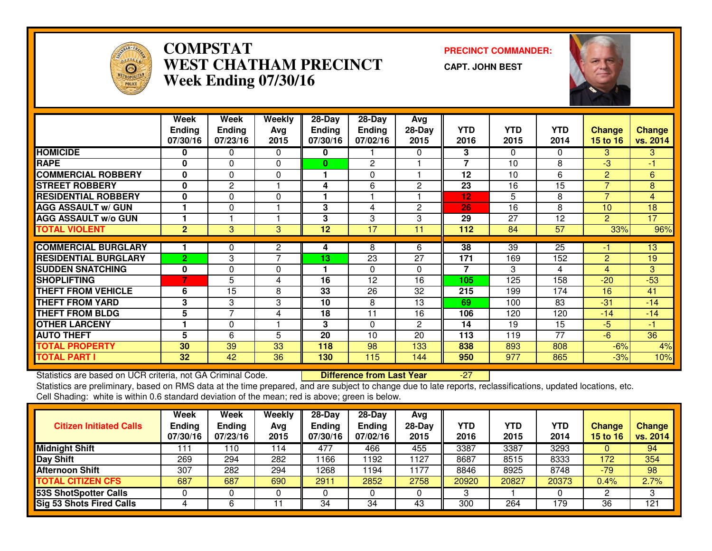

#### **COMPSTAT PRECINCT COMMANDER: WEST CHATHAM PRECINCTWeek Ending 07/30/16**

**CAPT. JOHN BEST**



|                             | Week           | Week           | Weekly         | $28 - Day$    | $28 - Day$    | Avg            |                |            |                 |                 |                |
|-----------------------------|----------------|----------------|----------------|---------------|---------------|----------------|----------------|------------|-----------------|-----------------|----------------|
|                             | <b>Ending</b>  | <b>Ending</b>  | Avg            | <b>Ending</b> | <b>Ending</b> | $28-Day$       | <b>YTD</b>     | <b>YTD</b> | <b>YTD</b>      | <b>Change</b>   | <b>Change</b>  |
|                             | 07/30/16       | 07/23/16       | 2015           | 07/30/16      | 07/02/16      | 2015           | 2016           | 2015       | 2014            | <b>15 to 16</b> | vs. 2014       |
| <b>HOMICIDE</b>             | 0              | 0              | $\Omega$       | 0             |               | 0              | 3              | $\Omega$   | 0               | 3               | 3              |
| <b>RAPE</b>                 | $\bf{0}$       | $\Omega$       | $\Omega$       | $\bf{0}$      | 2             |                | $\overline{7}$ | 10         | 8               | $-3$            | -1             |
| <b>COMMERCIAL ROBBERY</b>   | 0              | $\Omega$       | 0              | 1             | 0             |                | 12             | 10         | 6               | $\overline{2}$  | 6              |
| <b>STREET ROBBERY</b>       | 0              | $\overline{2}$ |                | 4             | 6             | 2              | 23             | 16         | 15              | 7               | 8              |
| <b>RESIDENTIAL ROBBERY</b>  | $\mathbf 0$    | $\Omega$       | $\Omega$       | 1             | 1             |                | 12             | 5          | 8               | $\overline{7}$  | $\overline{4}$ |
| <b>AGG ASSAULT w/ GUN</b>   |                | $\Omega$       |                | 3             | 4             | 2              | 26             | 16         | 8               | 10 <sup>1</sup> | 18             |
| <b>AGG ASSAULT w/o GUN</b>  |                |                |                | 3             | 3             | 3              | 29             | 27         | 12              | $\overline{2}$  | 17             |
| <b>TOTAL VIOLENT</b>        | $\overline{2}$ | 3              | 3              | 12            | 17            | 11             | 112            | 84         | $\overline{57}$ | 33%             | 96%            |
|                             |                |                |                |               |               |                |                |            |                 |                 |                |
| <b>COMMERCIAL BURGLARY</b>  |                | 0              | 2              | 4             | 8             | 6              | 38             | 39         | 25              | -1              | 13             |
| <b>RESIDENTIAL BURGLARY</b> | $\overline{2}$ | 3              | $\overline{7}$ | 13            | 23            | 27             | 171            | 169        | 152             | $\overline{2}$  | 19             |
| <b>SUDDEN SNATCHING</b>     | $\mathbf 0$    | $\Omega$       | $\Omega$       |               | $\Omega$      | 0              | $\overline{7}$ | 3          | $\overline{4}$  | $\overline{4}$  | 3              |
| <b>SHOPLIFTING</b>          | 7              | 5              | 4              | 16            | 12            | 16             | 105            | 125        | 158             | $-20$           | $-53$          |
| <b>THEFT FROM VEHICLE</b>   | 6              | 15             | 8              | 33            | 26            | 32             | 215            | 199        | 174             | 16              | 41             |
| <b>THEFT FROM YARD</b>      | 3              | 3              | 3              | 10            | 8             | 13             | 69             | 100        | 83              | $-31$           | $-14$          |
| <b>THEFT FROM BLDG</b>      | 5              | $\overline{7}$ | 4              | 18            | 11            | 16             | 106            | 120        | 120             | $-14$           | $-14$          |
| <b>OTHER LARCENY</b>        |                | 0              |                | 3             | $\Omega$      | $\overline{2}$ | 14             | 19         | 15              | $-5$            | -1             |
| <b>AUTO THEFT</b>           | 5              | 6              | 5              | 20            | 10            | 20             | 113            | 119        | 77              | $-6$            | 36             |
| <b>TOTAL PROPERTY</b>       | 30             | 39             | 33             | 118           | 98            | 133            | 838            | 893        | 808             | $-6%$           | 4%             |
| <b>TOTAL PART I</b>         | 32             | 42             | 36             | 130           | 115           | 144            | 950            | 977        | 865             | $-3%$           | 10%            |

Statistics are based on UCR criteria, not GA Criminal Code. **Difference from Last Year** Statistics are based on UCR criteria, not GA Criminal Code. **Difference from Last Year Fichoff Last** Year And are subject to change due to late reports, reclassifications, updated locations, etc.<br>Statistics are preliminary Cell Shading: white is within 0.6 standard deviation of the mean; red is above; green is below.

| <b>Citizen Initiated Calls</b>  | Week<br><b>Ending</b><br>07/30/16 | Week<br><b>Ending</b><br>07/23/16 | Weekly<br>Avg<br>2015 | 28-Day<br><b>Ending</b><br>07/30/16 | 28-Day<br><b>Ending</b><br>07/02/16 | Avg<br>$28-Day$<br>2015 | YTD<br>2016 | <b>YTD</b><br>2015 | YTD<br>2014 | <b>Change</b><br><b>15 to 16</b> | <b>Change</b><br>vs. 2014 |
|---------------------------------|-----------------------------------|-----------------------------------|-----------------------|-------------------------------------|-------------------------------------|-------------------------|-------------|--------------------|-------------|----------------------------------|---------------------------|
| <b>Midnight Shift</b>           | 111                               | 110                               | 114                   | 477                                 | 466                                 | 455                     | 3387        | 3387               | 3293        |                                  | 94                        |
| Day Shift                       | 269                               | 294                               | 282                   | 1166                                | 192                                 | 1127                    | 8687        | 8515               | 8333        | 172                              | 354                       |
| <b>Afternoon Shift</b>          | 307                               | 282                               | 294                   | 1268                                | 194                                 | 1177                    | 8846        | 8925               | 8748        | $-79$                            | 98                        |
| <b>TOTAL CITIZEN CFS</b>        | 687                               | 687                               | 690                   | 2911                                | 2852                                | 2758                    | 20920       | 20827              | 20373       | 0.4%                             | 2.7%                      |
| 53S ShotSpotter Calls           |                                   |                                   | U                     |                                     |                                     |                         | 3           |                    |             |                                  | ົ                         |
| <b>Sig 53 Shots Fired Calls</b> |                                   |                                   |                       | 34                                  | 34                                  | 43                      | 300         | 264                | 179         | 36                               | 121                       |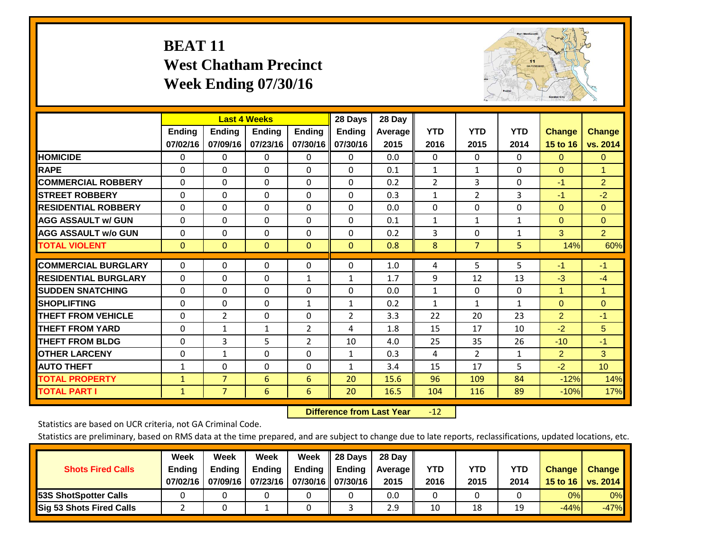## **BEAT 11 West Chatham Precinct Week Ending 07/30/16**



|                             |              | <b>Last 4 Weeks</b> |              |                | 28 Days        | 28 Day  |                |                |              |                |                 |
|-----------------------------|--------------|---------------------|--------------|----------------|----------------|---------|----------------|----------------|--------------|----------------|-----------------|
|                             | Ending       | <b>Ending</b>       | Ending       | <b>Ending</b>  | <b>Ending</b>  | Average | <b>YTD</b>     | <b>YTD</b>     | <b>YTD</b>   | <b>Change</b>  | <b>Change</b>   |
|                             | 07/02/16     | 07/09/16            | 07/23/16     | 07/30/16       | 07/30/16       | 2015    | 2016           | 2015           | 2014         | 15 to 16       | vs. 2014        |
| <b>HOMICIDE</b>             | $\mathbf{0}$ | 0                   | 0            | 0              | $\Omega$       | 0.0     | $\Omega$       | $\Omega$       | 0            | $\Omega$       | $\Omega$        |
| <b>RAPE</b>                 | $\Omega$     | $\Omega$            | $\Omega$     | 0              | $\Omega$       | 0.1     | 1              | $\mathbf{1}$   | 0            | $\Omega$       | $\mathbf{1}$    |
| <b>COMMERCIAL ROBBERY</b>   | $\Omega$     | $\Omega$            | $\Omega$     | $\Omega$       | $\Omega$       | 0.2     | $\overline{2}$ | 3              | 0            | $-1$           | $\overline{2}$  |
| <b>STREET ROBBERY</b>       | $\Omega$     | $\Omega$            | $\Omega$     | $\Omega$       | $\Omega$       | 0.3     | $\mathbf{1}$   | $\overline{2}$ | 3            | $-1$           | $-2$            |
| <b>RESIDENTIAL ROBBERY</b>  | $\Omega$     | $\Omega$            | $\Omega$     | $\Omega$       | $\Omega$       | 0.0     | $\mathbf{0}$   | $\Omega$       | 0            | $\Omega$       | $\Omega$        |
| <b>AGG ASSAULT w/ GUN</b>   | $\Omega$     | $\Omega$            | $\Omega$     | $\Omega$       | 0              | 0.1     | 1              | $\mathbf{1}$   | 1            | $\Omega$       | $\mathbf{0}$    |
| <b>AGG ASSAULT w/o GUN</b>  | $\Omega$     | $\Omega$            | $\mathbf{0}$ | $\Omega$       | $\Omega$       | 0.2     | $\overline{3}$ | $\Omega$       | $\mathbf{1}$ | 3              | 2 <sup>1</sup>  |
| <b>TOTAL VIOLENT</b>        | $\mathbf{0}$ | $\mathbf{0}$        | $\mathbf{0}$ | $\mathbf{0}$   | $\Omega$       | 0.8     | 8              | $\overline{7}$ | 5            | 14%            | 60%             |
|                             |              |                     |              |                |                |         |                |                |              |                |                 |
| <b>COMMERCIAL BURGLARY</b>  | $\mathbf 0$  | $\Omega$            | 0            | 0              | $\Omega$       | 1.0     | 4              | 5              | 5            | $-1$           | $-1$            |
| <b>RESIDENTIAL BURGLARY</b> | $\Omega$     | $\Omega$            | $\Omega$     | $\mathbf{1}$   | $\mathbf{1}$   | 1.7     | 9              | 12             | 13           | $-3$           | $-4$            |
| <b>ISUDDEN SNATCHING</b>    | $\Omega$     | $\Omega$            | $\Omega$     | $\Omega$       | $\Omega$       | 0.0     | $\mathbf{1}$   | $\Omega$       | 0            | 1              | 1               |
| <b>SHOPLIFTING</b>          | $\mathbf 0$  | $\Omega$            | $\mathbf 0$  | $\mathbf{1}$   | $\mathbf{1}$   | 0.2     | 1              | $\mathbf{1}$   | $\mathbf{1}$ | $\mathbf{0}$   | $\overline{0}$  |
| <b>THEFT FROM VEHICLE</b>   | $\Omega$     | 2                   | $\Omega$     | $\Omega$       | $\overline{2}$ | 3.3     | 22             | 20             | 23           | $\overline{2}$ | $-1$            |
| <b>THEFT FROM YARD</b>      | $\mathbf 0$  | 1                   | 1            | $\overline{2}$ | 4              | 1.8     | 15             | 17             | 10           | $-2$           | 5 <sup>5</sup>  |
| <b>THEFT FROM BLDG</b>      | 0            | 3                   | 5            | $\overline{2}$ | 10             | 4.0     | 25             | 35             | 26           | $-10$          | $-1$            |
| <b>OTHER LARCENY</b>        | $\Omega$     | $\mathbf{1}$        | $\Omega$     | 0              | $\mathbf{1}$   | 0.3     | 4              | $\overline{2}$ | $\mathbf{1}$ | $\overline{2}$ | 3               |
| <b>AUTO THEFT</b>           | $\mathbf{1}$ | $\Omega$            | $\Omega$     | 0              | $\mathbf{1}$   | 3.4     | 15             | 17             | 5            | $-2$           | 10 <sub>1</sub> |
| <b>TOTAL PROPERTY</b>       | $\mathbf{1}$ | $\overline{7}$      | 6            | 6              | 20             | 15.6    | 96             | 109            | 84           | $-12%$         | 14%             |
| <b>TOTAL PART I</b>         | $\mathbf{1}$ | $\overline{7}$      | 6            | 6              | 20             | 16.5    | 104            | 116            | 89           | $-10%$         | 17%             |

 **Difference from Last Year**r -12

Statistics are based on UCR criteria, not GA Criminal Code.

| <b>Shots Fired Calls</b>        | Week<br><b>Ending</b><br>07/02/16 | Week<br><b>Endina</b><br>07/09/16 | Week<br><b>Ending</b><br>  07/23/16   07/30/16    07/30/16 | Week<br>Ending | 28 Days<br><b>Ending</b> | 28 Day<br>Average II<br>2015 | YTD<br>2016 | YTD<br>2015 | YTD<br>2014 | <b>Change</b><br>15 to 16 $\vert$ | <b>Change</b><br>vs. 2014 |
|---------------------------------|-----------------------------------|-----------------------------------|------------------------------------------------------------|----------------|--------------------------|------------------------------|-------------|-------------|-------------|-----------------------------------|---------------------------|
| <b>153S ShotSpotter Calls</b>   |                                   |                                   |                                                            |                |                          | 0.0                          |             |             |             | 0%                                | 0%                        |
| <b>Sig 53 Shots Fired Calls</b> |                                   |                                   |                                                            |                |                          | 2.9                          | 10          | 18          | 19          | $-44%$                            | $-47%$                    |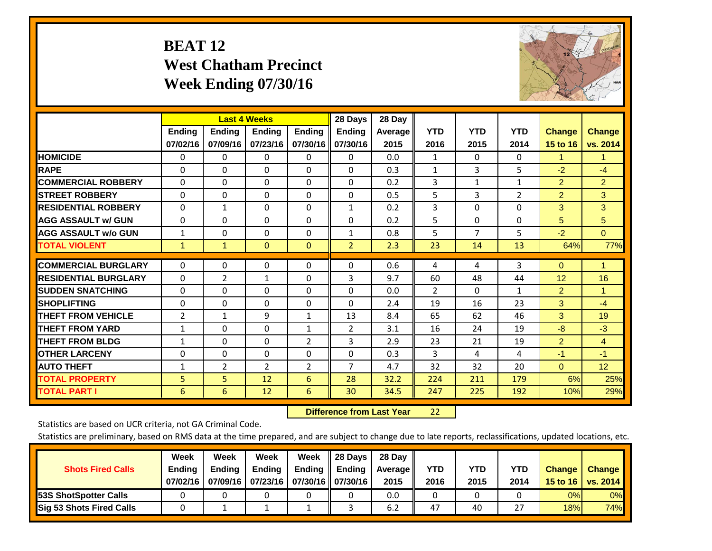## **BEAT 12 West Chatham Precinct Week Ending 07/30/16**



|                             |                | <b>Last 4 Weeks</b> |                |                | 28 Days        | 28 Day  |                |              |                |                |                |
|-----------------------------|----------------|---------------------|----------------|----------------|----------------|---------|----------------|--------------|----------------|----------------|----------------|
|                             | <b>Ending</b>  | <b>Ending</b>       | <b>Endina</b>  | <b>Ending</b>  | <b>Endina</b>  | Average | <b>YTD</b>     | <b>YTD</b>   | <b>YTD</b>     | <b>Change</b>  | <b>Change</b>  |
|                             | 07/02/16       | 07/09/16            | 07/23/16       | 07/30/16       | 07/30/16       | 2015    | 2016           | 2015         | 2014           | 15 to 16       | vs. 2014       |
| <b>HOMICIDE</b>             | 0              | 0                   | $\Omega$       | 0              | 0              | 0.0     | 1              | 0            | 0              | 1              | 1.             |
| <b>RAPE</b>                 | 0              | $\Omega$            | $\Omega$       | $\Omega$       | $\Omega$       | 0.3     | 1              | 3            | 5              | $-2$           | $-4$           |
| <b>COMMERCIAL ROBBERY</b>   | 0              | 0                   | $\Omega$       | 0              | $\Omega$       | 0.2     | 3              | $\mathbf{1}$ | 1              | $\overline{2}$ | $\overline{2}$ |
| <b>ISTREET ROBBERY</b>      | $\Omega$       | $\Omega$            | $\Omega$       | $\Omega$       | $\Omega$       | 0.5     | 5              | 3            | $\overline{2}$ | $\overline{2}$ | 3              |
| <b>RESIDENTIAL ROBBERY</b>  | $\Omega$       | 1                   | $\Omega$       | $\mathbf{0}$   | 1              | 0.2     | 3              | $\Omega$     | 0              | 3              | 3              |
| <b>AGG ASSAULT w/ GUN</b>   | 0              | $\Omega$            | $\Omega$       | $\mathbf{0}$   | $\Omega$       | 0.2     | 5              | $\Omega$     | 0              | 5              | 5              |
| <b>AGG ASSAULT w/o GUN</b>  | $\mathbf{1}$   | 0                   | $\Omega$       | 0              | 1              | 0.8     | 5              | 7            | 5              | $-2$           | $\overline{0}$ |
| <b>TOTAL VIOLENT</b>        | $\mathbf{1}$   | $\mathbf{1}$        | $\mathbf{0}$   | $\mathbf{0}$   | $\overline{2}$ | 2.3     | 23             | 14           | 13             | 64%            | 77%            |
| <b>COMMERCIAL BURGLARY</b>  |                | $\Omega$            |                |                | $\Omega$       | 0.6     |                |              | 3              |                | 1              |
|                             | $\Omega$       |                     | 0              | 0              |                |         | 4              | 4            |                | $\mathbf{0}$   |                |
| <b>RESIDENTIAL BURGLARY</b> | $\Omega$       | 2                   | $\mathbf{1}$   | $\mathbf{0}$   | 3              | 9.7     | 60             | 48           | 44             | 12             | 16             |
| <b>SUDDEN SNATCHING</b>     | $\Omega$       | 0                   | $\mathbf{0}$   | $\mathbf{0}$   | $\Omega$       | 0.0     | $\overline{2}$ | $\Omega$     | 1              | 2              | 1              |
| <b>SHOPLIFTING</b>          | $\Omega$       | $\Omega$            | $\Omega$       | $\Omega$       | $\Omega$       | 2.4     | 19             | 16           | 23             | 3              | $-4$           |
| <b>THEFT FROM VEHICLE</b>   | $\overline{2}$ | $\mathbf{1}$        | 9              | 1              | 13             | 8.4     | 65             | 62           | 46             | 3              | 19             |
| <b>THEFT FROM YARD</b>      | 1              | 0                   | $\Omega$       | 1              | $\overline{2}$ | 3.1     | 16             | 24           | 19             | -8             | $-3$           |
| <b>THEFT FROM BLDG</b>      | $\mathbf{1}$   | $\Omega$            | $\Omega$       | $\overline{2}$ | 3              | 2.9     | 23             | 21           | 19             | $\overline{2}$ | $\overline{4}$ |
| <b>OTHER LARCENY</b>        | $\Omega$       | 0                   | $\Omega$       | $\mathbf{0}$   | $\Omega$       | 0.3     | 3              | 4            | 4              | $-1$           | $-1$           |
| <b>AUTO THEFT</b>           | $\mathbf{1}$   | $\overline{2}$      | $\overline{2}$ | 2              | $\overline{7}$ | 4.7     | 32             | 32           | 20             | $\mathbf{0}$   | 12             |
| <b>TOTAL PROPERTY</b>       | 5              | 5 <sup>5</sup>      | 12             | 6              | 28             | 32.2    | 224            | 211          | 179            | 6%             | 25%            |
| <b>TOTAL PART I</b>         | 6              | 6                   | 12             | 6              | 30             | 34.5    | 247            | 225          | 192            | 10%            | 29%            |

 **Difference from Last Year**22

Statistics are based on UCR criteria, not GA Criminal Code.

| <b>Shots Fired Calls</b>        | Week<br><b>Ending</b><br>07/02/16 | Week<br><b>Endina</b><br>07/09/16 | Week<br><b>Ending</b><br>  07/23/16   07/30/16    07/30/16 | Week<br>Ending | 28 Days<br><b>Ending</b> | 28 Day<br>Average II<br>2015 | YTD<br>2016 | YTD<br>2015 | YTD<br>2014  | <b>Change</b><br>15 to 16 $\vert$ | <b>Change</b><br>vs. 2014 |
|---------------------------------|-----------------------------------|-----------------------------------|------------------------------------------------------------|----------------|--------------------------|------------------------------|-------------|-------------|--------------|-----------------------------------|---------------------------|
| <b>153S ShotSpotter Calls</b>   |                                   |                                   |                                                            |                |                          | 0.0                          |             |             |              | 0%                                | 0%                        |
| <b>Sig 53 Shots Fired Calls</b> |                                   |                                   |                                                            |                |                          | 6.2                          | 47          | 40          | $\mathbf{z}$ | 18%                               | 74%                       |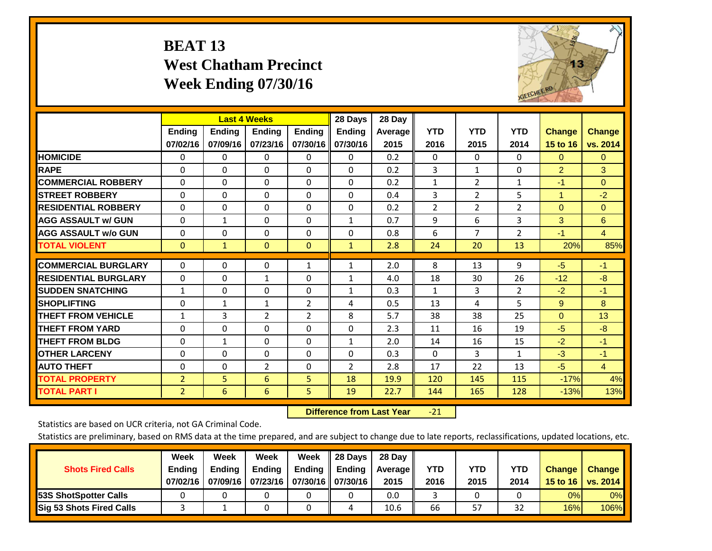## **BEAT 13 West Chatham Precinct Week Ending 07/30/16**



|                             |                           |                           | <b>Last 4 Weeks</b>       |                           | 28 Days                   | 28 Day                 |                    |                    |                    |                           |                           |
|-----------------------------|---------------------------|---------------------------|---------------------------|---------------------------|---------------------------|------------------------|--------------------|--------------------|--------------------|---------------------------|---------------------------|
|                             | <b>Ending</b><br>07/02/16 | <b>Ending</b><br>07/09/16 | <b>Endina</b><br>07/23/16 | <b>Endina</b><br>07/30/16 | <b>Endina</b><br>07/30/16 | <b>Average</b><br>2015 | <b>YTD</b><br>2016 | <b>YTD</b><br>2015 | <b>YTD</b><br>2014 | <b>Change</b><br>15 to 16 | <b>Change</b><br>vs. 2014 |
| <b>HOMICIDE</b>             | 0                         | 0                         | 0                         | 0                         | 0                         | 0.2                    | 0                  | 0                  | 0                  | $\Omega$                  | $\Omega$                  |
| <b>RAPE</b>                 | $\Omega$                  | $\Omega$                  | $\Omega$                  | $\Omega$                  | $\Omega$                  | 0.2                    | 3                  | 1                  | 0                  | $\overline{2}$            | 3                         |
| <b>COMMERCIAL ROBBERY</b>   | $\Omega$                  | $\Omega$                  | $\Omega$                  | $\Omega$                  | 0                         | 0.2                    | $\mathbf{1}$       | $\overline{2}$     | $\mathbf{1}$       | $-1$                      | $\Omega$                  |
| <b>ISTREET ROBBERY</b>      | $\Omega$                  | $\Omega$                  | $\Omega$                  | $\Omega$                  | $\Omega$                  | 0.4                    | 3                  | $\overline{2}$     | 5                  | $\blacktriangleleft$      | $-2$                      |
| <b>RESIDENTIAL ROBBERY</b>  | 0                         | $\Omega$                  | $\Omega$                  | 0                         | 0                         | 0.2                    | $\overline{2}$     | $\overline{2}$     | 2                  | $\Omega$                  | $\Omega$                  |
| <b>AGG ASSAULT w/ GUN</b>   | $\Omega$                  | 1                         | $\Omega$                  | 0                         | $\mathbf{1}$              | 0.7                    | 9                  | 6                  | 3                  | 3                         | 6                         |
| <b>AGG ASSAULT w/o GUN</b>  | 0                         | 0                         | $\Omega$                  | $\Omega$                  | 0                         | 0.8                    | 6                  | $\overline{7}$     | $\overline{2}$     | $-1$                      | $\overline{4}$            |
| <b>TOTAL VIOLENT</b>        | $\mathbf{0}$              | $\mathbf{1}$              | $\mathbf{0}$              | $\mathbf{0}$              | $\mathbf{1}$              | 2.8                    | 24                 | 20                 | 13                 | 20%                       | 85%                       |
| <b>COMMERCIAL BURGLARY</b>  | $\Omega$                  | $\Omega$                  | $\mathbf{0}$              | $\mathbf{1}$              | $\mathbf{1}$              | 2.0                    | 8                  | 13                 | 9                  | $-5$                      | $-1$                      |
| <b>RESIDENTIAL BURGLARY</b> | $\Omega$                  | 0                         | 1                         | 0                         | 1                         | 4.0                    | 18                 | 30                 | 26                 | $-12$                     | $-8$                      |
| <b>ISUDDEN SNATCHING</b>    | $\mathbf{1}$              | 0                         | $\Omega$                  | 0                         | $\mathbf{1}$              | 0.3                    | 1                  | 3                  | $\overline{2}$     | $-2$                      | $-1$                      |
| <b>SHOPLIFTING</b>          | $\Omega$                  | $\mathbf{1}$              | $\mathbf{1}$              | $\overline{2}$            | 4                         | 0.5                    | 13                 | 4                  | 5                  | 9                         | 8                         |
| <b>THEFT FROM VEHICLE</b>   | $\mathbf{1}$              | 3                         | $\overline{2}$            | $\overline{2}$            | 8                         | 5.7                    | 38                 | 38                 | 25                 | $\mathbf{0}$              | 13                        |
| <b>THEFT FROM YARD</b>      | $\Omega$                  | $\Omega$                  | $\Omega$                  | 0                         | $\Omega$                  | 2.3                    | 11                 | 16                 | 19                 | $-5$                      | $-8$                      |
| <b>THEFT FROM BLDG</b>      | 0                         | $\mathbf{1}$              | $\Omega$                  | 0                         | $\mathbf{1}$              | 2.0                    | 14                 | 16                 | 15                 | $-2$                      | $-1$                      |
| <b>OTHER LARCENY</b>        | 0                         | $\Omega$                  | $\Omega$                  | 0                         | 0                         | 0.3                    | $\Omega$           | 3                  | 1                  | $-3$                      | $-1$                      |
| <b>AUTO THEFT</b>           | 0                         | 0                         | $\overline{2}$            | 0                         | 2                         | 2.8                    | 17                 | 22                 | 13                 | $-5$                      | $\overline{4}$            |
| <b>TOTAL PROPERTY</b>       | $\overline{2}$            | 5                         | 6                         | 5                         | 18                        | 19.9                   | 120                | 145                | 115                | $-17%$                    | 4%                        |
| <b>TOTAL PART I</b>         | 2                         | 6                         | 6                         | 5                         | 19                        | 22.7                   | 144                | 165                | 128                | $-13%$                    | 13%                       |

 **Difference from Last Year**‐21

Statistics are based on UCR criteria, not GA Criminal Code.

| <b>Shots Fired Calls</b>        | Week<br><b>Ending</b><br>07/02/16 | Week<br><b>Endina</b><br>07/09/16 | Week<br><b>Ending</b><br>  07/23/16   07/30/16    07/30/16 | Week<br>Ending | 28 Days<br><b>Ending</b> | 28 Day<br>Average II<br>2015 | YTD<br>2016 | YTD<br>2015 | YTD<br>2014 | <b>Change</b><br>15 to 16 $\vert$ | <b>Change</b><br>vs. 2014 |
|---------------------------------|-----------------------------------|-----------------------------------|------------------------------------------------------------|----------------|--------------------------|------------------------------|-------------|-------------|-------------|-----------------------------------|---------------------------|
| <b>153S ShotSpotter Calls</b>   |                                   |                                   |                                                            |                |                          | 0.0                          |             |             |             | 0%                                | 0%                        |
| <b>Sig 53 Shots Fired Calls</b> |                                   |                                   |                                                            |                |                          | 10.6                         | 66          | 57          | 32          | 16%                               | 106%                      |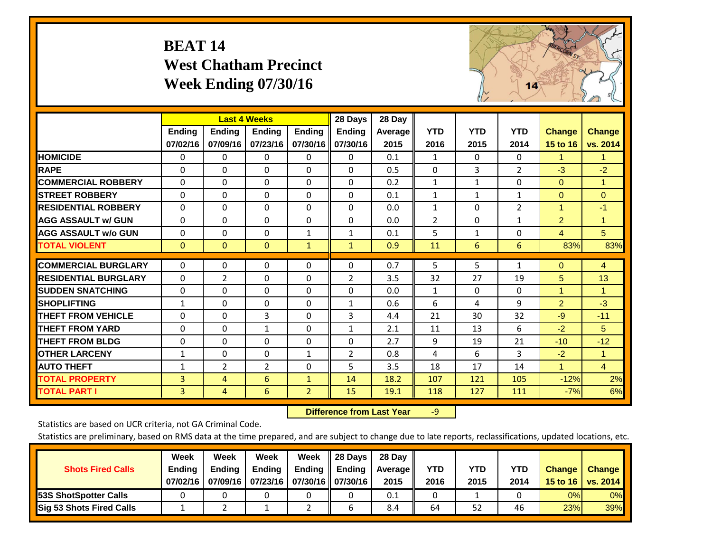## **BEAT 14 West Chatham Precinct Week Ending 07/30/16**



|                             |              |                | <b>Last 4 Weeks</b> |                | 28 Days        | 28 Day         |                |              |                |                |                |
|-----------------------------|--------------|----------------|---------------------|----------------|----------------|----------------|----------------|--------------|----------------|----------------|----------------|
|                             | Ending       | <b>Ending</b>  | <b>Ending</b>       | <b>Ending</b>  | <b>Ending</b>  | <b>Average</b> | <b>YTD</b>     | <b>YTD</b>   | <b>YTD</b>     | <b>Change</b>  | <b>Change</b>  |
|                             | 07/02/16     | 07/09/16       | 07/23/16            | 07/30/16       | 07/30/16       | 2015           | 2016           | 2015         | 2014           | 15 to 16       | vs. 2014       |
| <b>HOMICIDE</b>             | 0            | 0              | $\Omega$            | $\Omega$       | 0              | 0.1            | 1              | $\Omega$     | $\Omega$       | 1.             | 1.             |
| <b>RAPE</b>                 | $\Omega$     | $\Omega$       | $\mathbf{0}$        | 0              | $\Omega$       | 0.5            | $\Omega$       | 3            | $\overline{2}$ | $-3$           | $-2$           |
| <b>COMMERCIAL ROBBERY</b>   | $\Omega$     | 0              | $\mathbf 0$         | $\Omega$       | $\Omega$       | 0.2            | 1              | 1            | 0              | $\Omega$       | 1              |
| <b>ISTREET ROBBERY</b>      | $\Omega$     | $\Omega$       | $\Omega$            | $\Omega$       | $\Omega$       | 0.1            | $\mathbf{1}$   | $\mathbf{1}$ | $\mathbf{1}$   | $\Omega$       | $\Omega$       |
| <b>RESIDENTIAL ROBBERY</b>  | $\Omega$     | $\Omega$       | 0                   | $\Omega$       | $\Omega$       | 0.0            | $\mathbf{1}$   | $\Omega$     | 2              | $\overline{1}$ | $-1$           |
| <b>AGG ASSAULT w/ GUN</b>   | $\Omega$     | $\Omega$       | $\mathbf{0}$        | $\Omega$       | $\Omega$       | 0.0            | $\overline{2}$ | 0            | $\mathbf{1}$   | $\overline{2}$ | 1              |
| <b>AGG ASSAULT w/o GUN</b>  | $\Omega$     | $\Omega$       | $\mathbf{0}$        | $\mathbf{1}$   | $\mathbf{1}$   | 0.1            | 5              | $\mathbf{1}$ | $\Omega$       | $\overline{4}$ | 5              |
| <b>TOTAL VIOLENT</b>        | $\mathbf{0}$ | $\mathbf{0}$   | $\overline{0}$      | $\mathbf{1}$   | $\mathbf{1}$   | 0.9            | 11             | 6            | 6              | 83%            | 83%            |
| <b>COMMERCIAL BURGLARY</b>  | $\Omega$     |                |                     |                |                | 0.7            |                |              |                |                |                |
|                             |              | 0              | 0                   | 0              | $\Omega$       |                | 5              | 5            | $\mathbf{1}$   | $\mathbf{0}$   | $\overline{4}$ |
| <b>RESIDENTIAL BURGLARY</b> | $\Omega$     | $\overline{2}$ | $\mathbf{0}$        | $\Omega$       | $\overline{2}$ | 3.5            | 32             | 27           | 19             | 5              | 13             |
| <b>ISUDDEN SNATCHING</b>    | $\Omega$     | $\Omega$       | $\mathbf{0}$        | $\Omega$       | $\Omega$       | 0.0            | 1              | 0            | $\Omega$       | 1              | 1.             |
| <b>SHOPLIFTING</b>          | 1            | $\Omega$       | $\mathbf 0$         | 0              | $\mathbf{1}$   | 0.6            | 6              | 4            | 9              | $\overline{2}$ | $-3$           |
| <b>THEFT FROM VEHICLE</b>   | $\Omega$     | $\Omega$       | 3                   | $\Omega$       | 3              | 4.4            | 21             | 30           | 32             | $-9$           | $-11$          |
| <b>THEFT FROM YARD</b>      | 0            | $\Omega$       | 1                   | $\Omega$       | $\mathbf{1}$   | 2.1            | 11             | 13           | 6              | $-2$           | 5              |
| <b>THEFT FROM BLDG</b>      | 0            | 0              | 0                   | $\Omega$       | 0              | 2.7            | 9              | 19           | 21             | $-10$          | $-12$          |
| <b>OTHER LARCENY</b>        | $\mathbf{1}$ | 0              | $\mathbf{0}$        | $\mathbf{1}$   | $\overline{2}$ | 0.8            | 4              | 6            | 3              | $-2$           | $\mathbf{1}$   |
| <b>AUTO THEFT</b>           | $\mathbf{1}$ | $\overline{2}$ | $\overline{2}$      | 0              | 5              | 3.5            | 18             | 17           | 14             | $\mathbf{1}$   | $\overline{4}$ |
| <b>TOTAL PROPERTY</b>       | 3            | 4              | 6                   | $\mathbf{1}$   | 14             | 18.2           | 107            | 121          | 105            | $-12%$         | 2%             |
| <b>TOTAL PART I</b>         | 3            | 4              | 6                   | $\overline{2}$ | 15             | 19.1           | 118            | 127          | 111            | $-7%$          | 6%             |

 **Difference from Last Year**r -9

Statistics are based on UCR criteria, not GA Criminal Code.

| <b>Shots Fired Calls</b>        | Week<br><b>Ending</b><br>07/02/16 | Week<br><b>Endina</b><br>07/09/16 | Week<br><b>Ending</b><br>  07/23/16   07/30/16    07/30/16 | Week<br>Ending | 28 Days<br><b>Ending</b> | 28 Day<br>Average II<br>2015 | YTD<br>2016 | YTD<br>2015 | YTD<br>2014 | <b>Change</b><br>15 to 16 $\vert$ | <b>Change</b><br>vs. 2014 |
|---------------------------------|-----------------------------------|-----------------------------------|------------------------------------------------------------|----------------|--------------------------|------------------------------|-------------|-------------|-------------|-----------------------------------|---------------------------|
| <b>153S ShotSpotter Calls</b>   |                                   |                                   |                                                            |                |                          | 0.1                          |             |             |             | 0%                                | 0%                        |
| <b>Sig 53 Shots Fired Calls</b> |                                   |                                   |                                                            |                |                          | 8.4                          | 64          | 52          | 46          | 23%                               | 39%                       |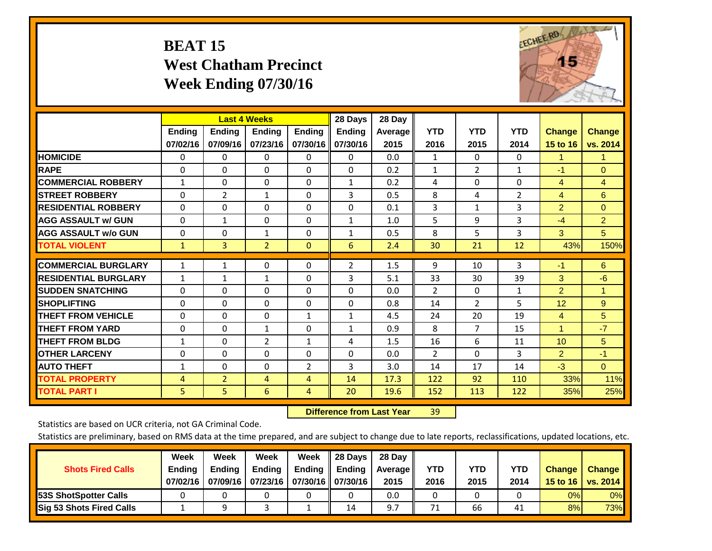# **BEAT 15 West Chatham Precinct Week Ending 07/30/16**



|                             |               | <b>Last 4 Weeks</b> |                |               | 28 Days       | 28 Day  |                |                |              |                      |                 |
|-----------------------------|---------------|---------------------|----------------|---------------|---------------|---------|----------------|----------------|--------------|----------------------|-----------------|
|                             | <b>Ending</b> | <b>Ending</b>       | <b>Endina</b>  | <b>Endina</b> | <b>Endina</b> | Average | <b>YTD</b>     | <b>YTD</b>     | <b>YTD</b>   | <b>Change</b>        | <b>Change</b>   |
|                             | 07/02/16      | 07/09/16            | 07/23/16       | 07/30/16      | 07/30/16      | 2015    | 2016           | 2015           | 2014         | 15 to 16             | vs. 2014        |
| <b>HOMICIDE</b>             | 0             | 0                   | $\Omega$       | 0             | 0             | 0.0     | 1              | $\Omega$       | 0            | 1                    | 1               |
| <b>RAPE</b>                 | 0             | $\Omega$            | $\Omega$       | $\Omega$      | $\Omega$      | 0.2     | $\mathbf{1}$   | $\overline{2}$ | $\mathbf{1}$ | $-1$                 | $\Omega$        |
| <b>COMMERCIAL ROBBERY</b>   | 1             | 0                   | $\Omega$       | $\mathbf{0}$  | $\mathbf{1}$  | 0.2     | 4              | $\Omega$       | $\Omega$     | 4                    | 4               |
| <b>ISTREET ROBBERY</b>      | $\Omega$      | $\overline{2}$      | $\mathbf{1}$   | $\Omega$      | 3             | 0.5     | 8              | 4              | 2            | 4                    | 6               |
| <b>RESIDENTIAL ROBBERY</b>  | 0             | 0                   | $\mathbf{0}$   | $\mathbf{0}$  | $\Omega$      | 0.1     | 3              | 1              | 3            | $\overline{2}$       | $\Omega$        |
| <b>AGG ASSAULT w/ GUN</b>   | 0             | $\mathbf{1}$        | $\mathbf{0}$   | $\mathbf{0}$  | $\mathbf{1}$  | 1.0     | 5              | 9              | 3            | $-4$                 | $\overline{2}$  |
| <b>AGG ASSAULT w/o GUN</b>  | $\Omega$      | 0                   | $\mathbf{1}$   | $\Omega$      | $\mathbf{1}$  | 0.5     | 8              | 5              | 3            | 3                    | 5               |
| <b>TOTAL VIOLENT</b>        | $\mathbf{1}$  | 3                   | $\overline{2}$ | $\mathbf{0}$  | 6             | 2.4     | 30             | 21             | 12           | 43%                  | 150%            |
|                             |               |                     |                |               |               |         |                |                |              |                      |                 |
| <b>COMMERCIAL BURGLARY</b>  | $\mathbf{1}$  | 1                   | $\Omega$       | 0             | 2             | 1.5     | 9              | 10             | 3            | $-1$                 | 6               |
| <b>RESIDENTIAL BURGLARY</b> | 1             | 1                   | 1              | $\Omega$      | 3             | 5.1     | 33             | 30             | 39           | 3                    | $-6$            |
| <b>SUDDEN SNATCHING</b>     | 0             | 0                   | $\mathbf{0}$   | $\mathbf{0}$  | $\Omega$      | 0.0     | $\overline{2}$ | $\Omega$       | 1            | $\overline{2}$       | 1               |
| <b>SHOPLIFTING</b>          | 0             | 0                   | $\Omega$       | 0             | $\Omega$      | 0.8     | 14             | $\overline{2}$ | 5            | 12                   | $9^{\circ}$     |
| <b>THEFT FROM VEHICLE</b>   | $\Omega$      | 0                   | $\mathbf{0}$   | $\mathbf{1}$  | $\mathbf{1}$  | 4.5     | 24             | 20             | 19           | $\overline{4}$       | $5\overline{)}$ |
| <b>THEFT FROM YARD</b>      | $\Omega$      | $\Omega$            | $\mathbf{1}$   | $\mathbf{0}$  | $\mathbf{1}$  | 0.9     | 8              | 7              | 15           | $\blacktriangleleft$ | $-7$            |
| <b>THEFT FROM BLDG</b>      | 1             | $\Omega$            | $\overline{2}$ | $\mathbf{1}$  | 4             | 1.5     | 16             | 6              | 11           | 10                   | 5               |
| <b>OTHER LARCENY</b>        | 0             | $\Omega$            | $\Omega$       | $\Omega$      | $\Omega$      | 0.0     | $\overline{2}$ | $\Omega$       | 3            | $\overline{2}$       | $-1$            |
| <b>AUTO THEFT</b>           | 1             | $\Omega$            | $\Omega$       | 2             | 3             | 3.0     | 14             | 17             | 14           | $-3$                 | $\Omega$        |
| <b>TOTAL PROPERTY</b>       | 4             | $\overline{2}$      | 4              | 4             | 14            | 17.3    | 122            | 92             | 110          | 33%                  | 11%             |
| <b>TOTAL PART I</b>         | 5             | 5                   | 6              | 4             | 20            | 19.6    | 152            | 113            | 122          | 35%                  | 25%             |

 **Difference from Last Year**r 39

Statistics are based on UCR criteria, not GA Criminal Code.

| <b>Shots Fired Calls</b>        | Week<br><b>Ending</b><br>07/02/16 | Week<br><b>Endina</b><br>07/09/16 | Week<br><b>Ending</b><br>  07/23/16   07/30/16    07/30/16 | Week<br>Ending | 28 Days<br><b>Ending</b> | 28 Day<br>Average II<br>2015 | YTD<br>2016 | YTD<br>2015 | YTD<br>2014 | <b>Change</b><br>15 to 16 $\vert$ | <b>Change</b><br>vs. 2014 |
|---------------------------------|-----------------------------------|-----------------------------------|------------------------------------------------------------|----------------|--------------------------|------------------------------|-------------|-------------|-------------|-----------------------------------|---------------------------|
| <b>153S ShotSpotter Calls</b>   |                                   |                                   |                                                            |                |                          | 0.0                          |             |             |             | 0%                                | 0%                        |
| <b>Sig 53 Shots Fired Calls</b> |                                   |                                   |                                                            |                | 14                       | 9.7                          | 71          | 66          | 41          | 8%                                | <b>73%</b>                |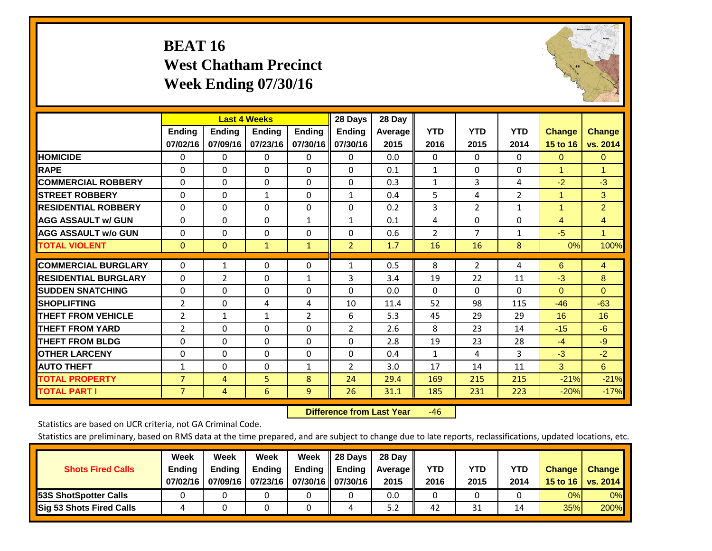# **BEAT 16 West Chatham Precinct Week Ending 07/30/16**



|                             |                           | <b>Last 4 Weeks</b>       |                           |                           | 28 Days                   | 28 Day             |                    |                    |                    |                           |                           |
|-----------------------------|---------------------------|---------------------------|---------------------------|---------------------------|---------------------------|--------------------|--------------------|--------------------|--------------------|---------------------------|---------------------------|
|                             | <b>Ending</b><br>07/02/16 | <b>Ending</b><br>07/09/16 | <b>Endina</b><br>07/23/16 | <b>Endina</b><br>07/30/16 | <b>Endina</b><br>07/30/16 | Average   <br>2015 | <b>YTD</b><br>2016 | <b>YTD</b><br>2015 | <b>YTD</b><br>2014 | <b>Change</b><br>15 to 16 | <b>Change</b><br>vs. 2014 |
| <b>HOMICIDE</b>             | 0                         | 0                         | $\Omega$                  | 0                         | 0                         | 0.0                | $\mathbf{0}$       | $\Omega$           | 0                  | $\mathbf{0}$              | $\Omega$                  |
| <b>RAPE</b>                 | 0                         | $\Omega$                  | $\Omega$                  | $\Omega$                  | $\Omega$                  | 0.1                | $\mathbf{1}$       | $\Omega$           | $\Omega$           | 1                         | 1                         |
| <b>COMMERCIAL ROBBERY</b>   | $\Omega$                  | 0                         | $\Omega$                  | $\mathbf{0}$              | $\Omega$                  | 0.3                | $\mathbf{1}$       | 3                  | 4                  | $-2$                      | $-3$                      |
| <b>ISTREET ROBBERY</b>      | $\Omega$                  | $\Omega$                  | $\mathbf{1}$              | $\mathbf{0}$              | $\mathbf{1}$              | 0.4                | 5                  | 4                  | $\overline{2}$     | $\overline{1}$            | 3                         |
| <b>RESIDENTIAL ROBBERY</b>  | 0                         | 0                         | $\mathbf{0}$              | 0                         | $\Omega$                  | 0.2                | 3                  | 2                  | 1                  | 1                         | $\overline{2}$            |
| <b>AGG ASSAULT w/ GUN</b>   | $\Omega$                  | 0                         | $\Omega$                  | $\mathbf{1}$              | $\mathbf{1}$              | 0.1                | 4                  | $\Omega$           | 0                  | $\overline{4}$            | $\overline{4}$            |
| <b>AGG ASSAULT w/o GUN</b>  | $\Omega$                  | 0                         | $\mathbf{0}$              | $\Omega$                  | $\Omega$                  | 0.6                | $\overline{2}$     | 7                  | $\mathbf{1}$       | $-5$                      | $\mathbf{1}$              |
| <b>TOTAL VIOLENT</b>        | $\Omega$                  | $\Omega$                  | $\mathbf{1}$              | $\mathbf{1}$              | $\overline{2}$            | 1.7                | 16                 | 16                 | 8                  | 0%                        | 100%                      |
| <b>COMMERCIAL BURGLARY</b>  | $\Omega$                  | 1                         | $\Omega$                  | 0                         | $\mathbf{1}$              | 0.5                | 8                  | $\overline{2}$     | 4                  | 6                         | 4                         |
| <b>RESIDENTIAL BURGLARY</b> | 0                         | $\overline{2}$            | $\mathbf{0}$              | 1                         | 3                         | 3.4                | 19                 | 22                 | 11                 | $-3$                      | 8                         |
| <b>SUDDEN SNATCHING</b>     | 0                         | 0                         | $\mathbf{0}$              | $\Omega$                  | $\Omega$                  | 0.0                | 0                  | 0                  | $\Omega$           | $\Omega$                  | $\Omega$                  |
| <b>SHOPLIFTING</b>          | 2                         | 0                         | 4                         | 4                         | 10                        | 11.4               | 52                 | 98                 | 115                | $-46$                     | $-63$                     |
| <b>THEFT FROM VEHICLE</b>   | 2                         | $\mathbf{1}$              | $\mathbf{1}$              | 2                         | 6                         | 5.3                | 45                 | 29                 | 29                 | 16                        | 16                        |
| <b>THEFT FROM YARD</b>      | 2                         | $\Omega$                  | $\mathbf{0}$              | $\mathbf{0}$              | 2                         | 2.6                | 8                  | 23                 | 14                 | $-15$                     | $-6$                      |
| <b>THEFT FROM BLDG</b>      | 0                         | $\Omega$                  | $\Omega$                  | $\mathbf{0}$              | $\Omega$                  | 2.8                | 19                 | 23                 | 28                 | $-4$                      | $-9$                      |
| <b>OTHER LARCENY</b>        | $\Omega$                  | $\Omega$                  | $\Omega$                  | $\Omega$                  | $\Omega$                  | 0.4                | $\mathbf{1}$       | 4                  | 3                  | $-3$                      | $-2$                      |
| <b>AUTO THEFT</b>           | 1                         | $\Omega$                  | $\Omega$                  | 1                         | 2                         | 3.0                | 17                 | 14                 | 11                 | 3                         | 6                         |
| <b>TOTAL PROPERTY</b>       | $\overline{7}$            | 4                         | 5                         | 8                         | 24                        | 29.4               | 169                | 215                | 215                | $-21%$                    | $-21%$                    |
| <b>TOTAL PART I</b>         | $\overline{7}$            | 4                         | 6                         | 9                         | 26                        | 31.1               | 185                | 231                | 223                | $-20%$                    | $-17%$                    |

 **Difference from Last Year**r -46

Statistics are based on UCR criteria, not GA Criminal Code.

|                                 | Week     | Week          | Week                            | Week               | <b>28 Davs</b> | 28 Dav         |            |      |            |                 |          |
|---------------------------------|----------|---------------|---------------------------------|--------------------|----------------|----------------|------------|------|------------|-----------------|----------|
| <b>Shots Fired Calls</b>        | Ending   | <b>Ending</b> | <b>Ending</b>                   | Ending $\parallel$ | <b>Ending</b>  | <b>Average</b> | <b>YTD</b> | YTD  | <b>YTD</b> | <b>Change</b>   | Change   |
|                                 | 07/02/16 | 07/09/16      | 07/23/16   07/30/16    07/30/16 |                    |                | 2015           | 2016       | 2015 | 2014       | <b>15 to 16</b> | vs. 2014 |
| <b>153S ShotSpotter Calls</b>   |          |               |                                 |                    |                | 0.0            |            |      |            | 0%              | 0%       |
| <b>Sig 53 Shots Fired Calls</b> |          |               |                                 |                    | Δ              | 5.2            | 42         | 31   | 14         | 35%             | 200%     |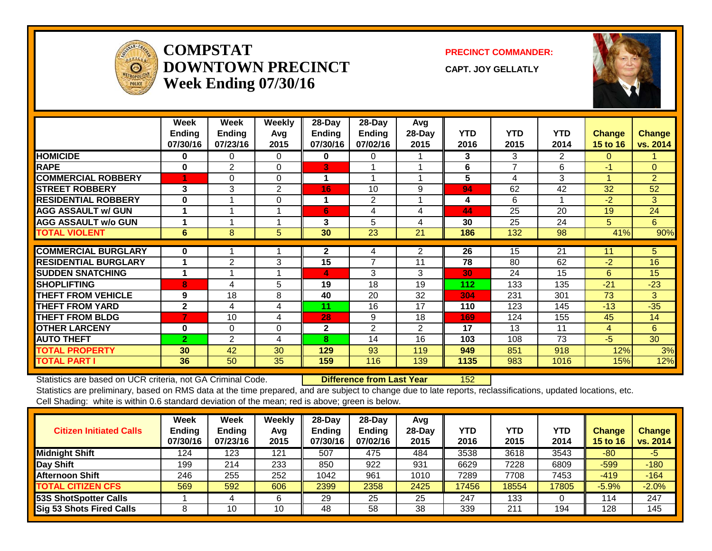

#### **COMPSTATDOWNTOWN PRECINCTWeek Ending 07/30/16**

**PRECINCT COMMANDER:**

**CAPT. JOY GELLATLY**



|                             | Week<br><b>Ending</b><br>07/30/16 | Week<br><b>Ending</b><br>07/23/16 | <b>Weekly</b><br>Avg<br>2015 | 28-Day<br><b>Ending</b><br>07/30/16 | 28-Day<br><b>Ending</b><br>07/02/16 | Avg<br>28-Day<br>2015 | <b>YTD</b><br>2016 | <b>YTD</b><br>2015 | <b>YTD</b><br>2014 | <b>Change</b><br>15 to 16 | <b>Change</b><br>vs. 2014 |
|-----------------------------|-----------------------------------|-----------------------------------|------------------------------|-------------------------------------|-------------------------------------|-----------------------|--------------------|--------------------|--------------------|---------------------------|---------------------------|
| <b>HOMICIDE</b>             | $\bf{0}$                          | 0                                 | 0                            | 0                                   | 0                                   |                       | 3                  | 3                  | $\overline{2}$     | 0                         |                           |
| <b>RAPE</b>                 | $\bf{0}$                          | 2                                 | 0                            | B                                   |                                     |                       | 6                  | 7                  | 6                  | $-1$                      | $\overline{0}$            |
| <b>COMMERCIAL ROBBERY</b>   |                                   | $\Omega$                          | $\Omega$                     | 1                                   |                                     |                       | 5                  | 4                  | 3                  | 1                         | $\overline{2}$            |
| <b>STREET ROBBERY</b>       | 3                                 | 3                                 | 2                            | 16                                  | 10                                  | 9                     | 94                 | 62                 | 42                 | 32                        | 52                        |
| <b>RESIDENTIAL ROBBERY</b>  | $\bf{0}$                          |                                   | $\Omega$                     |                                     | 2                                   |                       | 4                  | 6                  | 1                  | $-2$                      | 3                         |
| <b>AGG ASSAULT w/ GUN</b>   |                                   |                                   |                              | 6 <sup>1</sup>                      | 4                                   | 4                     | 44                 | 25                 | 20                 | 19                        | 24                        |
| <b>AGG ASSAULT w/o GUN</b>  |                                   |                                   |                              | 3                                   | 5                                   | 4                     | 30                 | 25                 | 24                 | 5                         | 6                         |
| <b>TOTAL VIOLENT</b>        | 6                                 | 8                                 | 5                            | 30                                  | 23                                  | 21                    | 186                | 132                | 98                 | 41%                       | 90%                       |
| <b>COMMERCIAL BURGLARY</b>  | $\bf{0}$                          |                                   |                              | $\mathbf{2}$                        | 4                                   | $\overline{2}$        | $\overline{26}$    | 15                 | $\overline{21}$    | 11                        | 5 <sup>5</sup>            |
| <b>RESIDENTIAL BURGLARY</b> |                                   | $\overline{2}$                    | 3                            | 15                                  | 7                                   | 11                    | 78                 | 80                 | 62                 | $-2$                      | 16                        |
| <b>SUDDEN SNATCHING</b>     |                                   |                                   |                              | 4                                   | 3                                   | 3                     | 30                 | 24                 | 15                 | 6                         | 15                        |
| <b>SHOPLIFTING</b>          | 8                                 | 4                                 | 5                            | 19                                  | 18                                  | 19                    | 112                | 133                | 135                | $-21$                     | $-23$                     |
| <b>THEFT FROM VEHICLE</b>   | 9                                 | 18                                | 8                            | 40                                  | 20                                  | 32                    | 304                | 231                | 301                | 73                        | 3                         |
| <b>THEFT FROM YARD</b>      | $\mathbf{2}$                      | 4                                 | 4                            | 11                                  | 16                                  | 17                    | 110                | 123                | 145                | $-13$                     | $-35$                     |
| <b>THEFT FROM BLDG</b>      | 7                                 | 10                                | 4                            | 28                                  | 9                                   | 18                    | 169                | 124                | 155                | 45                        | 14                        |
| <b>OTHER LARCENY</b>        | $\bf{0}$                          | $\mathbf 0$                       | 0                            | $\mathbf{2}$                        | 2                                   | $\overline{2}$        | 17                 | 13                 | 11                 | 4                         | 6                         |
| <b>AUTO THEFT</b>           | $\mathbf{2}$                      | 2                                 | 4                            | 8                                   | 14                                  | 16                    | 103                | 108                | 73                 | $-5$                      | 30                        |
| <b>TOTAL PROPERTY</b>       | 30                                | 42                                | 30                           | 129                                 | 93                                  | 119                   | 949                | 851                | 918                | 12%                       | 3%                        |
| <b>TOTAL PART I</b>         | 36                                | 50                                | 35                           | 159                                 | 116                                 | 139                   | 1135               | 983                | 1016               | 15%                       | 12%                       |

Statistics are based on UCR criteria, not GA Criminal Code. **Difference from Last Year** 152

| <b>Citizen Initiated Calls</b>  | Week<br>Ending<br>07/30/16 | <b>Week</b><br><b>Ending</b><br>07/23/16 | Weekly<br>Avg<br>2015 | $28$ -Day<br><b>Ending</b><br>07/30/16 | $28$ -Dav<br><b>Ending</b><br>07/02/16 | Avg<br>$28$ -Day<br>2015 | YTD<br>2016 | <b>YTD</b><br>2015 | YTD<br>2014 | Change<br>15 to 16 | Change<br>vs. 2014 |
|---------------------------------|----------------------------|------------------------------------------|-----------------------|----------------------------------------|----------------------------------------|--------------------------|-------------|--------------------|-------------|--------------------|--------------------|
| <b>Midnight Shift</b>           | 124                        | 123                                      | 121                   | 507                                    | 475                                    | 484                      | 3538        | 3618               | 3543        | $-80$              | $-5$               |
| Day Shift                       | 199                        | 214                                      | 233                   | 850                                    | 922                                    | 931                      | 6629        | 7228               | 6809        | $-599$             | $-180$             |
| <b>Afternoon Shift</b>          | 246                        | 255                                      | 252                   | 1042                                   | 961                                    | 1010                     | 7289        | 7708               | 7453        | $-419$             | $-164$             |
| <b>TOTAL CITIZEN CFS</b>        | 569                        | 592                                      | 606                   | 2399                                   | 2358                                   | 2425                     | 17456       | 18554              | 17805       | $-5.9%$            | $-2.0%$            |
| 53S ShotSpotter Calls           |                            |                                          | 6                     | 29                                     | 25                                     | 25                       | 247         | 133                |             | 114                | 247                |
| <b>Sig 53 Shots Fired Calls</b> |                            | 10                                       | 10                    | 48                                     | 58                                     | 38                       | 339         | 211                | 194         | 128                | 145                |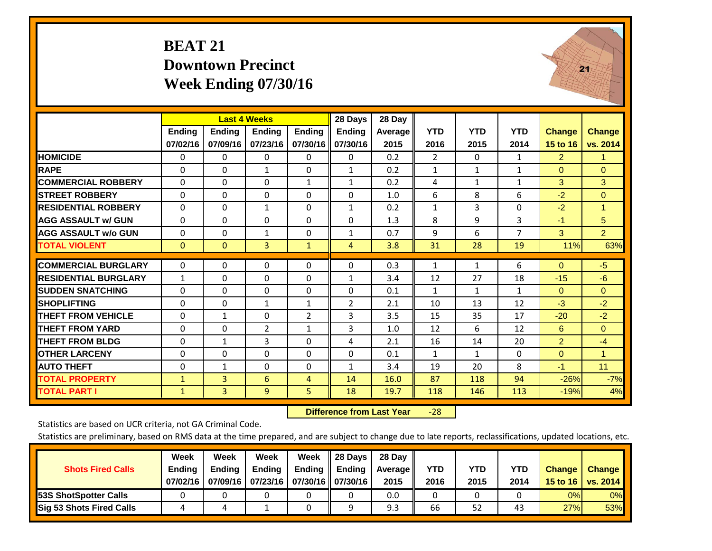## **BEAT 21 Downtown Precinct Week Ending 07/30/16**



|                             |               | <b>Last 4 Weeks</b> |                |                | 28 Days        | 28 Day  |                |              |                |                 |                |
|-----------------------------|---------------|---------------------|----------------|----------------|----------------|---------|----------------|--------------|----------------|-----------------|----------------|
|                             | <b>Ending</b> | <b>Ending</b>       | <b>Ending</b>  | <b>Ending</b>  | <b>Ending</b>  | Average | <b>YTD</b>     | <b>YTD</b>   | <b>YTD</b>     | <b>Change</b>   | <b>Change</b>  |
|                             | 07/02/16      | 07/09/16            | 07/23/16       | 07/30/16       | 07/30/16       | 2015    | 2016           | 2015         | 2014           | <b>15 to 16</b> | vs. 2014       |
| <b>HOMICIDE</b>             | 0             | $\mathbf{0}$        | 0              | 0              | 0              | 0.2     | $\overline{2}$ | $\Omega$     | 1              | $\overline{2}$  | 1.             |
| <b>RAPE</b>                 | $\Omega$      | $\Omega$            | 1              | $\Omega$       | $\mathbf{1}$   | 0.2     | $\mathbf{1}$   | 1            | 1              | $\Omega$        | $\Omega$       |
| <b>COMMERCIAL ROBBERY</b>   | $\Omega$      | $\Omega$            | $\Omega$       | $\mathbf{1}$   | $\mathbf{1}$   | 0.2     | 4              | 1            | $\mathbf{1}$   | 3               | 3              |
| <b>ISTREET ROBBERY</b>      | $\Omega$      | $\Omega$            | $\Omega$       | 0              | 0              | 1.0     | 6              | 8            | 6              | $-2$            | $\mathbf{0}$   |
| <b>RESIDENTIAL ROBBERY</b>  | $\Omega$      | $\Omega$            | $\mathbf{1}$   | $\Omega$       | $\mathbf{1}$   | 0.2     | $\mathbf{1}$   | 3            | $\Omega$       | $-2$            | 1              |
| <b>AGG ASSAULT w/ GUN</b>   | $\Omega$      | $\Omega$            | $\Omega$       | $\Omega$       | $\Omega$       | 1.3     | 8              | 9            | 3              | $-1$            | 5              |
| <b>AGG ASSAULT w/o GUN</b>  | $\Omega$      | $\Omega$            | 1              | $\Omega$       | $\mathbf{1}$   | 0.7     | 9              | 6            | $\overline{7}$ | 3               | $\overline{2}$ |
| <b>TOTAL VIOLENT</b>        | $\mathbf{0}$  | $\Omega$            | 3              | $\mathbf{1}$   | 4              | 3.8     | 31             | 28           | 19             | 11%             | 63%            |
| <b>COMMERCIAL BURGLARY</b>  | $\mathbf{0}$  | $\Omega$            | 0              | $\Omega$       | $\Omega$       | 0.3     | $\mathbf{1}$   | 1            | 6              | $\Omega$        | $-5$           |
| <b>RESIDENTIAL BURGLARY</b> | $\mathbf{1}$  | $\Omega$            | $\Omega$       | $\Omega$       | $\mathbf{1}$   | 3.4     | 12             | 27           | 18             | $-15$           | $-6$           |
| <b>ISUDDEN SNATCHING</b>    | $\Omega$      | $\Omega$            | $\Omega$       | $\Omega$       | $\Omega$       | 0.1     | $\mathbf{1}$   | $\mathbf{1}$ | $\mathbf{1}$   | $\Omega$        | $\overline{0}$ |
| <b>SHOPLIFTING</b>          | $\Omega$      | $\Omega$            | 1              | $\mathbf{1}$   | $\overline{2}$ | 2.1     | 10             | 13           | 12             | $-3$            | $-2$           |
| <b>THEFT FROM VEHICLE</b>   | $\Omega$      | $\mathbf{1}$        | $\mathbf{0}$   | $\overline{2}$ | 3              | 3.5     | 15             | 35           | 17             | $-20$           | $-2$           |
| <b>THEFT FROM YARD</b>      | $\mathbf 0$   | $\Omega$            | $\overline{2}$ | $\mathbf{1}$   | 3              | 1.0     | 12             | 6            | 12             | 6               | $\Omega$       |
| <b>THEFT FROM BLDG</b>      | 0             | $\mathbf{1}$        | 3              | $\Omega$       | 4              | 2.1     | 16             | 14           | 20             | $\overline{2}$  | $-4$           |
| <b>OTHER LARCENY</b>        | 0             | $\Omega$            | $\Omega$       | $\Omega$       | 0              | 0.1     | $\mathbf{1}$   | $\mathbf 1$  | 0              | $\Omega$        | 1              |
| <b>AUTO THEFT</b>           | 0             | $\mathbf{1}$        | $\Omega$       | 0              | $\mathbf{1}$   | 3.4     | 19             | 20           | 8              | $-1$            | 11             |
| <b>TOTAL PROPERTY</b>       | $\mathbf{1}$  | 3                   | 6              | 4              | 14             | 16.0    | 87             | 118          | 94             | $-26%$          | $-7%$          |
| <b>TOTAL PART I</b>         | $\mathbf{1}$  | $\overline{3}$      | 9              | 5              | 18             | 19.7    | 118            | 146          | 113            | $-19%$          | 4%             |

 **Difference from Last Year**‐28

Statistics are based on UCR criteria, not GA Criminal Code.

| <b>Shots Fired Calls</b>        | Week<br><b>Ending</b><br>07/02/16 | Week<br><b>Endina</b><br>07/09/16 | Week<br><b>Ending</b><br>  07/23/16   07/30/16    07/30/16 | Week<br>Ending | 28 Days<br><b>Ending</b> | 28 Day<br>Average II<br>2015 | YTD<br>2016 | YTD<br>2015 | YTD<br>2014 | <b>Change</b><br>15 to 16 $\vert$ | <b>Change</b><br>vs. 2014 |
|---------------------------------|-----------------------------------|-----------------------------------|------------------------------------------------------------|----------------|--------------------------|------------------------------|-------------|-------------|-------------|-----------------------------------|---------------------------|
| <b>153S ShotSpotter Calls</b>   |                                   |                                   |                                                            |                |                          | 0.0                          |             |             |             | 0%                                | 0%                        |
| <b>Sig 53 Shots Fired Calls</b> |                                   |                                   |                                                            |                |                          | 9.3                          | 66          | 52          | 43          | 27%                               | 53%                       |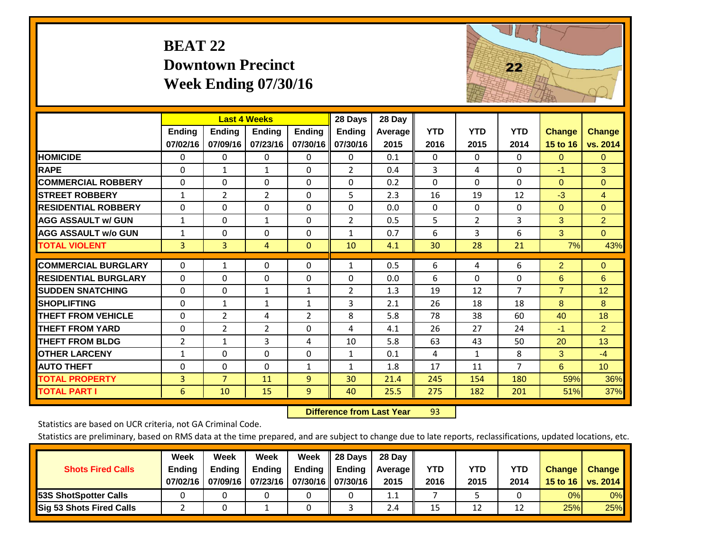## **BEAT 22 Downtown Precinct Week Ending 07/30/16**



|                             |                    | <b>Last 4 Weeks</b>       |                           |                           | 28 Days                   | 28 Day                 |                    |                    |                    |                           |                           |
|-----------------------------|--------------------|---------------------------|---------------------------|---------------------------|---------------------------|------------------------|--------------------|--------------------|--------------------|---------------------------|---------------------------|
|                             | Ending<br>07/02/16 | <b>Endina</b><br>07/09/16 | <b>Endina</b><br>07/23/16 | <b>Ending</b><br>07/30/16 | <b>Ending</b><br>07/30/16 | <b>Average</b><br>2015 | <b>YTD</b><br>2016 | <b>YTD</b><br>2015 | <b>YTD</b><br>2014 | <b>Change</b><br>15 to 16 | <b>Change</b><br>vs. 2014 |
| <b>HOMICIDE</b>             | 0                  | 0                         | 0                         | $\Omega$                  | 0                         | 0.1                    | $\Omega$           | 0                  | $\Omega$           | $\mathbf{0}$              | $\mathbf{0}$              |
| <b>RAPE</b>                 | $\Omega$           | 1                         | 1                         | 0                         | 2                         | 0.4                    | 3                  | 4                  | $\Omega$           | $-1$                      | 3                         |
| <b>COMMERCIAL ROBBERY</b>   | $\Omega$           | 0                         | $\mathbf 0$               | $\Omega$                  | $\Omega$                  | 0.2                    | $\Omega$           | $\Omega$           | $\Omega$           | $\Omega$                  | $\Omega$                  |
| <b>STREET ROBBERY</b>       | $\mathbf{1}$       | $\overline{2}$            | 2                         | $\Omega$                  | 5                         | 2.3                    | 16                 | 19                 | 12                 | $-3$                      | $\overline{4}$            |
| <b>RESIDENTIAL ROBBERY</b>  | $\Omega$           | 0                         | $\Omega$                  | $\Omega$                  | $\Omega$                  | 0.0                    | $\mathbf{0}$       | $\Omega$           | 0                  | $\Omega$                  | $\Omega$                  |
| <b>AGG ASSAULT w/ GUN</b>   | $\mathbf{1}$       | 0                         | 1                         | $\Omega$                  | $\overline{2}$            | 0.5                    | 5                  | $\overline{2}$     | 3                  | 3                         | $\overline{2}$            |
| <b>AGG ASSAULT w/o GUN</b>  | $\mathbf{1}$       | 0                         | $\Omega$                  | $\Omega$                  | $\mathbf{1}$              | 0.7                    | 6                  | 3                  | 6                  | 3                         | $\Omega$                  |
| <b>TOTAL VIOLENT</b>        | 3                  | $\overline{3}$            | 4                         | $\mathbf{0}$              | 10                        | 4.1                    | 30                 | 28                 | 21                 | 7%                        | 43%                       |
| <b>COMMERCIAL BURGLARY</b>  | 0                  | 1                         | $\mathbf 0$               | 0                         | 1                         | 0.5                    | 6                  | 4                  | 6                  | $\overline{2}$            | $\overline{0}$            |
| <b>RESIDENTIAL BURGLARY</b> | $\Omega$           | 0                         | $\Omega$                  | $\Omega$                  | $\Omega$                  | 0.0                    | 6                  | $\Omega$           | 0                  | 6                         | 6                         |
| <b>SUDDEN SNATCHING</b>     | $\Omega$           | 0                         | $\mathbf{1}$              | $\mathbf{1}$              | $\overline{2}$            | 1.3                    | 19                 | 12                 | $\overline{7}$     | $\overline{7}$            | 12                        |
| <b>SHOPLIFTING</b>          | $\Omega$           | 1                         | 1                         | 1                         | 3                         | 2.1                    | 26                 | 18                 | 18                 | 8                         | 8                         |
| <b>THEFT FROM VEHICLE</b>   | $\Omega$           | $\overline{2}$            | 4                         | $\overline{2}$            | 8                         | 5.8                    | 78                 | 38                 | 60                 | 40                        | 18                        |
| <b>THEFT FROM YARD</b>      | $\Omega$           | $\overline{2}$            | $\overline{2}$            | $\Omega$                  | 4                         | 4.1                    | 26                 | 27                 | 24                 | $-1$                      | $\overline{2}$            |
| <b>THEFT FROM BLDG</b>      | $\overline{2}$     | $\mathbf{1}$              | 3                         | 4                         | 10                        | 5.8                    | 63                 | 43                 | 50                 | 20                        | 13                        |
| <b>OTHER LARCENY</b>        | 1                  | 0                         | $\Omega$                  | $\Omega$                  | $\mathbf{1}$              | 0.1                    | 4                  | 1                  | 8                  | 3                         | $-4$                      |
| <b>AUTO THEFT</b>           | $\Omega$           | 0                         | $\Omega$                  | $\mathbf{1}$              | $\mathbf{1}$              | 1.8                    | 17                 | 11                 | $\overline{7}$     | 6                         | 10 <sup>°</sup>           |
| <b>TOTAL PROPERTY</b>       | $\overline{3}$     | $\overline{7}$            | 11                        | 9                         | 30                        | 21.4                   | 245                | 154                | 180                | 59%                       | 36%                       |
| <b>TOTAL PART I</b>         | 6                  | 10                        | 15                        | $\overline{9}$            | 40                        | 25.5                   | 275                | 182                | 201                | 51%                       | 37%                       |

 **Difference from Last Year**r 93

Statistics are based on UCR criteria, not GA Criminal Code.

| <b>Shots Fired Calls</b>        | Week<br><b>Ending</b><br>07/02/16 | Week<br><b>Endina</b><br>07/09/16 | Week<br><b>Ending</b><br>  07/23/16   07/30/16    07/30/16 | Week<br>Ending | 28 Days<br><b>Ending</b> | 28 Day<br>Average II<br>2015 | YTD<br>2016 | YTD<br>2015 | YTD<br>2014 | <b>Change</b><br>15 to 16 $\vert$ | <b>Change</b><br>vs. 2014 |
|---------------------------------|-----------------------------------|-----------------------------------|------------------------------------------------------------|----------------|--------------------------|------------------------------|-------------|-------------|-------------|-----------------------------------|---------------------------|
| <b>153S ShotSpotter Calls</b>   |                                   |                                   |                                                            |                |                          | 1.1                          |             |             |             | 0%                                | 0%                        |
| <b>Sig 53 Shots Fired Calls</b> |                                   |                                   |                                                            |                |                          | 2.4                          | 15          | 12          | 1.          | 25%                               | 25%                       |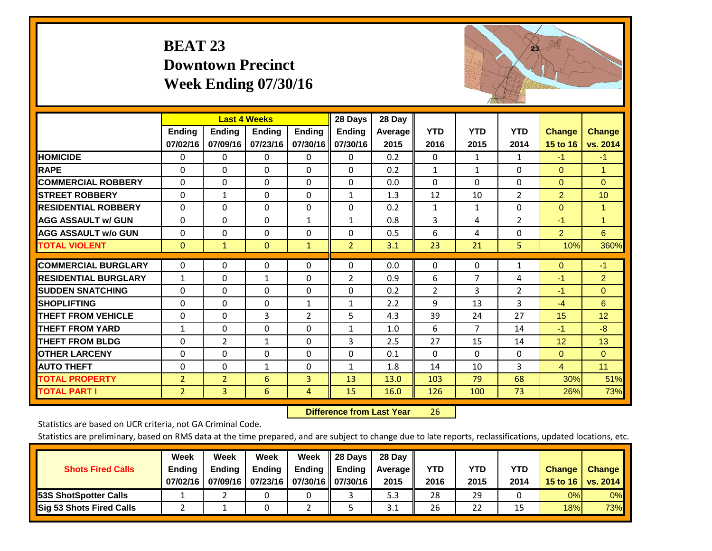## **BEAT 23 Downtown Precinct Week Ending 07/30/16**



|                             |                    |                           | <b>Last 4 Weeks</b>       |                           | 28 Days                   | 28 Day                 |                    |                    |                    |                           |                           |
|-----------------------------|--------------------|---------------------------|---------------------------|---------------------------|---------------------------|------------------------|--------------------|--------------------|--------------------|---------------------------|---------------------------|
|                             | Ending<br>07/02/16 | <b>Ending</b><br>07/09/16 | <b>Endina</b><br>07/23/16 | <b>Ending</b><br>07/30/16 | <b>Ending</b><br>07/30/16 | <b>Average</b><br>2015 | <b>YTD</b><br>2016 | <b>YTD</b><br>2015 | <b>YTD</b><br>2014 | <b>Change</b><br>15 to 16 | <b>Change</b><br>vs. 2014 |
| <b>HOMICIDE</b>             | 0                  | 0                         | 0                         | 0                         | 0                         | 0.2                    | $\Omega$           | $\mathbf{1}$       | 1                  | $-1$                      | $-1$                      |
| <b>RAPE</b>                 | $\Omega$           | 0                         | $\mathbf{0}$              | $\Omega$                  | $\Omega$                  | 0.2                    | 1                  | 1                  | $\Omega$           | $\Omega$                  | 1                         |
| <b>COMMERCIAL ROBBERY</b>   | $\Omega$           | $\Omega$                  | $\mathbf 0$               | $\Omega$                  | $\Omega$                  | 0.0                    | $\Omega$           | 0                  | $\Omega$           | $\Omega$                  | $\Omega$                  |
| <b>STREET ROBBERY</b>       | 0                  | $\mathbf{1}$              | 0                         | $\Omega$                  | $\mathbf{1}$              | 1.3                    | 12                 | 10                 | 2                  | $\overline{2}$            | 10                        |
| <b>RESIDENTIAL ROBBERY</b>  | $\Omega$           | 0                         | $\mathbf 0$               | $\Omega$                  | $\Omega$                  | 0.2                    | $\mathbf{1}$       | 1                  | 0                  | $\Omega$                  | 1                         |
| <b>AGG ASSAULT w/ GUN</b>   | $\Omega$           | 0                         | 0                         | 1                         | $\mathbf{1}$              | 0.8                    | 3                  | 4                  | $\overline{2}$     | $-1$                      | 1                         |
| <b>AGG ASSAULT w/o GUN</b>  | $\Omega$           | 0                         | $\Omega$                  | $\Omega$                  | $\Omega$                  | 0.5                    | 6                  | 4                  | $\Omega$           | $\overline{2}$            | 6                         |
| <b>TOTAL VIOLENT</b>        | $\mathbf{0}$       | $\mathbf{1}$              | $\mathbf{0}$              | $\mathbf{1}$              | $\overline{2}$            | 3.1                    | 23                 | 21                 | 5                  | 10%                       | 360%                      |
| <b>COMMERCIAL BURGLARY</b>  | 0                  | 0                         | 0                         | 0                         | $\Omega$                  | 0.0                    | $\mathbf 0$        | 0                  | 1                  | $\mathbf{0}$              | $-1$                      |
| <b>RESIDENTIAL BURGLARY</b> | $\mathbf{1}$       | 0                         | $\mathbf{1}$              | $\Omega$                  | $\overline{2}$            | 0.9                    | 6                  | 7                  | 4                  | $-1$                      | $\overline{2}$            |
| <b>SUDDEN SNATCHING</b>     | $\Omega$           | 0                         | $\Omega$                  | $\Omega$                  | $\Omega$                  | 0.2                    | $\overline{2}$     | 3                  | $\overline{2}$     | $-1$                      | $\Omega$                  |
| <b>SHOPLIFTING</b>          | $\Omega$           | 0                         | $\mathbf{0}$              | $\mathbf{1}$              | $\mathbf{1}$              | 2.2                    | 9                  | 13                 | 3                  | $-4$                      | 6                         |
| <b>THEFT FROM VEHICLE</b>   | $\Omega$           | 0                         | 3                         | $\overline{2}$            | 5                         | 4.3                    | 39                 | 24                 | 27                 | 15                        | 12                        |
| <b>THEFT FROM YARD</b>      | $\mathbf{1}$       | $\Omega$                  | 0                         | $\Omega$                  | 1                         | 1.0                    | 6                  | $\overline{7}$     | 14                 | $-1$                      | $-8$                      |
| <b>THEFT FROM BLDG</b>      | 0                  | $\overline{2}$            | $\mathbf{1}$              | $\Omega$                  | 3                         | 2.5                    | 27                 | 15                 | 14                 | 12                        | 13                        |
| <b>OTHER LARCENY</b>        | $\Omega$           | 0                         | $\mathbf{0}$              | $\Omega$                  | $\Omega$                  | 0.1                    | $\Omega$           | 0                  | $\Omega$           | $\Omega$                  | $\Omega$                  |
| <b>AUTO THEFT</b>           | 0                  | $\Omega$                  | $\mathbf{1}$              | 0                         | $\mathbf{1}$              | 1.8                    | 14                 | 10                 | 3                  | $\overline{4}$            | 11                        |
| <b>TOTAL PROPERTY</b>       | $\overline{2}$     | $\overline{2}$            | 6                         | 3                         | 13                        | 13.0                   | 103                | 79                 | 68                 | 30%                       | 51%                       |
| <b>TOTAL PART I</b>         | $\overline{2}$     | $\overline{3}$            | 6                         | $\overline{4}$            | 15                        | 16.0                   | 126                | 100                | 73                 | 26%                       | 73%                       |

 **Difference from Last Year**r 26

Statistics are based on UCR criteria, not GA Criminal Code.

| <b>Shots Fired Calls</b>        | Week<br><b>Ending</b><br>07/02/16 | Week<br><b>Endina</b><br>07/09/16 | Week<br>Ending<br>  07/23/16   07/30/16    07/30/16 | Week<br>Ending | 28 Days<br><b>Ending</b> | 28 Day<br>Average II<br>2015 | YTD<br>2016 | YTD<br>2015 | YTD<br>2014 | <b>Change</b><br>15 to 16 $\vert$ | <b>Change</b><br>vs. 2014 |
|---------------------------------|-----------------------------------|-----------------------------------|-----------------------------------------------------|----------------|--------------------------|------------------------------|-------------|-------------|-------------|-----------------------------------|---------------------------|
| <b>153S ShotSpotter Calls</b>   |                                   |                                   |                                                     |                |                          | 5.3                          | 28          | 29          |             | 0%                                | 0%                        |
| <b>Sig 53 Shots Fired Calls</b> |                                   |                                   |                                                     |                |                          | 3.1                          | 26          | 22          |             | 18%                               | <b>73%</b>                |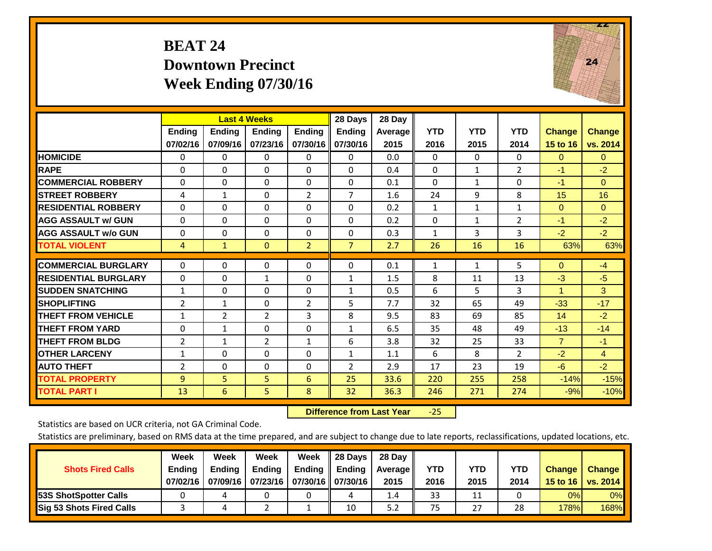## **BEAT 24 Downtown Precinct Week Ending 07/30/16**



|                             |                | <b>Last 4 Weeks</b> |                |                | 28 Days        | 28 Day  |              |              |                |                |                |
|-----------------------------|----------------|---------------------|----------------|----------------|----------------|---------|--------------|--------------|----------------|----------------|----------------|
|                             | <b>Ending</b>  | <b>Ending</b>       | <b>Endina</b>  | <b>Endina</b>  | <b>Ending</b>  | Average | <b>YTD</b>   | <b>YTD</b>   | <b>YTD</b>     | <b>Change</b>  | <b>Change</b>  |
|                             | 07/02/16       | 07/09/16            | 07/23/16       | 07/30/16       | 07/30/16       | 2015    | 2016         | 2015         | 2014           | 15 to 16       | vs. 2014       |
| <b>HOMICIDE</b>             | $\mathbf{0}$   | $\mathbf{0}$        | $\Omega$       | $\Omega$       | 0              | 0.0     | $\Omega$     | $\Omega$     | $\Omega$       | $\Omega$       | $\mathbf{0}$   |
| <b>RAPE</b>                 | $\Omega$       | $\Omega$            | $\Omega$       | $\Omega$       | $\Omega$       | 0.4     | $\Omega$     | $\mathbf{1}$ | $\overline{2}$ | $-1$           | $-2$           |
| <b>COMMERCIAL ROBBERY</b>   | $\Omega$       | $\Omega$            | $\Omega$       | $\mathbf{0}$   | $\Omega$       | 0.1     | $\Omega$     | $\mathbf{1}$ | $\Omega$       | $-1$           | $\Omega$       |
| <b>STREET ROBBERY</b>       | 4              | $\mathbf{1}$        | $\Omega$       | $\overline{2}$ | $\overline{7}$ | 1.6     | 24           | 9            | 8              | 15             | 16             |
| <b>RESIDENTIAL ROBBERY</b>  | 0              | 0                   | $\Omega$       | $\Omega$       | 0              | 0.2     | 1            | 1            | $\mathbf{1}$   | $\mathbf{0}$   | $\Omega$       |
| <b>AGG ASSAULT w/ GUN</b>   | 0              | 0                   | $\Omega$       | $\Omega$       | 0              | 0.2     | $\Omega$     | 1            | $\overline{2}$ | $-1$           | $-2$           |
| <b>AGG ASSAULT w/o GUN</b>  | $\Omega$       | $\Omega$            | $\Omega$       | $\Omega$       | $\Omega$       | 0.3     | $\mathbf{1}$ | 3            | 3              | $-2$           | $-2$           |
| <b>TOTAL VIOLENT</b>        | $\overline{4}$ | $\mathbf{1}$        | $\Omega$       | $\overline{2}$ | $\overline{7}$ | 2.7     | 26           | 16           | 16             | 63%            | 63%            |
|                             |                |                     |                |                |                |         |              |              |                |                |                |
| <b>COMMERCIAL BURGLARY</b>  | $\Omega$       | $\Omega$            | $\Omega$       | $\mathbf 0$    | $\Omega$       | 0.1     | 1            | 1            | 5              | $\mathbf{0}$   | $-4$           |
| <b>RESIDENTIAL BURGLARY</b> | $\Omega$       | 0                   | $\mathbf{1}$   | $\Omega$       | 1              | 1.5     | 8            | 11           | 13             | $-3$           | $-5$           |
| <b>ISUDDEN SNATCHING</b>    | $\mathbf{1}$   | 0                   | $\Omega$       | $\Omega$       | $\mathbf{1}$   | 0.5     | 6            | 5.           | 3              | 1              | 3              |
| <b>SHOPLIFTING</b>          | 2              | $\mathbf{1}$        | $\Omega$       | $\overline{2}$ | 5              | 7.7     | 32           | 65           | 49             | $-33$          | $-17$          |
| <b>THEFT FROM VEHICLE</b>   | $\mathbf{1}$   | $\overline{2}$      | $\overline{2}$ | 3              | 8              | 9.5     | 83           | 69           | 85             | 14             | $-2$           |
| <b>THEFT FROM YARD</b>      | 0              | $\mathbf{1}$        | $\Omega$       | $\Omega$       | $\mathbf{1}$   | 6.5     | 35           | 48           | 49             | $-13$          | $-14$          |
| <b>THEFT FROM BLDG</b>      | 2              | $\mathbf{1}$        | $\overline{2}$ | 1              | 6              | 3.8     | 32           | 25           | 33             | $\overline{7}$ | $-1$           |
| <b>OTHER LARCENY</b>        | $\mathbf{1}$   | 0                   | $\Omega$       | 0              | $\mathbf{1}$   | 1.1     | 6            | 8            | 2              | $-2$           | $\overline{4}$ |
| <b>AUTO THEFT</b>           | 2              | $\Omega$            | $\Omega$       | $\Omega$       | $\overline{2}$ | 2.9     | 17           | 23           | 19             | $-6$           | $-2$           |
| <b>TOTAL PROPERTY</b>       | 9              | 5                   | 5              | 6              | 25             | 33.6    | 220          | 255          | 258            | $-14%$         | $-15%$         |
| <b>TOTAL PART I</b>         | 13             | 6                   | 5.             | 8              | 32             | 36.3    | 246          | 271          | 274            | $-9%$          | $-10%$         |

 **Difference from Last Year**‐25

Statistics are based on UCR criteria, not GA Criminal Code.

| <b>Shots Fired Calls</b>        | Week<br><b>Ending</b><br>07/02/16 | Week<br><b>Endina</b><br>07/09/16 | Week<br>Ending<br>  07/23/16   07/30/16    07/30/16 | Week<br>Ending | 28 Days<br><b>Ending</b> | 28 Day<br>Average II<br>2015 | YTD<br>2016 | YTD<br>2015 | YTD<br>2014 | <b>Change</b><br>15 to 16 | <b>Change</b><br>vs. 2014 |
|---------------------------------|-----------------------------------|-----------------------------------|-----------------------------------------------------|----------------|--------------------------|------------------------------|-------------|-------------|-------------|---------------------------|---------------------------|
| <b>153S ShotSpotter Calls</b>   |                                   |                                   |                                                     |                | 4                        | 1.4                          | 33          | 11          |             | 0%                        | 0%                        |
| <b>Sig 53 Shots Fired Calls</b> |                                   |                                   |                                                     |                | 10                       | 5.2                          | 75          | 27          | 28          | 178%                      | 168%                      |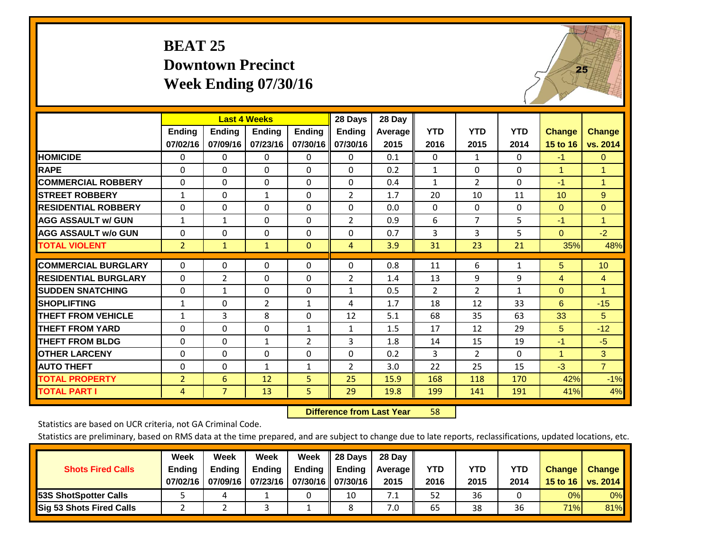## **BEAT 25 Downtown Precinct Week Ending 07/30/16**



|                             |                           | <b>Last 4 Weeks</b>       |                           |                           | 28 Days                   | 28 Day          |                    |                    |                    |                           |                           |
|-----------------------------|---------------------------|---------------------------|---------------------------|---------------------------|---------------------------|-----------------|--------------------|--------------------|--------------------|---------------------------|---------------------------|
|                             | <b>Ending</b><br>07/02/16 | <b>Ending</b><br>07/09/16 | <b>Ending</b><br>07/23/16 | <b>Endina</b><br>07/30/16 | <b>Ending</b><br>07/30/16 | Average<br>2015 | <b>YTD</b><br>2016 | <b>YTD</b><br>2015 | <b>YTD</b><br>2014 | <b>Change</b><br>15 to 16 | <b>Change</b><br>vs. 2014 |
| <b>HOMICIDE</b>             | 0                         | $\Omega$                  | 0                         | 0                         | $\Omega$                  | 0.1             | $\mathbf{0}$       | $\mathbf{1}$       | 0                  | $-1$                      | $\mathbf{0}$              |
| <b>RAPE</b>                 | 0                         | $\Omega$                  | $\Omega$                  | $\Omega$                  | 0                         | 0.2             | 1                  | 0                  | $\Omega$           | 1                         | 1.                        |
| <b>COMMERCIAL ROBBERY</b>   | 0                         | $\Omega$                  | $\mathbf 0$               | 0                         | $\Omega$                  | 0.4             | 1                  | $\overline{2}$     | 0                  | $-1$                      | $\mathbf{1}$              |
| <b>ISTREET ROBBERY</b>      | $\mathbf{1}$              | $\Omega$                  | $\mathbf{1}$              | $\Omega$                  | $\overline{2}$            | 1.7             | 20                 | 10                 | 11                 | 10 <sup>1</sup>           | 9                         |
| <b>RESIDENTIAL ROBBERY</b>  | 0                         | $\Omega$                  | $\Omega$                  | 0                         | $\Omega$                  | 0.0             | $\mathbf{0}$       | 0                  | 0                  | $\mathbf{0}$              | $\Omega$                  |
| <b>AGG ASSAULT w/ GUN</b>   | $\mathbf{1}$              | $\mathbf{1}$              | $\Omega$                  | $\Omega$                  | 2                         | 0.9             | 6                  | $\overline{7}$     | 5                  | $-1$                      | 1.                        |
| <b>AGG ASSAULT w/o GUN</b>  | 0                         | $\Omega$                  | $\mathbf{0}$              | 0                         | $\Omega$                  | 0.7             | 3                  | 3                  | 5                  | $\Omega$                  | $-2$                      |
| <b>TOTAL VIOLENT</b>        | $\overline{2}$            | 1                         | $\mathbf{1}$              | $\mathbf{0}$              | 4                         | 3.9             | 31                 | 23                 | 21                 | 35%                       | 48%                       |
| <b>COMMERCIAL BURGLARY</b>  | $\Omega$                  | $\Omega$                  | $\Omega$                  | $\Omega$                  | 0                         | 0.8             | 11                 | 6                  | $\mathbf{1}$       | 5                         | 10                        |
| <b>RESIDENTIAL BURGLARY</b> | $\Omega$                  | 2                         | $\Omega$                  | 0                         | 2                         | 1.4             | 13                 | 9                  | 9                  | 4                         | 4                         |
| <b>ISUDDEN SNATCHING</b>    | $\Omega$                  | 1                         | $\Omega$                  | $\Omega$                  | $\mathbf{1}$              | 0.5             | 2                  | $\overline{2}$     | $\mathbf{1}$       | $\Omega$                  | 1                         |
| <b>SHOPLIFTING</b>          | $\mathbf{1}$              | $\Omega$                  | $\overline{2}$            | $\mathbf{1}$              | 4                         | 1.7             | 18                 | 12                 | 33                 | 6                         | $-15$                     |
| <b>THEFT FROM VEHICLE</b>   | 1                         | 3                         | 8                         | 0                         | 12                        | 5.1             | 68                 | 35                 | 63                 | 33                        | 5                         |
| <b>THEFT FROM YARD</b>      | $\Omega$                  | $\Omega$                  | $\Omega$                  | $\mathbf{1}$              | $\mathbf{1}$              | 1.5             | 17                 | 12                 | 29                 | 5                         | $-12$                     |
| <b>THEFT FROM BLDG</b>      | 0                         | 0                         | $\mathbf{1}$              | 2                         | 3                         | 1.8             | 14                 | 15                 | 19                 | $-1$                      | $-5$                      |
| <b>OTHER LARCENY</b>        | 0                         | $\Omega$                  | $\Omega$                  | 0                         | $\Omega$                  | 0.2             | 3                  | $\overline{2}$     | $\Omega$           | 1                         | 3                         |
| <b>AUTO THEFT</b>           | 0                         | 0                         | $\mathbf{1}$              | $\mathbf{1}$              | 2                         | 3.0             | 22                 | 25                 | 15                 | $-3$                      | $\overline{7}$            |
| <b>TOTAL PROPERTY</b>       | $\overline{2}$            | 6                         | 12                        | 5                         | 25                        | 15.9            | 168                | 118                | 170                | 42%                       | $-1%$                     |
| <b>TOTAL PART I</b>         | 4                         | $\overline{7}$            | 13                        | 5                         | 29                        | 19.8            | 199                | 141                | 191                | 41%                       | 4%                        |

 **Difference from Last Year**r 58

Statistics are based on UCR criteria, not GA Criminal Code.

| <b>Shots Fired Calls</b>        | Week<br><b>Ending</b><br>07/02/16 | Week<br><b>Endina</b><br>07/09/16 | Week<br>Ending<br>  07/23/16   07/30/16    07/30/16 | Week<br>Ending | 28 Days<br><b>Ending</b> | 28 Day<br>Average II<br>2015 | YTD<br>2016 | YTD<br>2015 | YTD<br>2014 | <b>Change</b><br>15 to 16 $\vert$ | <b>Change</b><br>vs. 2014 |
|---------------------------------|-----------------------------------|-----------------------------------|-----------------------------------------------------|----------------|--------------------------|------------------------------|-------------|-------------|-------------|-----------------------------------|---------------------------|
| <b>153S ShotSpotter Calls</b>   |                                   |                                   |                                                     |                | 10                       | 7.1                          | 52          | 36          |             | 0%                                | 0%                        |
| <b>Sig 53 Shots Fired Calls</b> |                                   |                                   |                                                     |                |                          | 7.0                          | 65          | 38          | 36          | 71%                               | 81%                       |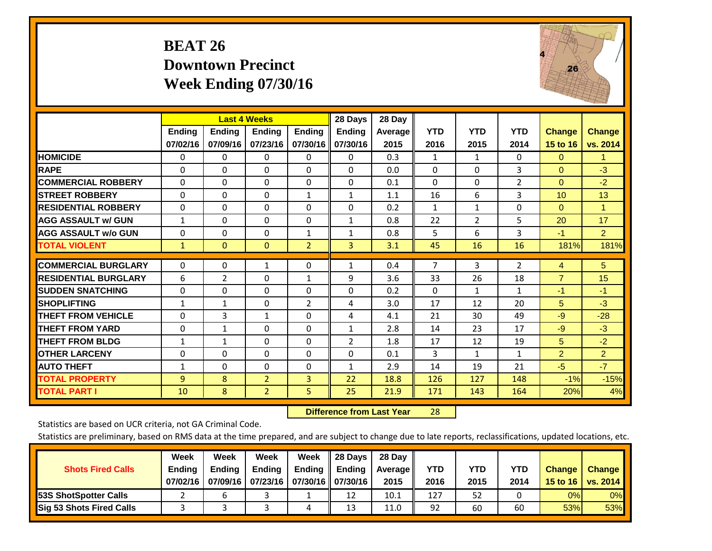## **BEAT 26 Downtown Precinct Week Ending 07/30/16**



|                             |               | <b>Last 4 Weeks</b> |                |                | 28 Days        | 28 Day  |                |              |                |                |                      |
|-----------------------------|---------------|---------------------|----------------|----------------|----------------|---------|----------------|--------------|----------------|----------------|----------------------|
|                             | <b>Ending</b> | <b>Ending</b>       | <b>Ending</b>  | <b>Ending</b>  | <b>Ending</b>  | Average | <b>YTD</b>     | <b>YTD</b>   | <b>YTD</b>     | <b>Change</b>  | <b>Change</b>        |
|                             | 07/02/16      | 07/09/16            | 07/23/16       | 07/30/16       | 07/30/16       | 2015    | 2016           | 2015         | 2014           | 15 to 16       | vs. 2014             |
| <b>HOMICIDE</b>             | 0             | 0                   | $\Omega$       | 0              | $\mathbf{0}$   | 0.3     | 1              | $\mathbf{1}$ | 0              | $\mathbf{0}$   | 1.                   |
| <b>RAPE</b>                 | 0             | $\Omega$            | $\Omega$       | $\Omega$       | $\Omega$       | 0.0     | $\Omega$       | $\Omega$     | 3              | $\Omega$       | $-3$                 |
| <b>COMMERCIAL ROBBERY</b>   | $\Omega$      | 0                   | $\Omega$       | $\Omega$       | $\Omega$       | 0.1     | $\Omega$       | $\mathbf{0}$ | $\overline{2}$ | $\mathbf{0}$   | $-2$                 |
| <b>ISTREET ROBBERY</b>      | $\Omega$      | $\Omega$            | $\Omega$       | 1              | $\mathbf{1}$   | 1.1     | 16             | 6            | 3              | 10             | 13                   |
| <b>RESIDENTIAL ROBBERY</b>  | $\Omega$      | 0                   | $\mathbf{0}$   | 0              | $\Omega$       | 0.2     | $\mathbf{1}$   | 1            | 0              | $\mathbf{0}$   | $\blacktriangleleft$ |
| <b>AGG ASSAULT w/ GUN</b>   | $\mathbf{1}$  | 0                   | $\mathbf{0}$   | $\Omega$       | 1              | 0.8     | 22             | 2            | 5              | 20             | 17                   |
| <b>AGG ASSAULT w/o GUN</b>  | 0             | $\Omega$            | $\Omega$       | 1              | $\mathbf{1}$   | 0.8     | 5              | 6            | 3              | $-1$           | $\overline{2}$       |
| <b>TOTAL VIOLENT</b>        | 1             | $\mathbf{0}$        | $\mathbf{0}$   | $\overline{2}$ | 3              | 3.1     | 45             | 16           | 16             | 181%           | 181%                 |
| <b>COMMERCIAL BURGLARY</b>  | $\Omega$      | 0                   | 1              | 0              | 1              | 0.4     | $\overline{7}$ | 3            | 2              | 4              | 5 <sup>5</sup>       |
|                             |               |                     |                |                |                |         |                |              |                |                |                      |
| <b>RESIDENTIAL BURGLARY</b> | 6             | $\overline{2}$      | $\mathbf{0}$   | 1              | 9              | 3.6     | 33             | 26           | 18             | $\overline{7}$ | 15                   |
| <b>SUDDEN SNATCHING</b>     | 0             | 0                   | $\Omega$       | $\mathbf{0}$   | 0              | 0.2     | $\Omega$       | 1            | $\mathbf{1}$   | $-1$           | -1                   |
| <b>SHOPLIFTING</b>          | 1             | 1                   | $\Omega$       | $\overline{2}$ | 4              | 3.0     | 17             | 12           | 20             | 5              | $-3$                 |
| <b>THEFT FROM VEHICLE</b>   | $\Omega$      | 3                   | $\mathbf{1}$   | 0              | 4              | 4.1     | 21             | 30           | 49             | $-9$           | $-28$                |
| <b>THEFT FROM YARD</b>      | $\Omega$      | 1                   | $\mathbf{0}$   | $\Omega$       | 1              | 2.8     | 14             | 23           | 17             | $-9$           | $-3$                 |
| <b>THEFT FROM BLDG</b>      | 1             | $\mathbf{1}$        | $\mathbf{0}$   | $\mathbf{0}$   | $\overline{2}$ | 1.8     | 17             | 12           | 19             | 5              | $-2$                 |
| <b>IOTHER LARCENY</b>       | 0             | 0                   | $\Omega$       | $\mathbf{0}$   | $\Omega$       | 0.1     | 3              | $\mathbf{1}$ | $\mathbf{1}$   | $\overline{2}$ | $\overline{2}$       |
| <b>AUTO THEFT</b>           | $\mathbf{1}$  | $\Omega$            | $\Omega$       | $\Omega$       | 1              | 2.9     | 14             | 19           | 21             | $-5$           | $-7$                 |
| <b>TOTAL PROPERTY</b>       | 9             | 8                   | $\overline{2}$ | 3              | 22             | 18.8    | 126            | 127          | 148            | $-1\%$         | $-15%$               |
| <b>TOTAL PART I</b>         | 10            | 8                   | $\overline{2}$ | 5              | 25             | 21.9    | 171            | 143          | 164            | 20%            | 4%                   |

 **Difference from Last Year**r 28

Statistics are based on UCR criteria, not GA Criminal Code.

| <b>Shots Fired Calls</b>        | Week<br><b>Ending</b><br>07/02/16 | Week<br><b>Endina</b><br>07/09/16 | Week<br>Ending<br>  07/23/16   07/30/16    07/30/16 | Week<br>Ending | 28 Days<br><b>Ending</b> | 28 Day<br>Average II<br>2015 | YTD<br>2016 | YTD<br>2015 | YTD<br>2014 | <b>Change</b><br>15 to 16 | <b>Change</b><br>vs. 2014 |
|---------------------------------|-----------------------------------|-----------------------------------|-----------------------------------------------------|----------------|--------------------------|------------------------------|-------------|-------------|-------------|---------------------------|---------------------------|
| <b>153S ShotSpotter Calls</b>   |                                   |                                   |                                                     |                | 12                       | 10.1                         | 127         | 52          |             | 0%                        | 0%                        |
| <b>Sig 53 Shots Fired Calls</b> |                                   |                                   |                                                     |                | 13                       | 11.0                         | 92          | 60          | 60          | 53%                       | 53%                       |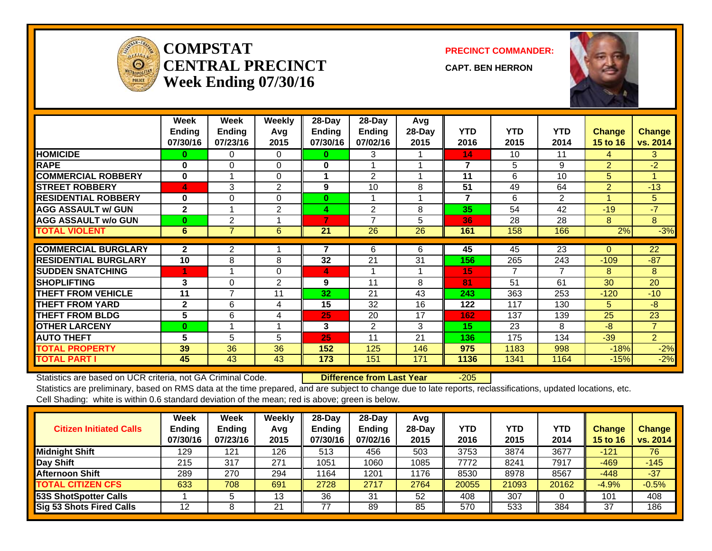

#### **COMPSTATCENTRAL PRECINCTWeek Ending 07/30/16**

**PRECINCT COMMANDER:**

**CAPT. BEN HERRON**



|                             | Week<br><b>Ending</b><br>07/30/16 | Week<br>Ending<br>07/23/16 | Weekly<br>Avg<br>2015 | 28-Day<br><b>Ending</b><br>07/30/16 | 28-Day<br><b>Ending</b><br>07/02/16 | Avg<br>28-Day<br>2015 | <b>YTD</b><br>2016 | <b>YTD</b><br>2015 | <b>YTD</b><br>2014 | <b>Change</b><br>15 to 16 | <b>Change</b><br>vs. 2014 |
|-----------------------------|-----------------------------------|----------------------------|-----------------------|-------------------------------------|-------------------------------------|-----------------------|--------------------|--------------------|--------------------|---------------------------|---------------------------|
| <b>HOMICIDE</b>             | 0                                 | 0                          | 0                     | 0                                   | 3                                   |                       | 14                 | 10                 | 11                 | 4                         | 3                         |
| <b>RAPE</b>                 | $\bf{0}$                          | $\Omega$                   | $\Omega$              | 0                                   |                                     |                       | 7                  | 5                  | 9                  | $\overline{2}$            | $-2$                      |
| <b>COMMERCIAL ROBBERY</b>   | $\bf{0}$                          |                            | $\Omega$              |                                     | $\mathfrak{p}$                      |                       | 11                 | 6                  | 10                 | 5                         | 1                         |
| <b>STREET ROBBERY</b>       | 4                                 | 3                          | 2                     | 9                                   | 10                                  | 8                     | 51                 | 49                 | 64                 | $\overline{2}$            | $-13$                     |
| <b>RESIDENTIAL ROBBERY</b>  | $\bf{0}$                          | $\Omega$                   | $\Omega$              | $\bf{0}$                            |                                     |                       | $\overline{7}$     | 6                  | $\overline{2}$     | 4                         | 5                         |
| <b>AGG ASSAULT w/ GUN</b>   | $\mathbf{2}$                      |                            | 2                     | 4                                   | $\overline{2}$                      | 8                     | 35                 | 54                 | 42                 | $-19$                     | $-7$                      |
| <b>AGG ASSAULT w/o GUN</b>  | $\bf{0}$                          | 2                          |                       | 7                                   | 7                                   | 5                     | 36                 | 28                 | 28                 | 8                         | 8                         |
| <b>TOTAL VIOLENT</b>        | 6                                 | 7                          | 6                     | 21                                  | 26                                  | 26                    | 161                | 158                | 166                | 2%                        | $-3%$                     |
|                             |                                   |                            |                       |                                     |                                     |                       |                    |                    |                    |                           |                           |
| <b>COMMERCIAL BURGLARY</b>  | $\mathbf{2}$                      | 2                          |                       |                                     | 6                                   | 6                     | 45                 | 45                 | 23                 | 0                         | 22                        |
| <b>RESIDENTIAL BURGLARY</b> | 10                                | 8                          | 8                     | 32                                  | 21                                  | 31                    | 156                | 265                | 243                | $-109$                    | $-87$                     |
| <b>SUDDEN SNATCHING</b>     | 4                                 |                            | $\Omega$              | 4                                   |                                     |                       | 15                 | 7                  | 7                  | 8                         | 8                         |
| <b>SHOPLIFTING</b>          | 3                                 | $\Omega$                   | 2                     | 9                                   | 11                                  | 8                     | 81                 | 51                 | 61                 | 30                        | 20                        |
| <b>THEFT FROM VEHICLE</b>   | 11                                | $\overline{7}$             | 11                    | 32                                  | 21                                  | 43                    | 243                | 363                | 253                | $-120$                    | $-10$                     |
| <b>THEFT FROM YARD</b>      | $\mathbf{2}$                      | 6                          | 4                     | 15                                  | 32                                  | 16                    | 122                | 117                | 130                | 5                         | $-8$                      |
| <b>THEFT FROM BLDG</b>      | 5                                 | 6                          | 4                     | 25                                  | 20                                  | 17                    | 162                | 137                | 139                | 25                        | 23                        |
| <b>OTHER LARCENY</b>        | $\bf{0}$                          |                            |                       | 3                                   | 2                                   | 3                     | 15                 | 23                 | 8                  | $-8$                      | $\overline{7}$            |
| <b>AUTO THEFT</b>           | 5                                 | 5                          | 5                     | 25                                  | 11                                  | 21                    | 136                | 175                | 134                | $-39$                     | $\overline{2}$            |
| <b>TOTAL PROPERTY</b>       | 39                                | 36                         | 36                    | 152                                 | 125                                 | 146                   | 975                | 1183               | 998                | $-18%$                    | $-2%$                     |
| <b>TOTAL PART I</b>         | 45                                | 43                         | 43                    | 173                                 | 151                                 | 171                   | 1136               | 1341               | 1164               | $-15%$                    | $-2%$                     |

Statistics are based on UCR criteria, not GA Criminal Code. **Difference from Last Year** -205

| <b>Citizen Initiated Calls</b>  | Week<br><b>Ending</b><br>07/30/16 | <b>Week</b><br><b>Ending</b><br>07/23/16 | Weekly<br>Avg<br>2015 | $28$ -Day<br><b>Ending</b><br>07/30/16 | 28-Dav<br><b>Endina</b><br>07/02/16 | Avg<br>$28-Dav$<br>2015 | YTD<br>2016 | <b>YTD</b><br>2015 | YTD<br>2014 | <b>Change</b><br><b>15 to 16</b> | <b>Change</b><br>vs. 2014 |
|---------------------------------|-----------------------------------|------------------------------------------|-----------------------|----------------------------------------|-------------------------------------|-------------------------|-------------|--------------------|-------------|----------------------------------|---------------------------|
| <b>Midnight Shift</b>           | 129                               | 121                                      | 126                   | 513                                    | 456                                 | 503                     | 3753        | 3874               | 3677        | $-121$                           | 76                        |
| Day Shift                       | 215                               | 317                                      | 271                   | 1051                                   | 1060                                | 1085                    | 7772        | 8241               | 7917        | $-469$                           | $-145$                    |
| <b>Afternoon Shift</b>          | 289                               | 270                                      | 294                   | 1164                                   | 1201                                | 1176                    | 8530        | 8978               | 8567        | $-448$                           | $-37$                     |
| <b>TOTAL CITIZEN CFS</b>        | 633                               | 708                                      | 691                   | 2728                                   | 2717                                | 2764                    | 20055       | 21093              | 20162       | $-4.9%$                          | $-0.5%$                   |
| <b>53S ShotSpotter Calls</b>    |                                   |                                          | 13                    | 36                                     | 31                                  | 52                      | 408         | 307                |             | 101                              | 408                       |
| <b>Sig 53 Shots Fired Calls</b> | 12                                |                                          | 21                    | 77                                     | 89                                  | 85                      | 570         | 533                | 384         | 37                               | 186                       |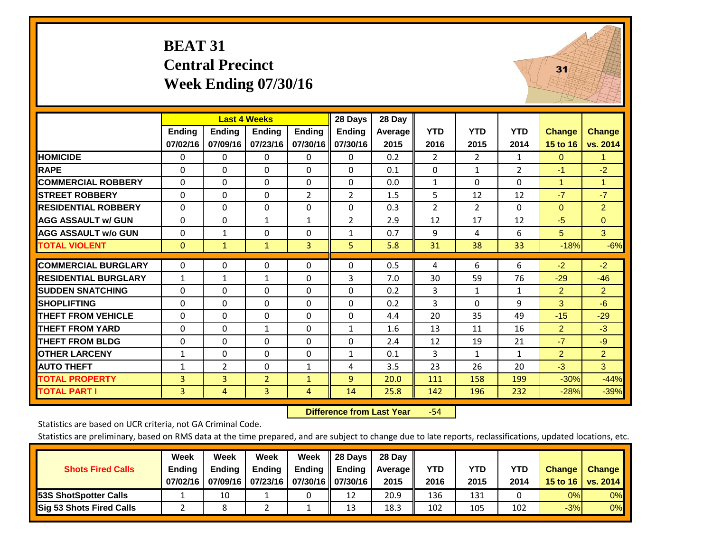#### **BEAT 31 Central Precinct Week Ending 07/30/16**



|                             |              |                | <b>Last 4 Weeks</b> |                | 28 Days        | 28 Day  |                |                |                |                |                      |
|-----------------------------|--------------|----------------|---------------------|----------------|----------------|---------|----------------|----------------|----------------|----------------|----------------------|
|                             | Ending       | <b>Ending</b>  | <b>Ending</b>       | <b>Ending</b>  | <b>Ending</b>  | Average | <b>YTD</b>     | <b>YTD</b>     | <b>YTD</b>     | <b>Change</b>  | <b>Change</b>        |
|                             | 07/02/16     | 07/09/16       | 07/23/16            | 07/30/16       | 07/30/16       | 2015    | 2016           | 2015           | 2014           | 15 to 16       | vs. 2014             |
| <b>HOMICIDE</b>             | 0            | 0              | 0                   | 0              | 0              | 0.2     | $\overline{2}$ | $\overline{2}$ | 1              | $\Omega$       | 1                    |
| <b>RAPE</b>                 | 0            | 0              | $\Omega$            | $\Omega$       | $\Omega$       | 0.1     | 0              | 1              | $\overline{2}$ | $-1$           | $-2$                 |
| <b>COMMERCIAL ROBBERY</b>   | $\Omega$     | $\Omega$       | $\Omega$            | $\mathbf{0}$   | $\Omega$       | 0.0     | $\mathbf{1}$   | $\Omega$       | $\Omega$       | 1              | $\blacktriangleleft$ |
| <b>STREET ROBBERY</b>       | $\mathbf{0}$ | $\Omega$       | $\Omega$            | $\overline{2}$ | 2              | 1.5     | 5              | 12             | 12             | $-7$           | $-7$                 |
| <b>RESIDENTIAL ROBBERY</b>  | $\mathbf{0}$ | $\Omega$       | $\Omega$            | $\Omega$       | $\Omega$       | 0.3     | $\overline{2}$ | 2              | $\Omega$       | $\Omega$       | $\overline{2}$       |
| <b>AGG ASSAULT w/ GUN</b>   | $\Omega$     | 0              | $\mathbf{1}$        | $\mathbf{1}$   | $\overline{2}$ | 2.9     | 12             | 17             | 12             | $-5$           | $\Omega$             |
| <b>AGG ASSAULT w/o GUN</b>  | $\mathbf 0$  | $\mathbf{1}$   | 0                   | $\mathbf{0}$   | $\mathbf{1}$   | 0.7     | 9              | 4              | 6              | 5              | 3 <sup>1</sup>       |
| <b>TOTAL VIOLENT</b>        | $\mathbf{0}$ | $\mathbf{1}$   | $\mathbf{1}$        | 3              | 5.             | 5.8     | 31             | 38             | 33             | $-18%$         | $-6%$                |
|                             |              |                |                     |                |                |         |                |                |                |                |                      |
| <b>COMMERCIAL BURGLARY</b>  | $\mathbf{0}$ | $\Omega$       | 0                   | $\mathbf{0}$   | $\Omega$       | 0.5     | 4              | 6              | 6              | $-2$           | $-2$                 |
| <b>RESIDENTIAL BURGLARY</b> | $\mathbf{1}$ | 1              | 1                   | $\mathbf{0}$   | 3              | 7.0     | 30             | 59             | 76             | $-29$          | $-46$                |
| <b>SUDDEN SNATCHING</b>     | $\Omega$     | 0              | 0                   | $\mathbf{0}$   | $\Omega$       | 0.2     | 3              | 1              | $\mathbf{1}$   | $\overline{2}$ | $\overline{2}$       |
| <b>SHOPLIFTING</b>          | $\Omega$     | $\Omega$       | 0                   | $\mathbf{0}$   | $\Omega$       | 0.2     | 3              | $\Omega$       | 9              | 3              | $-6$                 |
| <b>THEFT FROM VEHICLE</b>   | $\mathbf{0}$ | $\Omega$       | $\Omega$            | $\mathbf{0}$   | $\Omega$       | 4.4     | 20             | 35             | 49             | $-15$          | $-29$                |
| <b>THEFT FROM YARD</b>      | $\mathbf 0$  | $\Omega$       | $\mathbf{1}$        | $\mathbf{0}$   | $\mathbf{1}$   | 1.6     | 13             | 11             | 16             | $\overline{2}$ | $-3$                 |
| <b>THEFT FROM BLDG</b>      | $\Omega$     | 0              | $\Omega$            | $\mathbf{0}$   | $\Omega$       | 2.4     | 12             | 19             | 21             | $-7$           | $-9$                 |
| <b>OTHER LARCENY</b>        | 1            | $\Omega$       | 0                   | $\mathbf{0}$   | $\mathbf{1}$   | 0.1     | 3              | 1              | 1              | $\overline{2}$ | $\overline{2}$       |
| <b>AUTO THEFT</b>           | 1            | 2              | 0                   | $\mathbf{1}$   | 4              | 3.5     | 23             | 26             | 20             | $-3$           | 3 <sup>1</sup>       |
| <b>TOTAL PROPERTY</b>       | 3            | $\overline{3}$ | $\overline{2}$      | $\mathbf{1}$   | $\overline{9}$ | 20.0    | 111            | 158            | 199            | $-30%$         | $-44%$               |
| <b>TOTAL PART I</b>         | 3            | 4              | 3                   | 4              | 14             | 25.8    | 142            | 196            | 232            | $-28%$         | $-39%$               |

 **Difference from Last Year**‐54

Statistics are based on UCR criteria, not GA Criminal Code.

|                                 | Week          | Week          | Week          | Week                           | 28 Days               | 28 Day         |      |      |      |               |               |
|---------------------------------|---------------|---------------|---------------|--------------------------------|-----------------------|----------------|------|------|------|---------------|---------------|
| <b>Shots Fired Calls</b>        | <b>Ending</b> | <b>Endina</b> | <b>Ending</b> | <b>Ending</b>                  | $\blacksquare$ Ending | <b>Average</b> | YTD  | YTD  | YTD  | <b>Change</b> | <b>Change</b> |
|                                 | 07/02/16      | 07/09/16      |               | 07/23/16   07/30/16   07/30/16 |                       | 2015           | 2016 | 2015 | 2014 | 15 to 16      | vs. 2014      |
| <b>153S ShotSpotter Calls</b>   |               | 10            |               |                                | 12                    | 20.9           | 136  | 131  |      | 0%            | 0%            |
| <b>Sig 53 Shots Fired Calls</b> |               |               |               |                                | 13                    | 18.3           | 102  | 105  | 102  | $-3%$         | 0%            |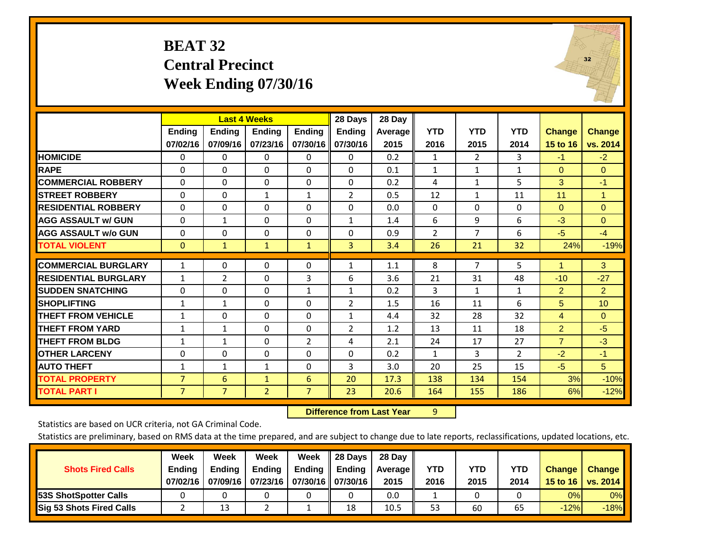#### **BEAT 32 Central Precinct Week Ending 07/30/16**

![](_page_21_Picture_1.jpeg)

|                             |                           |                           | <b>Last 4 Weeks</b>       |                           | 28 Days                   | 28 Day          |                    |                    |                    |                           |                           |
|-----------------------------|---------------------------|---------------------------|---------------------------|---------------------------|---------------------------|-----------------|--------------------|--------------------|--------------------|---------------------------|---------------------------|
|                             | <b>Ending</b><br>07/02/16 | <b>Ending</b><br>07/09/16 | <b>Endina</b><br>07/23/16 | <b>Ending</b><br>07/30/16 | <b>Ending</b><br>07/30/16 | Average<br>2015 | <b>YTD</b><br>2016 | <b>YTD</b><br>2015 | <b>YTD</b><br>2014 | <b>Change</b><br>15 to 16 | <b>Change</b><br>vs. 2014 |
| <b>HOMICIDE</b>             | 0                         | 0                         | 0                         | $\Omega$                  | 0                         | 0.2             | 1                  | $\overline{2}$     | 3                  | $-1$                      | $-2$                      |
| <b>RAPE</b>                 | 0                         | 0                         | $\Omega$                  | $\Omega$                  | $\Omega$                  | 0.1             | $\mathbf{1}$       | $\mathbf{1}$       | $\mathbf{1}$       | $\Omega$                  | $\Omega$                  |
| <b>COMMERCIAL ROBBERY</b>   | $\Omega$                  | 0                         | $\Omega$                  | $\Omega$                  | 0                         | 0.2             | 4                  | 1                  | 5                  | 3                         | $-1$                      |
| <b>STREET ROBBERY</b>       | $\Omega$                  | $\Omega$                  | $\mathbf{1}$              | $\mathbf{1}$              | $\overline{2}$            | 0.5             | 12                 | $\mathbf{1}$       | 11                 | 11                        | $\mathbf{1}$              |
| <b>RESIDENTIAL ROBBERY</b>  | $\Omega$                  | 0                         | $\Omega$                  | $\Omega$                  | $\Omega$                  | 0.0             | $\mathbf{0}$       | $\Omega$           | 0                  | $\mathbf{0}$              | $\Omega$                  |
| <b>AGG ASSAULT w/ GUN</b>   | $\Omega$                  | $\mathbf{1}$              | $\Omega$                  | $\Omega$                  | 1                         | 1.4             | 6                  | 9                  | 6                  | $-3$                      | $\Omega$                  |
| <b>AGG ASSAULT w/o GUN</b>  | $\Omega$                  | 0                         | $\Omega$                  | $\Omega$                  | $\Omega$                  | 0.9             | 2                  | $\overline{7}$     | 6                  | $-5$                      | $-4$                      |
| <b>TOTAL VIOLENT</b>        | $\mathbf{0}$              | $\mathbf{1}$              | $\mathbf{1}$              | $\mathbf{1}$              | 3                         | 3.4             | 26                 | 21                 | 32                 | 24%                       | $-19%$                    |
| <b>COMMERCIAL BURGLARY</b>  | $\mathbf{1}$              | $\Omega$                  | 0                         | 0                         | 1                         | 1.1             | 8                  | 7                  | 5                  | 1                         | 3                         |
|                             |                           |                           |                           |                           |                           |                 |                    |                    |                    |                           |                           |
| <b>RESIDENTIAL BURGLARY</b> | $\mathbf{1}$              | $\overline{2}$            | $\Omega$                  | 3                         | 6                         | 3.6             | 21                 | 31                 | 48                 | $-10$                     | $-27$                     |
| <b>SUDDEN SNATCHING</b>     | $\Omega$                  | $\Omega$                  | $\Omega$                  | 1                         | 1                         | 0.2             | 3                  | $\mathbf{1}$       | $\mathbf{1}$       | $\overline{2}$            | $\overline{2}$            |
| <b>SHOPLIFTING</b>          | 1                         | 1                         | $\Omega$                  | 0                         | 2                         | 1.5             | 16                 | 11                 | 6                  | 5                         | 10                        |
| <b>THEFT FROM VEHICLE</b>   | $\mathbf{1}$              | $\Omega$                  | $\Omega$                  | $\Omega$                  | $\mathbf{1}$              | 4.4             | 32                 | 28                 | 32                 | $\overline{4}$            | $\Omega$                  |
| <b>THEFT FROM YARD</b>      | $\mathbf{1}$              | 1                         | $\Omega$                  | $\Omega$                  | $\overline{2}$            | 1.2             | 13                 | 11                 | 18                 | $\overline{2}$            | $-5$                      |
| <b>THEFT FROM BLDG</b>      | 1                         | 1                         | $\Omega$                  | $\overline{2}$            | 4                         | 2.1             | 24                 | 17                 | 27                 | $\overline{7}$            | $-3$                      |
| <b>OTHER LARCENY</b>        | $\Omega$                  | 0                         | $\Omega$                  | $\mathbf{0}$              | $\Omega$                  | 0.2             | $\mathbf{1}$       | 3                  | 2                  | $-2$                      | $-1$                      |
| <b>AUTO THEFT</b>           | 1                         | $\mathbf{1}$              | $\mathbf{1}$              | $\Omega$                  | 3                         | 3.0             | 20                 | 25                 | 15                 | $-5$                      | 5                         |
| <b>TOTAL PROPERTY</b>       | 7                         | 6                         | $\mathbf{1}$              | 6                         | 20                        | 17.3            | 138                | 134                | 154                | 3%                        | $-10%$                    |
| <b>TOTAL PART I</b>         | $\overline{7}$            | $\overline{7}$            | $\overline{2}$            | $\overline{7}$            | 23                        | 20.6            | 164                | 155                | 186                | 6%                        | $-12%$                    |

 **Difference from Last Year**r 9

Statistics are based on UCR criteria, not GA Criminal Code.

|                                 | Week          | Week          | Week                           | Week          | 28 Days               | 28 Day         |      |      |      |               |               |
|---------------------------------|---------------|---------------|--------------------------------|---------------|-----------------------|----------------|------|------|------|---------------|---------------|
| <b>Shots Fired Calls</b>        | <b>Ending</b> | <b>Endina</b> | <b>Ending</b>                  | <b>Ending</b> | $\blacksquare$ Ending | <b>Average</b> | YTD  | YTD  | YTD  | <b>Change</b> | <b>Change</b> |
|                                 | 07/02/16      | 07/09/16      | 07/23/16   07/30/16   07/30/16 |               |                       | 2015           | 2016 | 2015 | 2014 | 15 to 16      | vs. 2014      |
| <b>153S ShotSpotter Calls</b>   |               |               |                                |               |                       | 0.0            |      |      |      | 0%            | $0\%$         |
| <b>Sig 53 Shots Fired Calls</b> |               | 13            |                                |               | 18                    | 10.5           | 53   | 60   | 65   | $-12%$        | $-18%$        |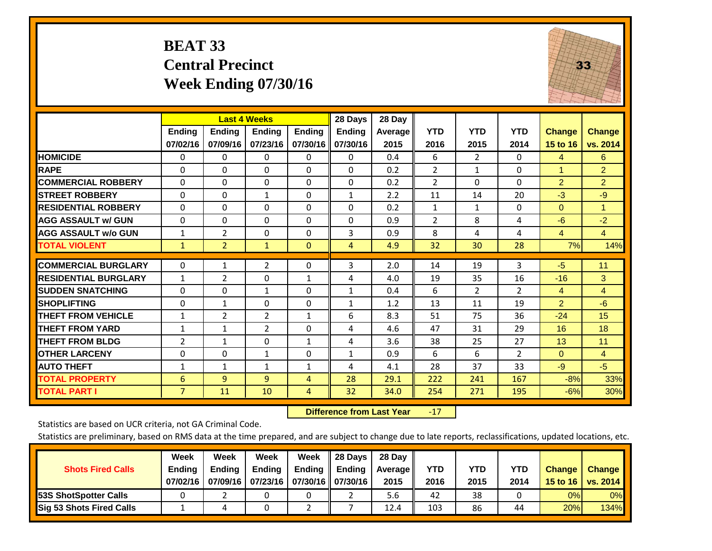### **BEAT 33 Central Precinct Week Ending 07/30/16**

![](_page_22_Picture_1.jpeg)

|                             |                | <b>Last 4 Weeks</b> |                |               | 28 Days       | 28 Day  |                |                |                |                |                |
|-----------------------------|----------------|---------------------|----------------|---------------|---------------|---------|----------------|----------------|----------------|----------------|----------------|
|                             | <b>Ending</b>  | <b>Ending</b>       | <b>Ending</b>  | <b>Endina</b> | <b>Ending</b> | Average | <b>YTD</b>     | <b>YTD</b>     | <b>YTD</b>     | Change         | <b>Change</b>  |
|                             | 07/02/16       | 07/09/16            | 07/23/16       | 07/30/16      | 07/30/16      | 2015    | 2016           | 2015           | 2014           | 15 to 16       | vs. 2014       |
| <b>HOMICIDE</b>             | 0              | 0                   | 0              | 0             | $\mathbf{0}$  | 0.4     | 6              | $\overline{2}$ | 0              | 4              | 6              |
| <b>RAPE</b>                 | 0              | $\Omega$            | $\Omega$       | $\Omega$      | $\Omega$      | 0.2     | $\overline{2}$ | 1              | 0              | 1              | $\overline{2}$ |
| <b>COMMERCIAL ROBBERY</b>   | 0              | 0                   | $\Omega$       | 0             | 0             | 0.2     | $\overline{2}$ | $\mathbf{0}$   | 0              | $\overline{2}$ | $\overline{2}$ |
| <b>ISTREET ROBBERY</b>      | $\Omega$       | $\Omega$            | $\mathbf{1}$   | $\Omega$      | $\mathbf{1}$  | 2.2     | 11             | 14             | 20             | $-3$           | $-9$           |
| <b>RESIDENTIAL ROBBERY</b>  | $\Omega$       | $\Omega$            | $\mathbf{0}$   | 0             | $\Omega$      | 0.2     | $\mathbf{1}$   | $\mathbf{1}$   | 0              | $\mathbf{0}$   | 1              |
| <b>AGG ASSAULT w/ GUN</b>   | 0              | 0                   | $\Omega$       | $\mathbf{0}$  | $\Omega$      | 0.9     | $\overline{2}$ | 8              | 4              | -6             | $-2$           |
| <b>AGG ASSAULT w/o GUN</b>  | 1              | $\overline{2}$      | $\Omega$       | $\Omega$      | 3             | 0.9     | 8              | 4              | 4              | $\overline{4}$ | $\overline{4}$ |
| <b>TOTAL VIOLENT</b>        | 1              | $\overline{2}$      | $\mathbf{1}$   | $\mathbf{0}$  | 4             | 4.9     | 32             | 30             | 28             | 7%             | 14%            |
| <b>COMMERCIAL BURGLARY</b>  |                |                     |                |               |               |         |                |                |                |                |                |
|                             | $\Omega$       | 1                   | $\overline{2}$ | 0             | 3             | 2.0     | 14             | 19             | 3              | $-5$           | 11             |
| <b>RESIDENTIAL BURGLARY</b> | 1              | 2                   | $\mathbf{0}$   | 1             | 4             | 4.0     | 19             | 35             | 16             | $-16$          | 3              |
| <b>SUDDEN SNATCHING</b>     | $\Omega$       | 0                   | $\mathbf{1}$   | $\mathbf{0}$  | $\mathbf{1}$  | 0.4     | 6              | $\overline{2}$ | $\overline{2}$ | 4              | $\overline{4}$ |
| <b>SHOPLIFTING</b>          | $\Omega$       | 1                   | $\Omega$       | $\Omega$      | 1             | 1.2     | 13             | 11             | 19             | $\overline{2}$ | $-6$           |
| <b>THEFT FROM VEHICLE</b>   | $\mathbf{1}$   | $\overline{2}$      | $\overline{2}$ | 1             | 6             | 8.3     | 51             | 75             | 36             | $-24$          | 15             |
| <b>THEFT FROM YARD</b>      | $\mathbf{1}$   | 1                   | 2              | $\mathbf{0}$  | 4             | 4.6     | 47             | 31             | 29             | 16             | 18             |
| <b>THEFT FROM BLDG</b>      | 2              | $\mathbf{1}$        | $\Omega$       | 1             | 4             | 3.6     | 38             | 25             | 27             | 13             | 11             |
| <b>OTHER LARCENY</b>        | 0              | 0                   | 1              | 0             | 1             | 0.9     | 6              | 6              | $\overline{2}$ | $\mathbf{0}$   | $\overline{4}$ |
| <b>AUTO THEFT</b>           | 1              | $\mathbf{1}$        | $\mathbf{1}$   | 1             | 4             | 4.1     | 28             | 37             | 33             | $-9$           | $-5$           |
| <b>TOTAL PROPERTY</b>       | 6              | 9                   | 9              | 4             | 28            | 29.1    | 222            | 241            | 167            | $-8%$          | 33%            |
| <b>TOTAL PART I</b>         | $\overline{7}$ | 11                  | 10             | 4             | 32            | 34.0    | 254            | 271            | 195            | $-6%$          | 30%            |

 **Difference from Last Year**r -17

Statistics are based on UCR criteria, not GA Criminal Code.

|                                 | Week          | Week          | Week                       | Week | $\parallel$ 28 Days       | 28 Day  |            |            |            |               |               |
|---------------------------------|---------------|---------------|----------------------------|------|---------------------------|---------|------------|------------|------------|---------------|---------------|
| <b>Shots Fired Calls</b>        | <b>Ending</b> | <b>Endina</b> | <b>Ending</b>              |      | Ending $\parallel$ Ending | Average | <b>YTD</b> | <b>YTD</b> | <b>YTD</b> | <b>Change</b> | <b>Change</b> |
|                                 | 07/02/16      | 07/09/16      | 07/23/16 07/30/16 07/30/16 |      |                           | 2015    | 2016       | 2015       | 2014       | 15 to 16      | vs. 2014      |
| <b>153S ShotSpotter Calls</b>   |               |               |                            |      |                           | 5.6     | 42         | 38         |            | 0%            | $0\%$         |
| <b>Sig 53 Shots Fired Calls</b> |               |               |                            |      |                           | 12.4    | 103        | 86         | 44         | 20%           | 134%          |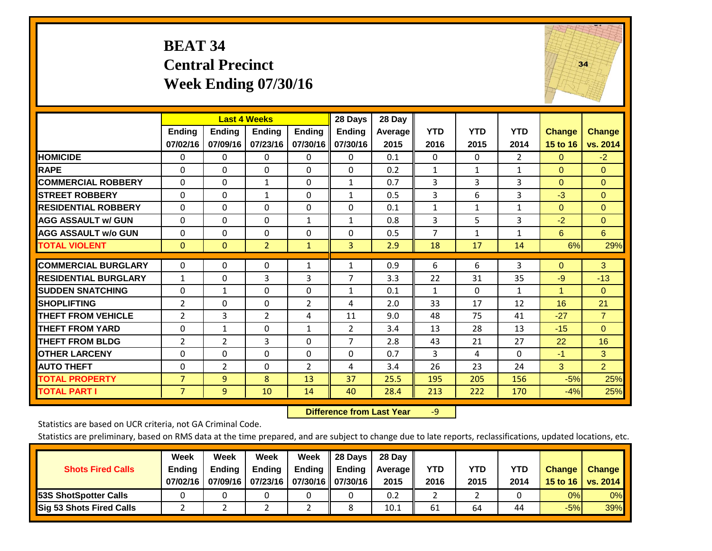#### **BEAT 34 Central Precinct Week Ending 07/30/16**

![](_page_23_Picture_1.jpeg)

|                             |                           | <b>Last 4 Weeks</b>       |                           |                           | 28 Days                   | 28 Day             |                    |                    |                    |                      |                           |
|-----------------------------|---------------------------|---------------------------|---------------------------|---------------------------|---------------------------|--------------------|--------------------|--------------------|--------------------|----------------------|---------------------------|
|                             | <b>Ending</b><br>07/02/16 | <b>Ending</b><br>07/09/16 | <b>Ending</b><br>07/23/16 | <b>Endina</b><br>07/30/16 | <b>Ending</b><br>07/30/16 | Average   <br>2015 | <b>YTD</b><br>2016 | <b>YTD</b><br>2015 | <b>YTD</b><br>2014 | Change<br>15 to 16   | <b>Change</b><br>vs. 2014 |
|                             |                           |                           |                           |                           |                           |                    |                    |                    |                    |                      |                           |
| <b>HOMICIDE</b>             | 0                         | $\mathbf{0}$              | 0                         | 0                         | $\Omega$                  | 0.1                | $\Omega$           | $\Omega$           | $\overline{2}$     | $\mathbf{0}$         | $-2$                      |
| <b>RAPE</b>                 | $\Omega$                  | $\Omega$                  | $\Omega$                  | $\Omega$                  | $\Omega$                  | 0.2                | $\mathbf{1}$       | 1                  | $\mathbf{1}$       | $\Omega$             | $\Omega$                  |
| <b>COMMERCIAL ROBBERY</b>   | $\Omega$                  | $\Omega$                  | $\mathbf{1}$              | 0                         | $\mathbf{1}$              | 0.7                | 3                  | 3                  | 3                  | $\mathbf{0}$         | $\mathbf{0}$              |
| <b>ISTREET ROBBERY</b>      | $\Omega$                  | $\Omega$                  | $\mathbf{1}$              | $\Omega$                  | $\mathbf{1}$              | 0.5                | 3                  | 6                  | 3                  | $-3$                 | $\Omega$                  |
| <b>RESIDENTIAL ROBBERY</b>  | $\mathbf 0$               | $\Omega$                  | 0                         | $\Omega$                  | $\Omega$                  | 0.1                | $\mathbf{1}$       | $\mathbf{1}$       | 1                  | $\Omega$             | $\Omega$                  |
| <b>AGG ASSAULT w/ GUN</b>   | $\Omega$                  | $\Omega$                  | $\Omega$                  | $\mathbf{1}$              | $\mathbf{1}$              | 0.8                | 3                  | 5                  | 3                  | $-2$                 | $\mathbf{0}$              |
| <b>AGG ASSAULT w/o GUN</b>  | 0                         | $\Omega$                  | $\Omega$                  | $\Omega$                  | $\Omega$                  | 0.5                | $\overline{7}$     | $\mathbf{1}$       | $\mathbf{1}$       | 6                    | 6                         |
| <b>TOTAL VIOLENT</b>        | $\mathbf{0}$              | $\mathbf{0}$              | $\overline{2}$            | $\mathbf{1}$              | 3                         | 2.9                | 18                 | 17                 | 14                 | 6%                   | 29%                       |
|                             |                           |                           |                           |                           |                           |                    |                    |                    |                    |                      |                           |
| <b>COMMERCIAL BURGLARY</b>  | $\mathbf 0$               | $\Omega$                  | $\Omega$                  | $\mathbf{1}$              | 1                         | 0.9                | 6                  | 6                  | 3                  | $\Omega$             | $\mathbf{3}$              |
| <b>RESIDENTIAL BURGLARY</b> | 1                         | $\Omega$                  | 3                         | 3                         | 7                         | 3.3                | 22                 | 31                 | 35                 | $-9$                 | $-13$                     |
| <b>ISUDDEN SNATCHING</b>    | $\Omega$                  | 1                         | $\Omega$                  | 0                         | $\mathbf{1}$              | 0.1                | $\mathbf{1}$       | $\Omega$           | $\mathbf{1}$       | $\blacktriangleleft$ | $\Omega$                  |
| <b>SHOPLIFTING</b>          | $\overline{2}$            | $\Omega$                  | $\Omega$                  | $\overline{2}$            | 4                         | 2.0                | 33                 | 17                 | 12                 | 16                   | 21                        |
| <b>THEFT FROM VEHICLE</b>   | $\overline{2}$            | 3                         | $\overline{2}$            | 4                         | 11                        | 9.0                | 48                 | 75                 | 41                 | $-27$                | $\overline{7}$            |
| <b>THEFT FROM YARD</b>      | 0                         | $\mathbf{1}$              | $\Omega$                  | $\mathbf{1}$              | $\overline{2}$            | 3.4                | 13                 | 28                 | 13                 | $-15$                | $\Omega$                  |
| <b>THEFT FROM BLDG</b>      | $\overline{2}$            | $\overline{2}$            | 3                         | 0                         | $\overline{7}$            | 2.8                | 43                 | 21                 | 27                 | 22                   | 16                        |
| <b>OTHER LARCENY</b>        | 0                         | $\Omega$                  | $\Omega$                  | $\Omega$                  | $\Omega$                  | 0.7                | 3                  | 4                  | $\Omega$           | $-1$                 | 3                         |
| <b>AUTO THEFT</b>           | 0                         | $\overline{2}$            | $\Omega$                  | $\overline{2}$            | 4                         | 3.4                | 26                 | 23                 | 24                 | 3                    | $\overline{2}$            |
| <b>TOTAL PROPERTY</b>       | $\overline{7}$            | 9                         | 8                         | 13                        | 37                        | 25.5               | 195                | 205                | 156                | $-5%$                | 25%                       |
| <b>TOTAL PART I</b>         | $\overline{7}$            | $\overline{9}$            | 10                        | 14                        | 40                        | 28.4               | 213                | 222                | 170                | $-4%$                | 25%                       |

 **Difference from Last Year**r -9

Statistics are based on UCR criteria, not GA Criminal Code.

| <b>Shots Fired Calls</b>        | Week<br><b>Ending</b><br>07/02/16 | Week<br><b>Endina</b><br>07/09/16 | Week<br>Ending<br>  07/23/16   07/30/16    07/30/16 | Week<br>Ending | 28 Days<br><b>Ending</b> | 28 Day<br>Average II<br>2015 | YTD<br>2016 | YTD<br>2015 | YTD<br>2014 | <b>Change</b><br>15 to $16$ | <b>Change</b><br>vs. 2014 |
|---------------------------------|-----------------------------------|-----------------------------------|-----------------------------------------------------|----------------|--------------------------|------------------------------|-------------|-------------|-------------|-----------------------------|---------------------------|
| <b>153S ShotSpotter Calls</b>   |                                   |                                   |                                                     |                |                          | 0.2                          |             |             |             | 0%                          | 0%                        |
| <b>Sig 53 Shots Fired Calls</b> |                                   |                                   |                                                     |                |                          | 10.1                         | 61          | 64          | 44          | $-5%$                       | 39%                       |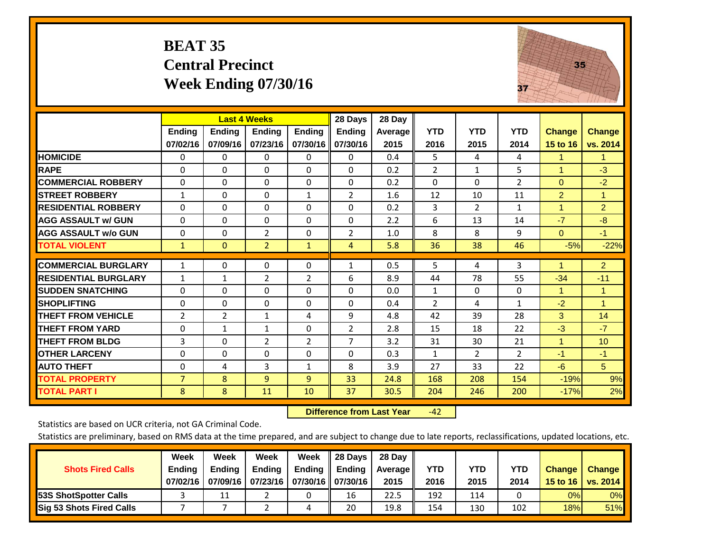#### **BEAT 35 Central Precinct Week Ending 07/30/16**

![](_page_24_Picture_1.jpeg)

|                             |                           | <b>Last 4 Weeks</b>       |                           |                           | 28 Days                   | 28 Day             |                    |                    |                    |                           |                           |
|-----------------------------|---------------------------|---------------------------|---------------------------|---------------------------|---------------------------|--------------------|--------------------|--------------------|--------------------|---------------------------|---------------------------|
|                             | <b>Ending</b><br>07/02/16 | <b>Ending</b><br>07/09/16 | <b>Endina</b><br>07/23/16 | <b>Endina</b><br>07/30/16 | <b>Ending</b><br>07/30/16 | Average   <br>2015 | <b>YTD</b><br>2016 | <b>YTD</b><br>2015 | <b>YTD</b><br>2014 | <b>Change</b><br>15 to 16 | <b>Change</b><br>vs. 2014 |
| <b>HOMICIDE</b>             | 0                         | 0                         | 0                         | 0                         | 0                         | 0.4                | 5                  | 4                  | 4                  | 1.                        | 1.                        |
| <b>RAPE</b>                 | 0                         | 0                         | $\Omega$                  | $\mathbf{0}$              | $\Omega$                  | 0.2                | $\overline{2}$     | 1                  | 5                  | 1                         | $-3$                      |
| <b>COMMERCIAL ROBBERY</b>   | 0                         | 0                         | $\Omega$                  | $\Omega$                  | 0                         | 0.2                | $\Omega$           | $\mathbf{0}$       | $\overline{2}$     | $\Omega$                  | $-2$                      |
| <b>ISTREET ROBBERY</b>      | $\mathbf{1}$              | 0                         | $\Omega$                  | 1                         | 2                         | 1.6                | 12                 | 10                 | 11                 | $\overline{2}$            | 1                         |
| <b>RESIDENTIAL ROBBERY</b>  | $\Omega$                  | 0                         | $\Omega$                  | 0                         | $\Omega$                  | 0.2                | 3                  | $\overline{2}$     | $\mathbf{1}$       | $\blacktriangleleft$      | $\overline{2}$            |
| <b>AGG ASSAULT w/ GUN</b>   | $\Omega$                  | $\Omega$                  | 0                         | $\mathbf 0$               | $\Omega$                  | 2.2                | 6                  | 13                 | 14                 | $-7$                      | $-8$                      |
| <b>AGG ASSAULT w/o GUN</b>  | 0                         | $\Omega$                  | $\overline{2}$            | 0                         | 2                         | 1.0                | 8                  | 8                  | 9                  | $\Omega$                  | $-1$                      |
| <b>TOTAL VIOLENT</b>        | 1                         | $\mathbf{0}$              | $\overline{2}$            | $\mathbf{1}$              | 4                         | 5.8                | 36                 | 38                 | 46                 | $-5%$                     | $-22%$                    |
| <b>COMMERCIAL BURGLARY</b>  | $\mathbf{1}$              | 0                         | 0                         | 0                         | 1                         | 0.5                | 5                  | 4                  | 3                  |                           | $\overline{2}$            |
| <b>RESIDENTIAL BURGLARY</b> | $\mathbf{1}$              | $\mathbf{1}$              | $\overline{2}$            | 2                         | 6                         | 8.9                | 44                 | 78                 | 55                 | $-34$                     | $-11$                     |
| <b>ISUDDEN SNATCHING</b>    | $\Omega$                  | 0                         | $\Omega$                  | $\mathbf{0}$              | $\Omega$                  | 0.0                | $\mathbf{1}$       | $\Omega$           | 0                  | 1                         | $\blacktriangleleft$      |
| <b>SHOPLIFTING</b>          | 0                         | 0                         | $\Omega$                  | $\Omega$                  | 0                         | 0.4                | $\overline{2}$     | 4                  | $\mathbf{1}$       | $-2$                      | $\blacktriangleleft$      |
| <b>THEFT FROM VEHICLE</b>   | 2                         | $\overline{2}$            | $\mathbf{1}$              | 4                         | 9                         | 4.8                | 42                 | 39                 | 28                 | 3                         | 14                        |
| <b>THEFT FROM YARD</b>      | 0                         | 1                         | 1                         | 0                         | 2                         | 2.8                | 15                 | 18                 | 22                 | $-3$                      | $-7$                      |
| <b>THEFT FROM BLDG</b>      | 3                         | $\Omega$                  | $\overline{2}$            | $\overline{2}$            | $\overline{7}$            | 3.2                | 31                 | 30                 | 21                 | 1                         | 10                        |
| <b>OTHER LARCENY</b>        | $\Omega$                  | 0                         | $\Omega$                  | $\Omega$                  | 0                         | 0.3                | 1                  | $\overline{2}$     | $\overline{2}$     | $-1$                      | $-1$                      |
| <b>AUTO THEFT</b>           | 0                         | 4                         | 3                         | 1                         | 8                         | 3.9                | 27                 | 33                 | 22                 | $-6$                      | 5 <sup>5</sup>            |
| <b>TOTAL PROPERTY</b>       | $\overline{7}$            | 8                         | 9                         | 9                         | 33                        | 24.8               | 168                | 208                | 154                | $-19%$                    | 9%                        |
| <b>TOTAL PART I</b>         | 8                         | 8                         | 11                        | 10                        | 37                        | 30.5               | 204                | 246                | 200                | $-17%$                    | 2%                        |

 **Difference from Last Year**‐42

Statistics are based on UCR criteria, not GA Criminal Code.

|                                 | Week          | Week          | Week                            | Week   | 28 Days       | 28 Day     |      |      |            |               |                 |
|---------------------------------|---------------|---------------|---------------------------------|--------|---------------|------------|------|------|------------|---------------|-----------------|
| <b>Shots Fired Calls</b>        | <b>Ending</b> | <b>Endina</b> | Ending                          | Ending | <b>Ending</b> | Average II | YTD  | YTD  | <b>YTD</b> | <b>Change</b> | <b>Change</b>   |
|                                 | 07/02/16      | 07/09/16      | 07/23/16   07/30/16    07/30/16 |        |               | 2015       | 2016 | 2015 | 2014       | 15 to 16      | <b>vs. 2014</b> |
| <b>153S ShotSpotter Calls</b>   |               | 11            |                                 |        | 16            | 22.5       | 192  | 114  |            | 0%            | 0%              |
| <b>Sig 53 Shots Fired Calls</b> |               |               |                                 | ப      | 20            | 19.8       | 154  | 130  | 102        | 18%           | <b>51%</b>      |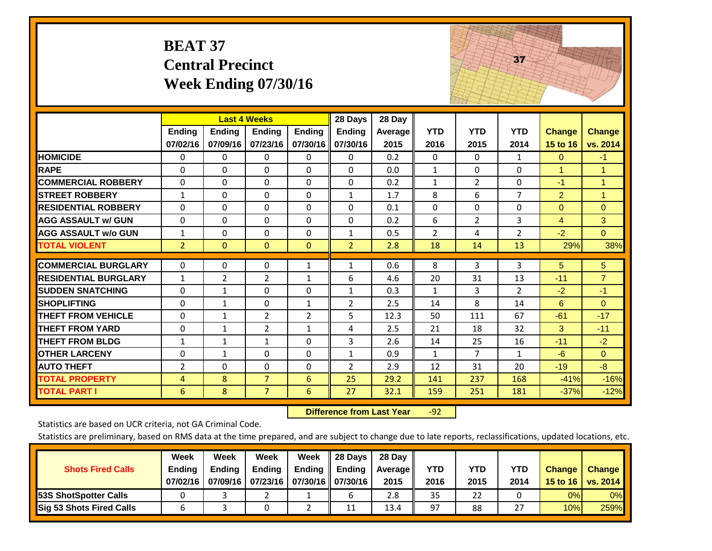|                             | <b>BEAT 37</b>     | <b>Central Precinct</b>   | <b>Week Ending 07/30/16</b>               |                           |                                      |                           |                    |                    | 37                 |                           |                           |
|-----------------------------|--------------------|---------------------------|-------------------------------------------|---------------------------|--------------------------------------|---------------------------|--------------------|--------------------|--------------------|---------------------------|---------------------------|
|                             | Ending<br>07/02/16 | <b>Ending</b><br>07/09/16 | <b>Last 4 Weeks</b><br>Ending<br>07/23/16 | <b>Ending</b><br>07/30/16 | 28 Days<br><b>Ending</b><br>07/30/16 | 28 Day<br>Average<br>2015 | <b>YTD</b><br>2016 | <b>YTD</b><br>2015 | <b>YTD</b><br>2014 | <b>Change</b><br>15 to 16 | <b>Change</b><br>vs. 2014 |
| <b>HOMICIDE</b>             | 0                  | 0                         | $\Omega$                                  | 0                         | 0                                    | 0.2                       | $\Omega$           | $\Omega$           | $\mathbf{1}$       | $\mathbf{0}$              | $-1$                      |
| <b>RAPE</b>                 | $\Omega$           | 0                         | $\overline{0}$                            | $\Omega$                  | $\Omega$                             | 0.0                       | $\mathbf{1}$       | 0                  | $\Omega$           | $\mathbf{1}$              | $\mathbf{1}$              |
| <b>COMMERCIAL ROBBERY</b>   | $\Omega$           | $\Omega$                  | $\Omega$                                  | $\Omega$                  | $\Omega$                             | 0.2                       | $\mathbf{1}$       | $\overline{2}$     | $\Omega$           | $-1$                      | $\mathbf{1}$              |
| <b>STREET ROBBERY</b>       | $\mathbf{1}$       | $\Omega$                  | $\Omega$                                  | 0                         | $\mathbf{1}$                         | 1.7                       | 8                  | 6                  | $\overline{7}$     | $\overline{2}$            | $\mathbf{1}$              |
| <b>RESIDENTIAL ROBBERY</b>  | $\Omega$           | 0                         | $\overline{0}$                            | $\Omega$                  | $\Omega$                             | 0.1                       | $\mathbf{0}$       | 0                  | $\mathbf{0}$       | $\mathbf{0}$              | $\mathbf{0}$              |
| <b>AGG ASSAULT w/ GUN</b>   | $\Omega$           | $\Omega$                  | $\Omega$                                  | $\Omega$                  | $\Omega$                             | 0.2                       | 6                  | $\overline{2}$     | 3                  | $\overline{4}$            | 3                         |
| <b>AGG ASSAULT w/o GUN</b>  | $\mathbf{1}$       | 0                         | $\Omega$                                  | $\Omega$                  | $\mathbf{1}$                         | 0.5                       | $\overline{2}$     | 4                  | $\overline{2}$     | $-2$                      | $\overline{0}$            |
| <b>TOTAL VIOLENT</b>        | $\overline{2}$     | $\mathbf{0}$              | $\overline{0}$                            | $\mathbf{0}$              | $\overline{2}$                       | 2.8                       | 18                 | 14                 | 13                 | 29%                       | 38%                       |
| <b>COMMERCIAL BURGLARY</b>  | $\Omega$           | 0                         | $\mathbf{0}$                              | $\mathbf{1}$              | $\mathbf{1}$                         | 0.6                       | 8                  | 3                  | 3                  | 5                         | 5                         |
| <b>RESIDENTIAL BURGLARY</b> | $\mathbf{1}$       | $\overline{2}$            | $\overline{2}$                            | $\mathbf{1}$              | 6                                    | 4.6                       | 20                 | 31                 | 13                 | $-11$                     | $\overline{7}$            |
| <b>SUDDEN SNATCHING</b>     | $\Omega$           | $\mathbf{1}$              | $\Omega$                                  | 0                         | $\mathbf{1}$                         | 0.3                       | 1                  | 3                  | $\overline{2}$     | $-2$                      | $-1$                      |
| <b>SHOPLIFTING</b>          | 0                  | $\mathbf{1}$              | $\mathbf{0}$                              | $\mathbf{1}$              | $\overline{2}$                       | 2.5                       | 14                 | 8                  | 14                 | 6                         | $\overline{0}$            |
| <b>THEFT FROM VEHICLE</b>   | $\Omega$           | $\mathbf{1}$              | $\overline{2}$                            | $\overline{2}$            | 5                                    | 12.3                      | 50                 | 111                | 67                 | $-61$                     | $-17$                     |
| <b>THEFT FROM YARD</b>      | 0                  | $\mathbf{1}$              | $\overline{2}$                            | $\mathbf{1}$              | 4                                    | 2.5                       | 21                 | 18                 | 32                 | 3                         | $-11$                     |
| <b>THEFT FROM BLDG</b>      | $\mathbf{1}$       | $\mathbf{1}$              | $\mathbf{1}$                              | $\Omega$                  | 3                                    | 2.6                       | 14                 | 25                 | 16                 | $-11$                     | $-2$                      |
| <b>OTHER LARCENY</b>        | $\Omega$           | $\mathbf{1}$              | $\Omega$                                  | $\Omega$                  | $\mathbf{1}$                         | 0.9                       | $\mathbf{1}$       | $\overline{7}$     | $\mathbf{1}$       | $-6$                      | $\mathbf{0}$              |
| <b>AUTO THEFT</b>           | 2                  | 0                         | $\mathbf 0$                               | $\Omega$                  | $\overline{2}$                       | 2.9                       | 12                 | 31                 | 20                 | $-19$                     | $-8$                      |
| <b>TOTAL PROPERTY</b>       | $\overline{4}$     | 8                         | $\overline{7}$                            | 6                         | 25                                   | 29.2                      | 141                | 237                | 168                | $-41%$                    | $-16%$                    |
| <b>TOTAL PART I</b>         | 6                  | 8                         | $\overline{7}$                            | 6                         | 27                                   | 32.1                      | 159                | 251                | 181                | $-37%$                    | $-12%$                    |

 **Difference from Last Year**r -92 The state of the state of the state

Statistics are based on UCR criteria, not GA Criminal Code.

| <b>Shots Fired Calls</b>        | Week<br><b>Ending</b><br>07/02/16 | Week<br><b>Endina</b><br>07/09/16 | Week<br>Ending<br>  07/23/16   07/30/16    07/30/16 | Week<br>Ending | 28 Days<br><b>Ending</b> | 28 Day<br>Average II<br>2015 | YTD<br>2016 | YTD<br>2015 | YTD<br>2014 | <b>Change</b><br>15 to 16 | <b>Change</b><br><b>vs. 2014</b> |
|---------------------------------|-----------------------------------|-----------------------------------|-----------------------------------------------------|----------------|--------------------------|------------------------------|-------------|-------------|-------------|---------------------------|----------------------------------|
| <b>153S ShotSpotter Calls</b>   |                                   |                                   |                                                     |                |                          | 2.8                          | 35          | 22          |             | 0%                        | 0%                               |
| <b>Sig 53 Shots Fired Calls</b> |                                   |                                   |                                                     |                | 11                       | 13.4                         | 97          | 88          | --          | 10%                       | 259%                             |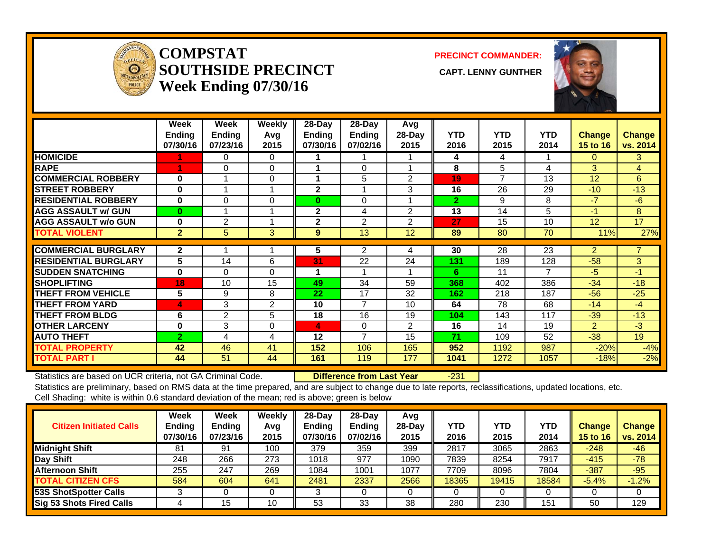![](_page_26_Picture_0.jpeg)

#### **COMPSTATSOUTHSIDE PRECINCT** CAPT. LENNY GUNTHER **Week Ending 07/30/16**

**PRECINCT COMMANDER:**

![](_page_26_Picture_4.jpeg)

|                             | Week<br><b>Ending</b><br>07/30/16 | Week<br><b>Ending</b><br>07/23/16 | <b>Weekly</b><br>Avq<br>2015 | $28$ -Day<br>Ending<br>07/30/16 | $28-Day$<br>Ending<br>07/02/16 | Avg<br>28-Day<br>2015 | <b>YTD</b><br>2016 | <b>YTD</b><br>2015 | YTD.<br>2014 | <b>Change</b><br>15 to 16 | <b>Change</b><br>vs. 2014 |
|-----------------------------|-----------------------------------|-----------------------------------|------------------------------|---------------------------------|--------------------------------|-----------------------|--------------------|--------------------|--------------|---------------------------|---------------------------|
| <b>HOMICIDE</b>             |                                   | 0                                 | 0                            |                                 |                                |                       | 4                  | 4                  |              | $\Omega$                  | 3.                        |
| <b>RAPE</b>                 |                                   | $\Omega$                          | $\Omega$                     |                                 | $\Omega$                       |                       | 8                  | 5                  | 4            | 3                         | 4                         |
| <b>COMMERCIAL ROBBERY</b>   | 0                                 | $\overline{\mathbf{A}}$           | $\Omega$                     | 1                               | 5                              | $\overline{2}$        | 19                 | $\overline{ }$     | 13           | 12                        | 6                         |
| <b>ISTREET ROBBERY</b>      | $\bf{0}$                          |                                   |                              | $\mathbf{2}$                    | 1                              | 3                     | 16                 | 26                 | 29           | $-10$                     | $-13$                     |
| <b>RESIDENTIAL ROBBERY</b>  | 0                                 | $\Omega$                          | 0                            | $\bf{0}$                        | 0                              |                       | $\overline{2}$     | 9                  | 8            | $-7$                      | $-6$                      |
| <b>AGG ASSAULT w/ GUN</b>   | $\bf{0}$                          |                                   |                              | $\mathbf{2}$                    | 4                              | $\overline{2}$        | 13                 | 14                 | 5            | -1                        | 8                         |
| <b>AGG ASSAULT w/o GUN</b>  | $\bf{0}$                          | 2                                 |                              | $\mathbf{2}$                    | 2                              | $\mathfrak{p}$        | 27                 | 15                 | 10           | 12                        | 17                        |
| <b>TOTAL VIOLENT</b>        | $\overline{2}$                    | 5                                 | 3                            | 9                               | 13                             | 12                    | 89                 | 80                 | 70           | 11%                       | 27%                       |
|                             |                                   |                                   |                              |                                 |                                |                       |                    |                    |              |                           |                           |
| <b>COMMERCIAL BURGLARY</b>  | $\mathbf{2}$                      |                                   |                              | 5                               | 2                              | 4                     | 30                 | 28                 | 23           | $\overline{2}$            |                           |
| <b>RESIDENTIAL BURGLARY</b> | 5                                 | 14                                | 6                            | 31                              | 22                             | 24                    | 131                | 189                | 128          | $-58$                     | 3                         |
| <b>ISUDDEN SNATCHING</b>    | 0                                 | $\Omega$                          | $\Omega$                     | 1                               | 1                              |                       | 6                  | 11                 | 7            | $-5$                      | $-1$                      |
| <b>SHOPLIFTING</b>          | 18                                | 10                                | 15                           | 49                              | 34                             | 59                    | 368                | 402                | 386          | $-34$                     | $-18$                     |
| <b>THEFT FROM VEHICLE</b>   | 5                                 | 9                                 | 8                            | 22                              | 17                             | 32                    | 162                | 218                | 187          | $-56$                     | $-25$                     |
| <b>THEFT FROM YARD</b>      | 4                                 | 3                                 | $\overline{2}$               | 10                              | $\overline{7}$                 | 10                    | 64                 | 78                 | 68           | $-14$                     | $-4$                      |
| <b>THEFT FROM BLDG</b>      | 6                                 | 2                                 | 5                            | 18                              | 16                             | 19                    | 104                | 143                | 117          | $-39$                     | $-13$                     |
| <b>OTHER LARCENY</b>        | 0                                 | 3                                 | 0                            | 4                               | $\mathbf 0$                    | $\overline{2}$        | 16                 | 14                 | 19           | $\overline{2}$            | $-3$                      |
| <b>AUTO THEFT</b>           | $\overline{2}$                    | 4                                 | 4                            | 12                              | 7                              | 15                    | 71                 | 109                | 52           | $-38$                     | 19                        |
| <b>TOTAL PROPERTY</b>       | 42                                | 46                                | 41                           | 152                             | 106                            | 165                   | 952                | 1192               | 987          | $-20%$                    | $-4%$                     |
| <b>TOTAL PART I</b>         | 44                                | 51                                | 44                           | 161                             | 119                            | 177                   | 1041               | 1272               | 1057         | $-18%$                    | $-2%$                     |

Statistics are based on UCR criteria, not GA Criminal Code. **Difference from Last Year** -231 Statistics are preliminary, based on RMS data at the time prepared, and are subject to change due to late reports, reclassifications, updated locations, etc.

Cell Shading: white is within 0.6 standard deviation of the mean; red is above; green is below

| <b>Citizen Initiated Calls</b>  | Week<br>Ending<br>07/30/16 | <b>Week</b><br><b>Ending</b><br>07/23/16 | Weekly<br>Avg<br>2015 | $28 - Day$<br>Ending<br>07/30/16 | $28$ -Day<br><b>Ending</b><br>07/02/16 | Avg<br>$28-Dav$<br>2015 | YTD<br>2016 | YTD<br>2015 | YTD<br>2014 | <b>Change</b><br><b>15 to 16</b> | <b>Change</b><br>vs. 2014 |
|---------------------------------|----------------------------|------------------------------------------|-----------------------|----------------------------------|----------------------------------------|-------------------------|-------------|-------------|-------------|----------------------------------|---------------------------|
| <b>Midnight Shift</b>           | 81                         | 91                                       | 100                   | 379                              | 359                                    | 399                     | 2817        | 3065        | 2863        | $-248$                           | $-46$                     |
| Day Shift                       | 248                        | 266                                      | 273                   | 1018                             | 977                                    | 1090                    | 7839        | 8254        | 7917        | $-415$                           | $-78$                     |
| <b>Afternoon Shift</b>          | 255                        | 247                                      | 269                   | 1084                             | 1001                                   | 1077                    | 7709        | 8096        | 7804        | $-387$                           | $-95$                     |
| <b>TOTAL CITIZEN CFS</b>        | 584                        | 604                                      | 641                   | 2481                             | 2337                                   | 2566                    | 18365       | 19415       | 18584       | $-5.4%$                          | $-1.2%$                   |
| 53S ShotSpotter Calls           |                            |                                          |                       |                                  |                                        |                         |             |             |             |                                  |                           |
| <b>Sig 53 Shots Fired Calls</b> |                            | 15                                       | 10                    | 53                               | 33                                     | 38                      | 280         | 230         | 151         | 50                               | 129                       |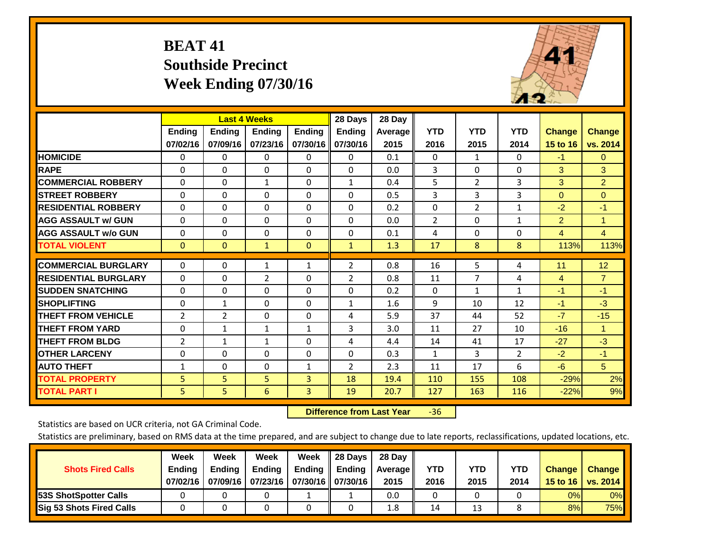## **BEAT 41 Southside Precinct Week Ending 07/30/16**

![](_page_27_Picture_1.jpeg)

|                             |                | <b>Last 4 Weeks</b> |                |               | 28 Days        | 28 Day     |              |                |              |                |                      |
|-----------------------------|----------------|---------------------|----------------|---------------|----------------|------------|--------------|----------------|--------------|----------------|----------------------|
|                             | <b>Ending</b>  | <b>Ending</b>       | <b>Endina</b>  | <b>Ending</b> | <b>Ending</b>  | Average II | <b>YTD</b>   | <b>YTD</b>     | <b>YTD</b>   | <b>Change</b>  | <b>Change</b>        |
|                             | 07/02/16       | 07/09/16            | 07/23/16       | 07/30/16      | 07/30/16       | 2015       | 2016         | 2015           | 2014         | 15 to 16       | vs. 2014             |
| <b>HOMICIDE</b>             | 0              | 0                   | $\mathbf{0}$   | 0             | $\mathbf{0}$   | 0.1        | $\Omega$     | 1              | 0            | $-1$           | $\mathbf{0}$         |
| <b>RAPE</b>                 | 0              | $\Omega$            | $\Omega$       | $\mathbf{0}$  | $\Omega$       | 0.0        | 3            | $\Omega$       | 0            | 3              | 3                    |
| <b>COMMERCIAL ROBBERY</b>   | $\Omega$       | $\Omega$            | $\mathbf{1}$   | $\Omega$      | 1              | 0.4        | 5            | $\overline{2}$ | 3            | 3              | $\overline{2}$       |
| <b>STREET ROBBERY</b>       | 0              | $\Omega$            | $\Omega$       | 0             | $\Omega$       | 0.5        | 3            | 3              | 3            | $\mathbf{0}$   | $\mathbf{0}$         |
| <b>IRESIDENTIAL ROBBERY</b> | $\Omega$       | $\Omega$            | $\mathbf{0}$   | $\Omega$      | $\Omega$       | 0.2        | $\Omega$     | $\overline{2}$ | $\mathbf{1}$ | $-2$           | $-1$                 |
| <b>AGG ASSAULT w/ GUN</b>   | $\Omega$       | 0                   | $\Omega$       | $\mathbf{0}$  | $\Omega$       | 0.0        | 2            | $\Omega$       | $\mathbf{1}$ | 2              | $\blacktriangleleft$ |
| <b>AGG ASSAULT w/o GUN</b>  | 0              | 0                   | $\mathbf{0}$   | $\Omega$      | $\Omega$       | 0.1        | 4            | $\mathbf{0}$   | 0            | $\overline{4}$ | $\overline{4}$       |
| <b>TOTAL VIOLENT</b>        | $\mathbf{0}$   | $\mathbf{0}$        | $\mathbf{1}$   | $\mathbf{0}$  | $\mathbf{1}$   | 1.3        | 17           | 8              | 8            | 113%           | 113%                 |
| <b>COMMERCIAL BURGLARY</b>  |                |                     |                |               |                |            |              |                |              |                |                      |
|                             | $\Omega$       | 0                   | 1              | 1             | 2              | 0.8        | 16           | 5.             | 4            | 11             | 12                   |
| <b>RESIDENTIAL BURGLARY</b> | 0              | 0                   | $\overline{2}$ | $\mathbf{0}$  | $\overline{2}$ | 0.8        | 11           | 7              | 4            | 4              | $\overline{7}$       |
| <b>SUDDEN SNATCHING</b>     | $\Omega$       | 0                   | $\mathbf{0}$   | $\mathbf{0}$  | $\Omega$       | 0.2        | $\Omega$     | 1              | $\mathbf{1}$ | $-1$           | $-1$                 |
| <b>SHOPLIFTING</b>          | 0              | 1                   | $\Omega$       | $\Omega$      | 1              | 1.6        | 9            | 10             | 12           | $-1$           | $-3$                 |
| <b>THEFT FROM VEHICLE</b>   | $\overline{2}$ | $\overline{2}$      | $\Omega$       | $\Omega$      | 4              | 5.9        | 37           | 44             | 52           | $-7$           | $-15$                |
| <b>THEFT FROM YARD</b>      | $\Omega$       | $\mathbf{1}$        | 1              | $\mathbf{1}$  | 3              | 3.0        | 11           | 27             | 10           | $-16$          | $\blacktriangleleft$ |
| <b>THEFT FROM BLDG</b>      | 2              | 1                   | $\mathbf{1}$   | $\mathbf{0}$  | 4              | 4.4        | 14           | 41             | 17           | $-27$          | $-3$                 |
| <b>OTHER LARCENY</b>        | 0              | $\Omega$            | $\Omega$       | $\Omega$      | $\Omega$       | 0.3        | $\mathbf{1}$ | 3              | 2            | $-2$           | $-1$                 |
| <b>AUTO THEFT</b>           | $\mathbf{1}$   | $\Omega$            | $\Omega$       | 1             | 2              | 2.3        | 11           | 17             | 6            | $-6$           | 5                    |
| <b>TOTAL PROPERTY</b>       | 5              | 5                   | 5              | 3             | 18             | 19.4       | 110          | 155            | 108          | $-29%$         | 2%                   |
| <b>TOTAL PART I</b>         | 5              | 5                   | 6              | 3             | 19             | 20.7       | 127          | 163            | 116          | $-22%$         | 9%                   |

 **Difference from Last Year**‐36

Statistics are based on UCR criteria, not GA Criminal Code.

| <b>Shots Fired Calls</b>        | Week<br><b>Ending</b><br>07/02/16 | Week<br><b>Endina</b><br>07/09/16 | <b>Week</b><br>Ending<br>  07/23/16   07/30/16    07/30/16 | Week<br>Ending | 28 Days<br><b>Ending</b> | 28 Day<br>Average II<br>2015 | YTD<br>2016 | YTD<br>2015 | <b>YTD</b><br>2014 | <b>Change</b><br>15 to 16 $\vert$ | <b>Change</b><br><b>vs. 2014</b> |
|---------------------------------|-----------------------------------|-----------------------------------|------------------------------------------------------------|----------------|--------------------------|------------------------------|-------------|-------------|--------------------|-----------------------------------|----------------------------------|
| 53S ShotSpotter Calls           |                                   |                                   |                                                            |                |                          | 0.0                          |             |             |                    | 0%                                | 0%                               |
| <b>Sig 53 Shots Fired Calls</b> |                                   |                                   |                                                            |                |                          | 1.8                          | 14          | 13          |                    | 8%                                | 75%                              |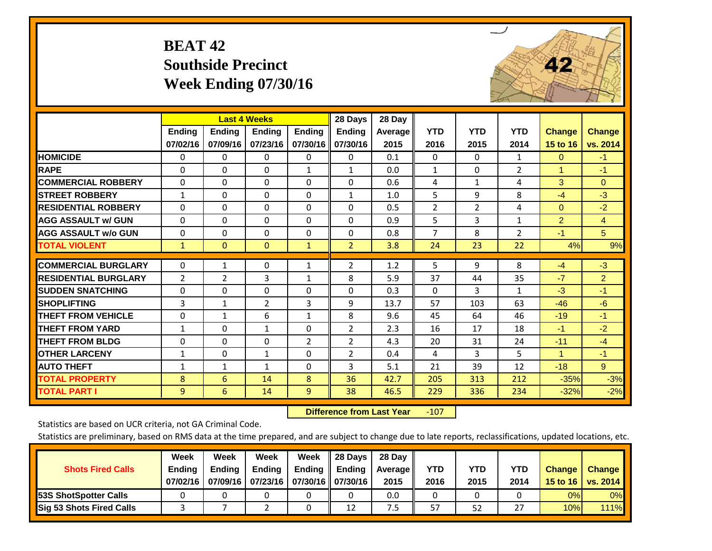## **BEAT 42 Southside Precinct Week Ending 07/30/16**

![](_page_28_Picture_1.jpeg)

|                             |                    | <b>Last 4 Weeks</b>       |                           |                           | 28 Days                   | 28 Day             |                    |                    |                    |                           |                           |
|-----------------------------|--------------------|---------------------------|---------------------------|---------------------------|---------------------------|--------------------|--------------------|--------------------|--------------------|---------------------------|---------------------------|
|                             | Ending<br>07/02/16 | <b>Endina</b><br>07/09/16 | <b>Endina</b><br>07/23/16 | <b>Ending</b><br>07/30/16 | <b>Ending</b><br>07/30/16 | Average   <br>2015 | <b>YTD</b><br>2016 | <b>YTD</b><br>2015 | <b>YTD</b><br>2014 | <b>Change</b><br>15 to 16 | <b>Change</b><br>vs. 2014 |
| <b>HOMICIDE</b>             | 0                  | 0                         | $\Omega$                  | 0                         | 0                         | 0.1                | $\Omega$           | $\mathbf{0}$       | $\mathbf{1}$       | $\mathbf{0}$              | $-1$                      |
| <b>RAPE</b>                 | 0                  | 0                         | $\Omega$                  | 1                         | $\mathbf{1}$              | 0.0                | $\mathbf{1}$       | 0                  | 2                  | 1                         | $-1$                      |
| <b>COMMERCIAL ROBBERY</b>   | $\Omega$           | $\Omega$                  | $\mathbf{0}$              | $\Omega$                  | $\Omega$                  | 0.6                | 4                  | $\mathbf{1}$       | 4                  | 3                         | $\Omega$                  |
| <b>STREET ROBBERY</b>       | $\mathbf{1}$       | $\Omega$                  | $\Omega$                  | 0                         | 1                         | 1.0                | 5                  | 9                  | 8                  | $-4$                      | $-3$                      |
| <b>RESIDENTIAL ROBBERY</b>  | $\Omega$           | $\Omega$                  | $\mathbf{0}$              | $\Omega$                  | $\Omega$                  | 0.5                | $\overline{2}$     | $\overline{2}$     | 4                  | $\Omega$                  | $-2$                      |
| <b>AGG ASSAULT w/ GUN</b>   | $\Omega$           | $\Omega$                  | $\Omega$                  | $\Omega$                  | $\Omega$                  | 0.9                | 5                  | 3                  | 1                  | $\overline{2}$            | $\overline{4}$            |
| <b>AGG ASSAULT w/o GUN</b>  | $\Omega$           | $\Omega$                  | $\mathbf{0}$              | $\Omega$                  | $\Omega$                  | 0.8                | $\overline{7}$     | 8                  | $\overline{2}$     | $-1$                      | 5 <sup>5</sup>            |
| <b>TOTAL VIOLENT</b>        | 1                  | $\mathbf{0}$              | $\mathbf{0}$              | 1                         | $\overline{2}$            | 3.8                | 24                 | 23                 | 22                 | 4%                        | 9%                        |
| <b>COMMERCIAL BURGLARY</b>  | $\Omega$           | 1                         | $\Omega$                  | 1                         | $\overline{2}$            | 1.2                | 5                  | 9                  | 8                  | $-4$                      | $-3$                      |
| <b>RESIDENTIAL BURGLARY</b> | $\overline{2}$     | $\overline{2}$            | $\overline{3}$            | $\mathbf{1}$              | 8                         | 5.9                | 37                 | 44                 | 35                 | $-7$                      | $\overline{2}$            |
| <b>ISUDDEN SNATCHING</b>    | 0                  | 0                         | $\Omega$                  | $\Omega$                  | $\Omega$                  | 0.3                | $\Omega$           | 3                  | 1                  | $-3$                      | $-1$                      |
| <b>SHOPLIFTING</b>          | 3                  | $\mathbf{1}$              | $\overline{2}$            | 3                         | 9                         | 13.7               | 57                 | 103                | 63                 | $-46$                     | $-6$                      |
| <b>THEFT FROM VEHICLE</b>   | $\Omega$           | $\mathbf{1}$              | 6                         | $\mathbf{1}$              | 8                         | 9.6                | 45                 | 64                 | 46                 | $-19$                     | $-1$                      |
| <b>THEFT FROM YARD</b>      | $\mathbf{1}$       | $\Omega$                  | 1                         | 0                         | $\overline{2}$            | 2.3                | 16                 | 17                 | 18                 | $-1$                      | $-2$                      |
| <b>THEFT FROM BLDG</b>      | $\Omega$           | $\Omega$                  | $\Omega$                  | $\overline{2}$            | $\overline{2}$            | 4.3                | 20                 | 31                 | 24                 | $-11$                     | $-4$                      |
| <b>OTHER LARCENY</b>        | 1                  | $\Omega$                  | 1                         | 0                         | $\overline{2}$            | 0.4                | 4                  | 3                  | 5.                 | $\blacktriangleleft$      | $-1$                      |
| <b>AUTO THEFT</b>           | $\mathbf{1}$       | $\mathbf{1}$              | $\mathbf{1}$              | $\Omega$                  | 3                         | 5.1                | 21                 | 39                 | 12                 | $-18$                     | 9                         |
| <b>TOTAL PROPERTY</b>       | 8                  | 6                         | 14                        | 8                         | 36                        | 42.7               | 205                | 313                | 212                | $-35%$                    | $-3%$                     |
| <b>TOTAL PART I</b>         | 9                  | 6                         | 14                        | 9                         | 38                        | 46.5               | 229                | 336                | 234                | $-32%$                    | $-2%$                     |

 **Difference from Last Year**r -107

Statistics are based on UCR criteria, not GA Criminal Code.

| <b>Shots Fired Calls</b>        | Week<br><b>Ending</b><br>07/02/16 | Week<br><b>Endina</b><br>07/09/16 | Week<br><b>Ending</b><br>  07/23/16   07/30/16    07/30/16 | Week<br>Ending | 28 Days<br><b>Ending</b> | 28 Day<br>Average II<br>2015 | YTD<br>2016 | YTD<br>2015 | YTD<br>2014    | <b>Change</b><br>15 to 16 $\vert$ | <b>Change</b><br>vs. 2014 |
|---------------------------------|-----------------------------------|-----------------------------------|------------------------------------------------------------|----------------|--------------------------|------------------------------|-------------|-------------|----------------|-----------------------------------|---------------------------|
| <b>153S ShotSpotter Calls</b>   |                                   |                                   |                                                            |                |                          | 0.0                          |             |             |                | 0%                                | 0%                        |
| <b>Sig 53 Shots Fired Calls</b> |                                   |                                   |                                                            |                | 12                       | ט.                           | 57          | 52          | 55<br><u>.</u> | 10%                               | <b>111%</b>               |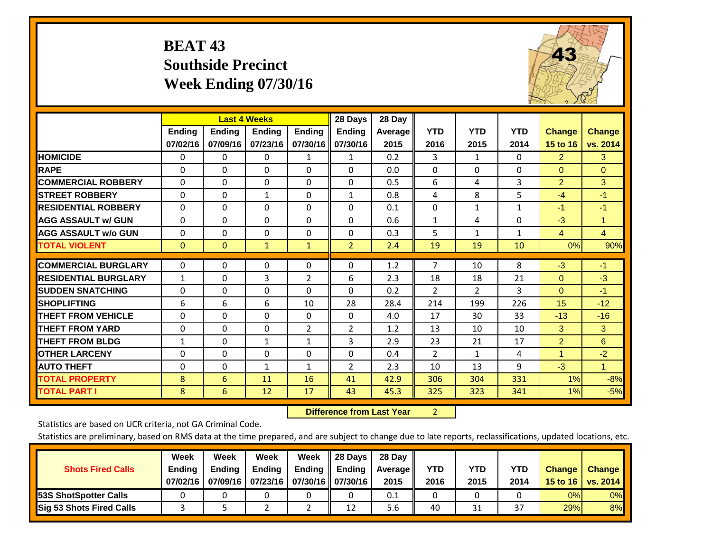## **BEAT 43 Southside Precinct Week Ending 07/30/16**

![](_page_29_Picture_1.jpeg)

|                             |               | <b>Last 4 Weeks</b> |               |                | 28 Days                   | 28 Day         |                |                    |              |                |                |
|-----------------------------|---------------|---------------------|---------------|----------------|---------------------------|----------------|----------------|--------------------|--------------|----------------|----------------|
|                             | <b>Ending</b> | <b>Ending</b>       | <b>Endina</b> | <b>Endina</b>  | <b>Ending</b><br>07/30/16 | <b>Average</b> | <b>YTD</b>     | <b>YTD</b><br>2015 | <b>YTD</b>   | <b>Change</b>  | <b>Change</b>  |
|                             | 07/02/16      | 07/09/16            | 07/23/16      | 07/30/16       |                           | 2015           | 2016           |                    | 2014         | 15 to 16       | vs. 2014       |
| <b>HOMICIDE</b>             | 0             | 0                   | 0             | $\mathbf{1}$   | $\mathbf{1}$              | 0.2            | 3              | $\mathbf{1}$       | 0            | $\overline{2}$ | 3              |
| <b>RAPE</b>                 | $\Omega$      | 0                   | $\Omega$      | 0              | $\Omega$                  | 0.0            | $\mathbf{0}$   | 0                  | $\Omega$     | $\Omega$       | $\Omega$       |
| <b>COMMERCIAL ROBBERY</b>   | $\Omega$      | 0                   | $\Omega$      | $\Omega$       | $\Omega$                  | 0.5            | 6              | 4                  | 3            | $\overline{2}$ | 3              |
| <b>STREET ROBBERY</b>       | 0             | $\Omega$            | 1             | $\Omega$       | $\mathbf{1}$              | 0.8            | 4              | 8                  | 5            | $-4$           | $-1$           |
| <b>RESIDENTIAL ROBBERY</b>  | $\Omega$      | $\Omega$            | $\mathbf{0}$  | $\Omega$       | $\Omega$                  | 0.1            | $\mathbf{0}$   | $\mathbf{1}$       | $\mathbf{1}$ | $-1$           | $-1$           |
| <b>AGG ASSAULT w/ GUN</b>   | $\Omega$      | 0                   | $\Omega$      | $\Omega$       | $\Omega$                  | 0.6            | $\mathbf{1}$   | 4                  | $\Omega$     | $-3$           | 1.             |
| <b>AGG ASSAULT w/o GUN</b>  | $\Omega$      | 0                   | $\mathbf{0}$  | $\Omega$       | $\Omega$                  | 0.3            | 5              | $\mathbf{1}$       | $\mathbf{1}$ | 4              | $\overline{4}$ |
| <b>TOTAL VIOLENT</b>        | $\mathbf 0$   | $\overline{0}$      | $\mathbf{1}$  | $\mathbf{1}$   | $\overline{2}$            | 2.4            | 19             | 19                 | 10           | 0%             | 90%            |
|                             |               |                     |               |                |                           |                |                |                    |              |                |                |
| <b>COMMERCIAL BURGLARY</b>  | 0             | $\Omega$            | 0             | 0              | $\Omega$                  | 1.2            | 7              | 10                 | 8            | $-3$           | $-1$           |
| <b>RESIDENTIAL BURGLARY</b> | $\mathbf{1}$  | 0                   | 3             | $\overline{2}$ | 6                         | 2.3            | 18             | 18                 | 21           | $\Omega$       | $-3$           |
| <b>ISUDDEN SNATCHING</b>    | $\Omega$      | 0                   | $\mathbf{0}$  | $\Omega$       | $\Omega$                  | 0.2            | $\overline{2}$ | $\overline{2}$     | 3            | $\Omega$       | $-1$           |
| <b>SHOPLIFTING</b>          | 6             | 6                   | 6             | 10             | 28                        | 28.4           | 214            | 199                | 226          | 15             | $-12$          |
| <b>THEFT FROM VEHICLE</b>   | $\Omega$      | 0                   | $\mathbf 0$   | $\Omega$       | $\Omega$                  | 4.0            | 17             | 30                 | 33           | $-13$          | $-16$          |
| <b>THEFT FROM YARD</b>      | $\Omega$      | $\Omega$            | $\Omega$      | $\overline{2}$ | $\overline{2}$            | 1.2            | 13             | 10                 | 10           | 3              | 3              |
| <b>THEFT FROM BLDG</b>      | $\mathbf{1}$  | $\Omega$            | $\mathbf{1}$  | 1              | 3                         | 2.9            | 23             | 21                 | 17           | $\overline{2}$ | 6              |
| <b>OTHER LARCENY</b>        | $\Omega$      | $\Omega$            | $\Omega$      | $\Omega$       | $\Omega$                  | 0.4            | $\overline{2}$ | 1                  | 4            | 1              | $-2$           |
| <b>AUTO THEFT</b>           | $\Omega$      | $\Omega$            | $\mathbf{1}$  | $\mathbf{1}$   | 2                         | 2.3            | 10             | 13                 | 9            | $-3$           | $\mathbf{1}$   |
| <b>TOTAL PROPERTY</b>       | 8             | 6                   | 11            | 16             | 41                        | 42.9           | 306            | 304                | 331          | $1\%$          | $-8%$          |
| <b>TOTAL PART I</b>         | 8             | 6                   | 12            | 17             | 43                        | 45.3           | 325            | 323                | 341          | 1%             | $-5%$          |

 **Difference from Last Year**r 2

Statistics are based on UCR criteria, not GA Criminal Code.

| <b>Shots Fired Calls</b>        | Week<br><b>Ending</b><br>07/02/16 | Week<br><b>Endina</b><br>07/09/16 | Week<br><b>Ending</b><br>  07/23/16   07/30/16    07/30/16 | Week<br>Ending | 28 Days<br><b>Ending</b> | 28 Day<br>Average II<br>2015 | YTD<br>2016 | YTD<br>2015 | YTD<br>2014             | <b>Change</b><br>15 to 16 $\vert$ | <b>Change</b><br>vs. 2014 |
|---------------------------------|-----------------------------------|-----------------------------------|------------------------------------------------------------|----------------|--------------------------|------------------------------|-------------|-------------|-------------------------|-----------------------------------|---------------------------|
| <b>153S ShotSpotter Calls</b>   |                                   |                                   |                                                            |                |                          | 0.1                          |             |             |                         | 0%                                | 0%                        |
| <b>Sig 53 Shots Fired Calls</b> |                                   |                                   |                                                            |                | 12                       | 5.6                          | 40          | 31          | $\mathbin{\lnot}$<br>3, | 29%                               | 8%                        |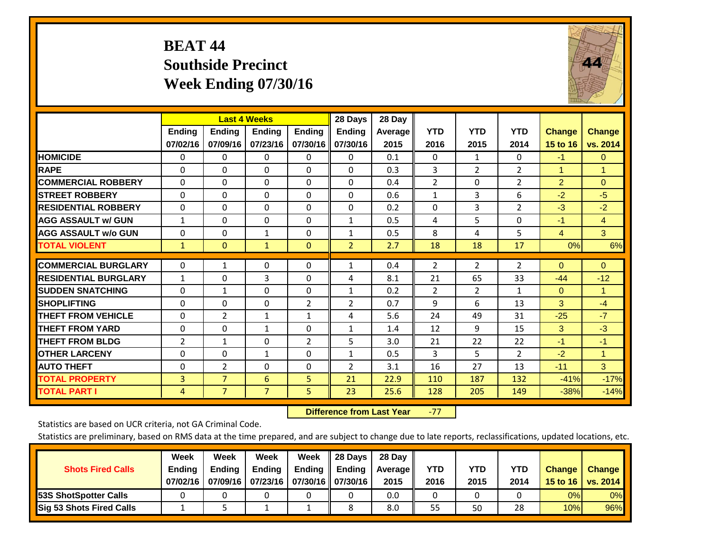## **BEAT 44 Southside Precinct Week Ending 07/30/16**

![](_page_30_Picture_1.jpeg)

|                             |                | <b>Last 4 Weeks</b> |                |                | 28 Days        | 28 Day  |                |                |                |                |                |
|-----------------------------|----------------|---------------------|----------------|----------------|----------------|---------|----------------|----------------|----------------|----------------|----------------|
|                             | <b>Ending</b>  | <b>Ending</b>       | <b>Endina</b>  | <b>Ending</b>  | <b>Ending</b>  | Average | <b>YTD</b>     | <b>YTD</b>     | <b>YTD</b>     | <b>Change</b>  | <b>Change</b>  |
|                             | 07/02/16       | 07/09/16            | 07/23/16       | 07/30/16       | 07/30/16       | 2015    | 2016           | 2015           | 2014           | 15 to 16       | vs. 2014       |
| <b>HOMICIDE</b>             | $\mathbf{0}$   | 0                   | $\Omega$       | $\Omega$       | 0              | 0.1     | $\Omega$       | 1              | 0              | $-1$           | $\overline{0}$ |
| <b>RAPE</b>                 | $\Omega$       | 0                   | $\Omega$       | $\Omega$       | 0              | 0.3     | 3              | $\overline{2}$ | $\overline{2}$ | $\mathbf{1}$   | $\mathbf{1}$   |
| <b>COMMERCIAL ROBBERY</b>   | $\Omega$       | 0                   | $\Omega$       | $\mathbf{0}$   | $\Omega$       | 0.4     | $\overline{2}$ | $\Omega$       | $\overline{2}$ | $\overline{2}$ | $\Omega$       |
| <b>STREET ROBBERY</b>       | $\Omega$       | $\Omega$            | $\Omega$       | $\mathbf{0}$   | $\Omega$       | 0.6     | $\mathbf{1}$   | 3              | 6              | $-2$           | $-5$           |
| <b>RESIDENTIAL ROBBERY</b>  | $\Omega$       | $\Omega$            | $\Omega$       | $\mathbf{0}$   | $\Omega$       | 0.2     | $\Omega$       | 3              | 2              | $-3$           | $-2$           |
| <b>AGG ASSAULT w/ GUN</b>   | $\mathbf{1}$   | 0                   | $\Omega$       | $\mathbf{0}$   | $\mathbf{1}$   | 0.5     | 4              | 5.             | 0              | $-1$           | $\overline{4}$ |
| <b>AGG ASSAULT w/o GUN</b>  | $\Omega$       | $\Omega$            | 1              | $\Omega$       | $\mathbf{1}$   | 0.5     | 8              | 4              | 5              | $\overline{4}$ | 3              |
| <b>TOTAL VIOLENT</b>        | $\mathbf{1}$   | $\mathbf{0}$        | $\mathbf{1}$   | $\mathbf{0}$   | $\overline{2}$ | 2.7     | 18             | 18             | 17             | 0%             | 6%             |
|                             |                |                     |                |                |                |         |                |                |                |                |                |
| <b>COMMERCIAL BURGLARY</b>  | $\Omega$       | 1                   | $\Omega$       | $\mathbf{0}$   | $\mathbf{1}$   | 0.4     | $\overline{2}$ | 2              | $\overline{2}$ | $\mathbf{0}$   | $\mathbf{0}$   |
| <b>RESIDENTIAL BURGLARY</b> | 1              | 0                   | 3              | $\Omega$       | 4              | 8.1     | 21             | 65             | 33             | -44            | $-12$          |
| <b>SUDDEN SNATCHING</b>     | 0              | 1                   | $\Omega$       | $\Omega$       | $\mathbf{1}$   | 0.2     | $\overline{2}$ | $\overline{2}$ | $\mathbf{1}$   | $\mathbf{0}$   | $\mathbf{1}$   |
| <b>SHOPLIFTING</b>          | $\Omega$       | $\Omega$            | $\Omega$       | $\overline{2}$ | $\overline{2}$ | 0.7     | 9              | 6              | 13             | 3              | $-4$           |
| <b>THEFT FROM VEHICLE</b>   | $\Omega$       | $\overline{2}$      | $\mathbf{1}$   | 1              | 4              | 5.6     | 24             | 49             | 31             | $-25$          | $-7$           |
| <b>THEFT FROM YARD</b>      | 0              | $\Omega$            | 1              | 0              | $\mathbf{1}$   | 1.4     | 12             | 9              | 15             | 3              | $-3$           |
| <b>THEFT FROM BLDG</b>      | $\overline{2}$ | $\mathbf{1}$        | $\Omega$       | $\overline{2}$ | 5              | 3.0     | 21             | 22             | 22             | $-1$           | $-1$           |
| <b>OTHER LARCENY</b>        | 0              | 0                   | $\mathbf{1}$   | $\Omega$       | $\mathbf{1}$   | 0.5     | 3              | 5.             | $\overline{2}$ | $-2$           | $\mathbf{1}$   |
| <b>AUTO THEFT</b>           | $\Omega$       | $\overline{2}$      | $\Omega$       | $\mathbf{0}$   | $\overline{2}$ | 3.1     | 16             | 27             | 13             | $-11$          | 3              |
| <b>TOTAL PROPERTY</b>       | 3              | $\overline{7}$      | 6              | 5.             | 21             | 22.9    | 110            | 187            | 132            | $-41%$         | $-17%$         |
| <b>TOTAL PART I</b>         | 4              | $\overline{7}$      | $\overline{7}$ | 5              | 23             | 25.6    | 128            | 205            | 149            | $-38%$         | $-14%$         |

 **Difference from Last Year**‐77

Statistics are based on UCR criteria, not GA Criminal Code.

| <b>Shots Fired Calls</b>        | Week<br><b>Ending</b> | Week<br><b>Endina</b> | Week<br><b>Ending</b>          | Week | 28 Days<br>Ending $\parallel$ Ending | 28 Dav<br>Average II | YTD  | YTD  | <b>YTD</b> | <b>Change</b> | <b>Change</b> |
|---------------------------------|-----------------------|-----------------------|--------------------------------|------|--------------------------------------|----------------------|------|------|------------|---------------|---------------|
|                                 | 07/02/16              | 07/09/16              | 07/23/16   07/30/16   07/30/16 |      |                                      | 2015                 | 2016 | 2015 | 2014       | 15 to 16      | vs. 2014      |
| <b>153S ShotSpotter Calls</b>   |                       |                       |                                |      |                                      | 0.0                  |      |      |            | 0%            | $0\%$         |
| <b>Sig 53 Shots Fired Calls</b> |                       |                       |                                |      |                                      | 8.0                  | 55   | 50   | 28         | 10%           | <b>96%</b>    |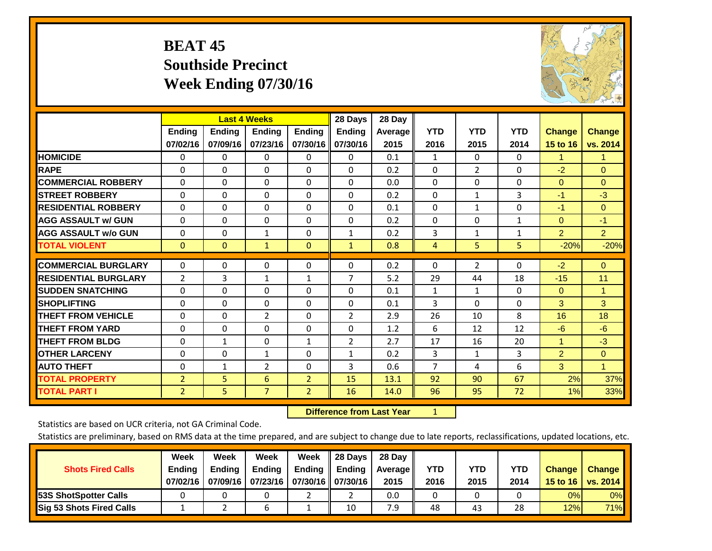## **BEAT 45 Southside Precinct Week Ending 07/30/16**

![](_page_31_Picture_1.jpeg)

|                             |                           | <b>Last 4 Weeks</b> |                           |                           | 28 Days                   | 28 Day          |                    |                    |                    |                           |                           |
|-----------------------------|---------------------------|---------------------|---------------------------|---------------------------|---------------------------|-----------------|--------------------|--------------------|--------------------|---------------------------|---------------------------|
|                             | <b>Ending</b><br>07/02/16 | Ending<br>07/09/16  | <b>Ending</b><br>07/23/16 | <b>Ending</b><br>07/30/16 | <b>Ending</b><br>07/30/16 | Average<br>2015 | <b>YTD</b><br>2016 | <b>YTD</b><br>2015 | <b>YTD</b><br>2014 | <b>Change</b><br>15 to 16 | <b>Change</b><br>vs. 2014 |
| <b>HOMICIDE</b>             | 0                         | $\Omega$            | 0                         | 0                         | $\Omega$                  | 0.1             | 1                  | 0                  | 0                  | 1.                        | 1.                        |
| <b>RAPE</b>                 | $\Omega$                  | 0                   | $\Omega$                  | 0                         | 0                         | 0.2             | $\Omega$           | $\overline{2}$     | 0                  | $-2$                      | $\Omega$                  |
| <b>COMMERCIAL ROBBERY</b>   | $\Omega$                  | $\Omega$            | $\mathbf{0}$              | $\Omega$                  | $\Omega$                  | 0.0             | $\Omega$           | $\Omega$           | $\Omega$           | $\mathbf{0}$              | $\Omega$                  |
| <b>STREET ROBBERY</b>       | $\Omega$                  | $\Omega$            | $\Omega$                  | $\Omega$                  | 0                         | 0.2             | $\mathbf{0}$       | $\mathbf{1}$       | 3                  | $-1$                      | $-3$                      |
| <b>RESIDENTIAL ROBBERY</b>  | $\Omega$                  | $\Omega$            | $\Omega$                  | $\Omega$                  | $\Omega$                  | 0.1             | $\mathbf{0}$       | 1                  | 0                  | $-1$                      | $\Omega$                  |
| <b>AGG ASSAULT w/ GUN</b>   | $\Omega$                  | $\Omega$            | $\Omega$                  | $\Omega$                  | 0                         | 0.2             | $\Omega$           | 0                  | 1                  | $\mathbf{0}$              | $-1$                      |
| <b>AGG ASSAULT w/o GUN</b>  | 0                         | $\Omega$            | 1                         | 0                         | $\mathbf{1}$              | 0.2             | 3                  | 1                  | 1                  | $\overline{2}$            | 2 <sup>1</sup>            |
| <b>TOTAL VIOLENT</b>        | $\mathbf{0}$              | $\mathbf{0}$        | $\mathbf{1}$              | $\mathbf{0}$              | $\mathbf{1}$              | 0.8             | 4                  | 5                  | 5                  | $-20%$                    | $-20%$                    |
| <b>COMMERCIAL BURGLARY</b>  | $\Omega$                  | 0                   | $\mathbf{0}$              | 0                         | $\Omega$                  | 0.2             | 0                  | $\overline{2}$     | 0                  | $-2$                      | $\mathbf{0}$              |
| <b>RESIDENTIAL BURGLARY</b> | 2                         | 3                   | 1                         |                           | 7                         | 5.2             | 29                 | 44                 | 18                 | $-15$                     | 11                        |
| <b>SUDDEN SNATCHING</b>     | $\Omega$                  | 0                   | $\Omega$                  | 1<br>0                    | 0                         | 0.1             | 1                  | 1                  | $\Omega$           | $\mathbf{0}$              | $\mathbf{1}$              |
| <b>SHOPLIFTING</b>          | $\Omega$                  | $\Omega$            | $\Omega$                  | 0                         | 0                         | 0.1             | 3                  | $\Omega$           | 0                  | 3                         | 3                         |
| <b>THEFT FROM VEHICLE</b>   | $\Omega$                  | 0                   | $\overline{2}$            | 0                         | 2                         | 2.9             | 26                 | 10                 | 8                  | 16                        | 18                        |
| <b>THEFT FROM YARD</b>      | $\Omega$                  | $\Omega$            | $\Omega$                  | $\Omega$                  | $\Omega$                  | 1.2             | 6                  | 12                 | 12                 | $-6$                      | $-6$                      |
| <b>THEFT FROM BLDG</b>      | 0                         | 1                   | $\Omega$                  | 1                         | 2                         | 2.7             | 17                 | 16                 | 20                 | 1                         | $-3$                      |
| <b>OTHER LARCENY</b>        | $\Omega$                  | $\Omega$            | 1                         | 0                         | $\mathbf{1}$              | 0.2             | 3                  | 1                  | 3                  | $\overline{2}$            | $\Omega$                  |
| <b>AUTO THEFT</b>           | 0                         | $\mathbf{1}$        | $\overline{2}$            | $\Omega$                  | 3                         | 0.6             | $\overline{7}$     | 4                  | 6                  | 3                         | $\mathbf{1}$              |
| <b>TOTAL PROPERTY</b>       |                           | 5                   | 6                         | $\overline{2}$            | 15                        | 13.1            | 92                 | 90                 | 67                 | 2%                        | 37%                       |
| <b>TOTAL PART I</b>         | $\overline{2}$<br>2       | 5                   | $\overline{7}$            | $\overline{2}$            | 16                        | 14.0            | 96                 | 95                 | 72                 | 1%                        | 33%                       |

 **Difference from Last Year**r <u>1</u>

Statistics are based on UCR criteria, not GA Criminal Code.

| <b>Shots Fired Calls</b>        | Week<br><b>Ending</b><br>07/02/16 | Week<br><b>Endina</b><br>07/09/16 | Week<br><b>Ending</b><br>  07/23/16   07/30/16    07/30/16 | Week<br>Ending | 28 Days<br><b>Ending</b> | 28 Day<br>Average II<br>2015 | YTD<br>2016 | YTD<br>2015 | YTD<br>2014 | <b>Change</b><br>15 to 16 $\vert$ | <b>Change</b><br>vs. 2014 |
|---------------------------------|-----------------------------------|-----------------------------------|------------------------------------------------------------|----------------|--------------------------|------------------------------|-------------|-------------|-------------|-----------------------------------|---------------------------|
| <b>153S ShotSpotter Calls</b>   |                                   |                                   |                                                            |                |                          | 0.0                          |             |             |             | 0%                                | 0%                        |
| <b>Sig 53 Shots Fired Calls</b> |                                   |                                   | n                                                          |                | 10                       | 7.9                          | 48          | 43          | 28          | 12%                               | <b>71%</b>                |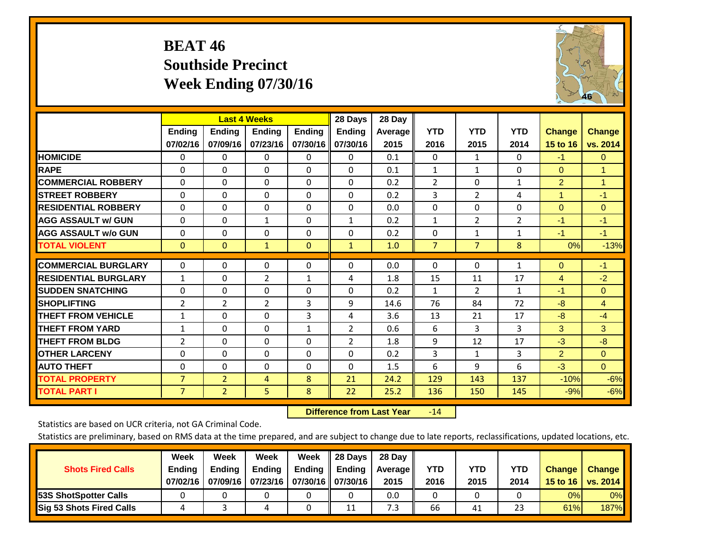## **BEAT 46 Southside Precinct Week Ending 07/30/16**

![](_page_32_Picture_1.jpeg)

|                             |                | <b>Last 4 Weeks</b> |                |               | 28 Days       | 28 Day  |                |                |                |                      |               |
|-----------------------------|----------------|---------------------|----------------|---------------|---------------|---------|----------------|----------------|----------------|----------------------|---------------|
|                             | <b>Ending</b>  | <b>Ending</b>       | <b>Endina</b>  | <b>Endina</b> | <b>Endina</b> | Average | <b>YTD</b>     | <b>YTD</b>     | <b>YTD</b>     | <b>Change</b>        | <b>Change</b> |
|                             | 07/02/16       | 07/09/16            | 07/23/16       | 07/30/16      | 07/30/16      | 2015    | 2016           | 2015           | 2014           | <b>15 to 16</b>      | vs. 2014      |
| <b>HOMICIDE</b>             | $\Omega$       | $\mathbf{0}$        | 0              | $\Omega$      | $\mathbf{0}$  | 0.1     | $\Omega$       | $\mathbf{1}$   | 0              | $-1$                 | $\mathbf{0}$  |
| <b>RAPE</b>                 | $\Omega$       | $\Omega$            | $\Omega$       | $\Omega$      | $\Omega$      | 0.1     | $\mathbf{1}$   | $\mathbf{1}$   | 0              | $\Omega$             | 1             |
| <b>COMMERCIAL ROBBERY</b>   | $\Omega$       | $\Omega$            | $\Omega$       | $\Omega$      | $\Omega$      | 0.2     | $\overline{2}$ | $\Omega$       | $\mathbf{1}$   | $\overline{2}$       | 1             |
| <b>ISTREET ROBBERY</b>      | $\Omega$       | 0                   | $\Omega$       | $\mathbf{0}$  | $\Omega$      | 0.2     | 3              | 2              | 4              | $\blacktriangleleft$ | $-1$          |
| <b>RESIDENTIAL ROBBERY</b>  | $\Omega$       | 0                   | $\Omega$       | $\mathbf{0}$  | $\Omega$      | 0.0     | $\mathbf{0}$   | 0              | 0              | $\Omega$             | $\mathbf{0}$  |
| <b>AGG ASSAULT w/ GUN</b>   | $\Omega$       | $\Omega$            | $\mathbf{1}$   | $\Omega$      | $\mathbf{1}$  | 0.2     | $\mathbf{1}$   | $\overline{2}$ | $\overline{2}$ | $-1$                 | $-1$          |
| <b>AGG ASSAULT w/o GUN</b>  | $\Omega$       | $\Omega$            | $\Omega$       | $\Omega$      | $\Omega$      | 0.2     | 0              | $\mathbf{1}$   | $\mathbf{1}$   | $-1$                 | $-1$          |
| <b>TOTAL VIOLENT</b>        | $\mathbf{0}$   | $\mathbf{0}$        | $\mathbf{1}$   | $\mathbf{0}$  | $\mathbf{1}$  | 1.0     | $\overline{7}$ | $\overline{7}$ | 8              | 0%                   | $-13%$        |
|                             |                |                     |                |               |               |         |                |                |                |                      |               |
| <b>COMMERCIAL BURGLARY</b>  | 0              | $\Omega$            | 0              | 0             | $\Omega$      | 0.0     | $\mathbf 0$    | $\mathbf{0}$   | 1              | $\Omega$             | $-1$          |
| <b>RESIDENTIAL BURGLARY</b> | $\mathbf{1}$   | $\Omega$            | $\overline{2}$ | 1             | 4             | 1.8     | 15             | 11             | 17             | 4                    | $-2$          |
| <b>ISUDDEN SNATCHING</b>    | $\Omega$       | $\Omega$            | $\Omega$       | $\Omega$      | $\Omega$      | 0.2     | 1              | $\overline{2}$ | $\mathbf{1}$   | -1                   | $\mathbf{0}$  |
| SHOPLIFTING                 | 2              | $\overline{2}$      | $\overline{2}$ | 3             | 9             | 14.6    | 76             | 84             | 72             | $-8$                 | 4             |
| <b>THEFT FROM VEHICLE</b>   | $\mathbf{1}$   | $\Omega$            | $\Omega$       | 3             | 4             | 3.6     | 13             | 21             | 17             | -8                   | $-4$          |
| <b>THEFT FROM YARD</b>      | $\mathbf{1}$   | $\Omega$            | $\Omega$       | $\mathbf{1}$  | 2             | 0.6     | 6              | 3              | 3              | 3                    | 3             |
| <b>THEFT FROM BLDG</b>      | 2              | $\Omega$            | $\Omega$       | $\Omega$      | 2             | 1.8     | 9              | 12             | 17             | $-3$                 | $-8$          |
| <b>IOTHER LARCENY</b>       | $\Omega$       | $\Omega$            | $\Omega$       | $\Omega$      | $\Omega$      | 0.2     | 3              | $\mathbf{1}$   | 3              | $\overline{2}$       | $\mathbf{0}$  |
| <b>AUTO THEFT</b>           | $\Omega$       | $\Omega$            | $\Omega$       | $\Omega$      | $\Omega$      | 1.5     | 6              | 9              | 6              | $-3$                 | $\Omega$      |
| <b>TOTAL PROPERTY</b>       | $\overline{7}$ | $\overline{2}$      | 4              | 8             | 21            | 24.2    | 129            | 143            | 137            | $-10%$               | $-6%$         |
| <b>TOTAL PART I</b>         | $\overline{7}$ | $\overline{2}$      | 5              | 8             | 22            | 25.2    | 136            | 150            | 145            | $-9%$                | $-6%$         |

 **Difference from Last Year**r -14

Statistics are based on UCR criteria, not GA Criminal Code.

| <b>Shots Fired Calls</b>        | Week<br><b>Ending</b><br>07/02/16 | Week<br><b>Endina</b><br>07/09/16 | <b>Week</b><br>Ending<br>  07/23/16   07/30/16    07/30/16 | Week<br>Ending | 28 Days<br><b>Ending</b> | 28 Day<br>Average II<br>2015 | YTD<br>2016 | YTD<br>2015 | YTD<br>2014 | <b>Change</b><br>15 to 16 $\vert$ | <b>Change</b><br>vs. 2014 |
|---------------------------------|-----------------------------------|-----------------------------------|------------------------------------------------------------|----------------|--------------------------|------------------------------|-------------|-------------|-------------|-----------------------------------|---------------------------|
| <b>153S ShotSpotter Calls</b>   |                                   |                                   |                                                            |                |                          | 0.0                          |             |             |             | 0%                                | 0%                        |
| <b>Sig 53 Shots Fired Calls</b> |                                   |                                   |                                                            |                | 11                       | 7.3                          | 66          | 41          | 23          | 61%                               | <b>187%</b>               |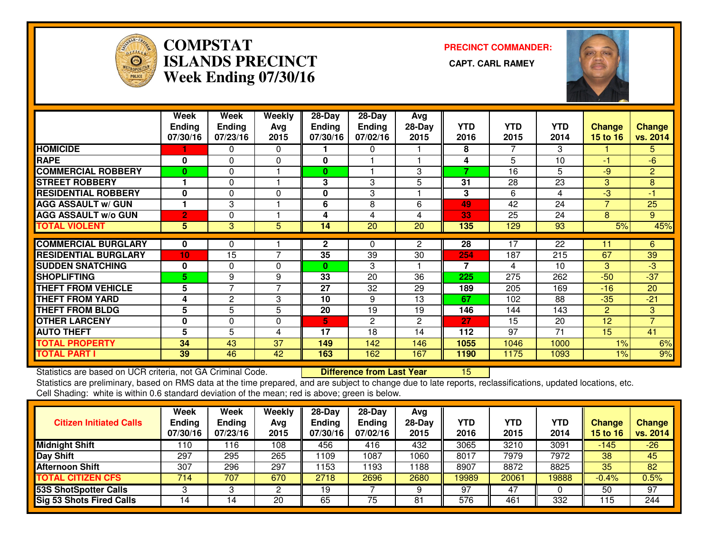![](_page_33_Picture_0.jpeg)

#### **COMPSTATISLANDS PRECINCT Week Ending 07/30/16**

**PRECINCT COMMANDER:**

![](_page_33_Picture_4.jpeg)

|                             | Week<br><b>Ending</b><br>07/30/16 | Week<br><b>Ending</b><br>07/23/16 | Weekly<br>Avg<br>2015 | 28-Day<br><b>Ending</b><br>07/30/16 | $28-Day$<br><b>Ending</b><br>07/02/16 | Avg<br>$28-Day$<br>2015 | <b>YTD</b><br>2016 | <b>YTD</b><br>2015 | <b>YTD</b><br>2014 | <b>Change</b><br><b>15 to 16</b> | <b>Change</b><br>vs. 2014 |
|-----------------------------|-----------------------------------|-----------------------------------|-----------------------|-------------------------------------|---------------------------------------|-------------------------|--------------------|--------------------|--------------------|----------------------------------|---------------------------|
| <b>HOMICIDE</b>             |                                   | 0                                 | $\Omega$              |                                     | 0                                     |                         | 8                  |                    | 3                  |                                  | 5.                        |
| <b>RAPE</b>                 | $\bf{0}$                          | 0                                 | $\Omega$              | 0                                   |                                       |                         | 4                  | 5                  | 10                 | -1                               | $-6$                      |
| <b>COMMERCIAL ROBBERY</b>   | $\bf{0}$                          | 0                                 |                       | 0                                   |                                       | 3                       | 7                  | 16                 | 5                  | -9                               | $\overline{2}$            |
| <b>STREET ROBBERY</b>       |                                   | 0                                 |                       | 3                                   | 3                                     | 5                       | 31                 | 28                 | 23                 | 3                                | 8                         |
| <b>RESIDENTIAL ROBBERY</b>  | $\bf{0}$                          | 0                                 | $\Omega$              | $\bf{0}$                            | 3                                     |                         | 3                  | 6                  | 4                  | -3                               | -1                        |
| <b>AGG ASSAULT w/ GUN</b>   |                                   | 3                                 |                       | 6                                   | 8                                     | 6                       | 49                 | 42                 | 24                 | $\overline{7}$                   | 25                        |
| <b>AGG ASSAULT w/o GUN</b>  | $\overline{2}$                    | 0                                 |                       | 4                                   | 4                                     | 4                       | 33                 | 25                 | 24                 | 8                                | 9                         |
| <b>TOTAL VIOLENT</b>        | 5                                 | 3                                 | 5                     | 14                                  | 20                                    | 20                      | 135                | 129                | 93                 | 5%                               | 45%                       |
|                             |                                   |                                   |                       |                                     |                                       |                         |                    |                    |                    |                                  |                           |
| <b>COMMERCIAL BURGLARY</b>  | 0                                 | 0                                 |                       | $\mathbf{2}$                        | 0                                     | $\mathbf{2}$            | 28                 | 17                 | 22                 | 11                               | $6 \overline{6}$          |
| <b>RESIDENTIAL BURGLARY</b> | 10 <sub>1</sub>                   | 15                                | $\overline{7}$        | 35                                  | 39                                    | 30                      | 254                | 187                | 215                | 67                               | 39                        |
| <b>SUDDEN SNATCHING</b>     | $\bf{0}$                          | 0                                 | $\Omega$              | 0                                   | 3                                     |                         | $\overline{7}$     | 4                  | 10                 | 3                                | -3                        |
| <b>SHOPLIFTING</b>          | 5.                                | 9                                 | 9                     | 33                                  | 20                                    | 36                      | 225                | 275                | 262                | $-50$                            | $-37$                     |
| <b>THEFT FROM VEHICLE</b>   | 5                                 | $\overline{7}$                    | 7                     | 27                                  | 32                                    | 29                      | 189                | 205                | 169                | $-16$                            | 20                        |
| <b>THEFT FROM YARD</b>      | 4                                 | $\mathbf{2}$                      | 3                     | 10                                  | 9                                     | 13                      | 67                 | 102                | 88                 | $-35$                            | $-21$                     |
| <b>THEFT FROM BLDG</b>      | 5                                 | 5                                 | 5                     | 20                                  | 19                                    | 19                      | 146                | 144                | 143                | $\overline{2}$                   | 3                         |
| <b>OTHER LARCENY</b>        | 0                                 | 0                                 | $\Omega$              | 5                                   | 2                                     | $\overline{2}$          | 27                 | 15                 | 20                 | 12                               | $\overline{7}$            |
| <b>AUTO THEFT</b>           | 5                                 | 5                                 | 4                     | 17                                  | 18                                    | 14                      | 112                | 97                 | 71                 | 15                               | 41                        |
| <b>TOTAL PROPERTY</b>       | 34                                | 43                                | 37                    | 149                                 | 142                                   | 146                     | 1055               | 1046               | 1000               | 1%                               | 6%                        |
| <b>TOTAL PART I</b>         | 39                                | 46                                | 42                    | 163                                 | 162                                   | 167                     | 1190               | 1175               | 1093               | 1%                               | 9%                        |

Statistics are based on UCR criteria, not GA Criminal Code. **Difference from Last Year** 

Statistics are based on UCR criteria, not GA Criminal Code. **Difference from Last Year 15 Exter**t to late reports, reclassifications, updated locations, etc.<br>Statistics are preliminary, based on RMS data at the time prepar

Cell Shading: white is within 0.6 standard deviation of the mean; red is above; green is below.

| <b>Citizen Initiated Calls</b>  | Week<br>Ending<br>07/30/16 | Week<br><b>Ending</b><br>07/23/16 | Weekly<br>Avg<br>2015 | 28-Day<br><b>Ending</b><br>07/30/16 | $28-Dav$<br><b>Ending</b><br>07/02/16 | Avg<br>28-Day<br>2015 | YTD<br>2016 | YTD<br>2015 | YTD<br>2014 | Change<br><b>15 to 16</b> | <b>Change</b><br>vs. 2014 |
|---------------------------------|----------------------------|-----------------------------------|-----------------------|-------------------------------------|---------------------------------------|-----------------------|-------------|-------------|-------------|---------------------------|---------------------------|
| <b>Midnight Shift</b>           | 110                        | ∣16                               | 108                   | 456                                 | 416                                   | 432                   | 3065        | 3210        | 3091        | -145                      | $-26$                     |
| Day Shift                       | 297                        | 295                               | 265                   | 1109                                | 087ء                                  | 1060                  | 8017        | 7979        | 7972        | 38                        | 45                        |
| <b>Afternoon Shift</b>          | 307                        | 296                               | 297                   | 1153                                | 193                                   | 1188                  | 8907        | 8872        | 8825        | 35                        | 82                        |
| <b>TOTAL CITIZEN CFS</b>        | 714                        | 707                               | 670                   | 2718                                | 2696                                  | 2680                  | 19989       | 20061       | 19888       | $-0.4%$                   | 0.5%                      |
| <b>53S ShotSpotter Calls</b>    |                            |                                   | ◠                     | 19                                  |                                       |                       | 97          | 47          |             | 50                        | 97                        |
| <b>Sig 53 Shots Fired Calls</b> | 14                         | 14                                | 20                    | 65                                  | 75                                    | 81                    | 576         | 461         | 332         | 115                       | 244                       |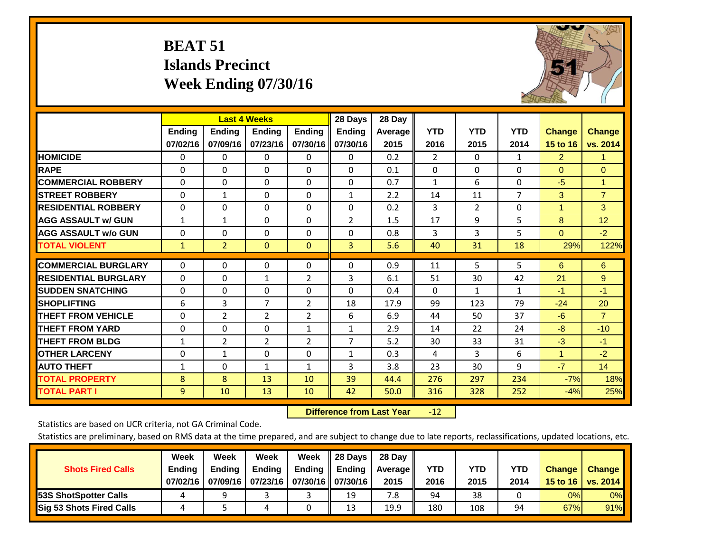## **BEAT 51 Islands Precinct Week Ending 07/30/16**

![](_page_34_Picture_1.jpeg)

|                             |               | <b>Last 4 Weeks</b> |                |                | 28 Days        | 28 Day         |                |              |                |                |                |
|-----------------------------|---------------|---------------------|----------------|----------------|----------------|----------------|----------------|--------------|----------------|----------------|----------------|
|                             | <b>Ending</b> | <b>Ending</b>       | <b>Endina</b>  | <b>Ending</b>  | <b>Ending</b>  | <b>Average</b> | <b>YTD</b>     | <b>YTD</b>   | <b>YTD</b>     | <b>Change</b>  | <b>Change</b>  |
|                             | 07/02/16      | 07/09/16            | 07/23/16       | 07/30/16       | 07/30/16       | 2015           | 2016           | 2015         | 2014           | 15 to 16       | vs. 2014       |
| <b>HOMICIDE</b>             | 0             | 0                   | $\Omega$       | $\Omega$       | 0              | 0.2            | $\overline{2}$ | $\mathbf{0}$ | 1              | $\overline{2}$ | 1.             |
| <b>RAPE</b>                 | 0             | $\Omega$            | $\Omega$       | $\Omega$       | $\Omega$       | 0.1            | $\Omega$       | $\Omega$     | $\Omega$       | $\Omega$       | $\Omega$       |
| <b>COMMERCIAL ROBBERY</b>   | $\Omega$      | $\Omega$            | $\Omega$       | $\Omega$       | 0              | 0.7            | 1              | 6            | $\Omega$       | $-5$           | $\mathbf{1}$   |
| <b>ISTREET ROBBERY</b>      | $\Omega$      | $\mathbf{1}$        | $\Omega$       | $\Omega$       | $\mathbf{1}$   | 2.2            | 14             | 11           | $\overline{7}$ | 3              | $\overline{7}$ |
| <b>RESIDENTIAL ROBBERY</b>  | $\Omega$      | $\Omega$            | $\Omega$       | $\mathbf{0}$   | $\Omega$       | 0.2            | 3              | 2            | $\Omega$       | 1              | 3              |
| <b>AGG ASSAULT w/ GUN</b>   | $\mathbf{1}$  | $\mathbf{1}$        | $\Omega$       | $\Omega$       | $\overline{2}$ | 1.5            | 17             | 9            | 5              | 8              | 12             |
| <b>AGG ASSAULT w/o GUN</b>  | $\mathbf 0$   | 0                   | $\Omega$       | $\Omega$       | $\Omega$       | 0.8            | 3              | 3            | 5              | $\mathbf{0}$   | $-2$           |
| <b>TOTAL VIOLENT</b>        | $\mathbf{1}$  | $\overline{2}$      | $\mathbf{0}$   | $\mathbf{0}$   | 3              | 5.6            | 40             | 31           | 18             | 29%            | 122%           |
|                             |               |                     |                |                |                |                |                |              |                |                |                |
| <b>COMMERCIAL BURGLARY</b>  | $\Omega$      | $\Omega$            | $\Omega$       | $\mathbf{0}$   | $\Omega$       | 0.9            | 11             | 5            | 5              | 6              | 6              |
| <b>RESIDENTIAL BURGLARY</b> | $\Omega$      | 0                   | $\mathbf{1}$   | $\overline{2}$ | 3              | 6.1            | 51             | 30           | 42             | 21             | 9              |
| <b>SUDDEN SNATCHING</b>     | 0             | 0                   | $\mathbf{0}$   | $\Omega$       | 0              | 0.4            | $\Omega$       | $\mathbf{1}$ | 1              | $-1$           | $-1$           |
| <b>SHOPLIFTING</b>          | 6             | 3                   | $\overline{7}$ | $\overline{2}$ | 18             | 17.9           | 99             | 123          | 79             | $-24$          | 20             |
| <b>THEFT FROM VEHICLE</b>   | $\Omega$      | $\overline{2}$      | $\overline{2}$ | 2              | 6              | 6.9            | 44             | 50           | 37             | $-6$           | $\overline{7}$ |
| <b>THEFT FROM YARD</b>      | 0             | $\Omega$            | $\Omega$       | 1              | $\mathbf{1}$   | 2.9            | 14             | 22           | 24             | -8             | $-10$          |
| <b>THEFT FROM BLDG</b>      | $\mathbf{1}$  | $\overline{2}$      | $\overline{2}$ | $\overline{2}$ | 7              | 5.2            | 30             | 33           | 31             | $-3$           | $-1$           |
| <b>OTHER LARCENY</b>        | 0             | $\mathbf{1}$        | $\Omega$       | $\Omega$       | $\mathbf{1}$   | 0.3            | 4              | 3            | 6              | $\mathbf{1}$   | $-2$           |
| <b>AUTO THEFT</b>           | $\mathbf{1}$  | 0                   | $\mathbf{1}$   | $\mathbf{1}$   | 3              | 3.8            | 23             | 30           | 9              | $-7$           | 14             |
| <b>TOTAL PROPERTY</b>       | 8             | 8                   | 13             | 10             | 39             | 44.4           | 276            | 297          | 234            | $-7%$          | 18%            |
| <b>TOTAL PART I</b>         | 9             | 10                  | 13             | 10             | 42             | 50.0           | 316            | 328          | 252            | $-4%$          | 25%            |

 **Difference from Last Year**r -12

Statistics are based on UCR criteria, not GA Criminal Code.

| <b>Shots Fired Calls</b>        | Week<br><b>Ending</b><br>07/02/16 | Week<br><b>Endina</b><br>07/09/16 | Week<br>Ending<br>  07/23/16   07/30/16    07/30/16 | Week<br>Ending | 28 Days<br><b>Ending</b> | 28 Day<br>Average II<br>2015 | YTD<br>2016 | YTD<br>2015 | YTD<br>2014 | <b>Change</b><br>15 to 16 | <b>Change</b><br>vs. 2014 |
|---------------------------------|-----------------------------------|-----------------------------------|-----------------------------------------------------|----------------|--------------------------|------------------------------|-------------|-------------|-------------|---------------------------|---------------------------|
| <b>153S ShotSpotter Calls</b>   |                                   |                                   |                                                     |                | 19                       | 7.8                          | 94          | 38          |             | 0%                        | 0%                        |
| <b>Sig 53 Shots Fired Calls</b> |                                   |                                   |                                                     |                | 13                       | 19.9                         | 180         | 108         | 94          | 67%                       | 91%                       |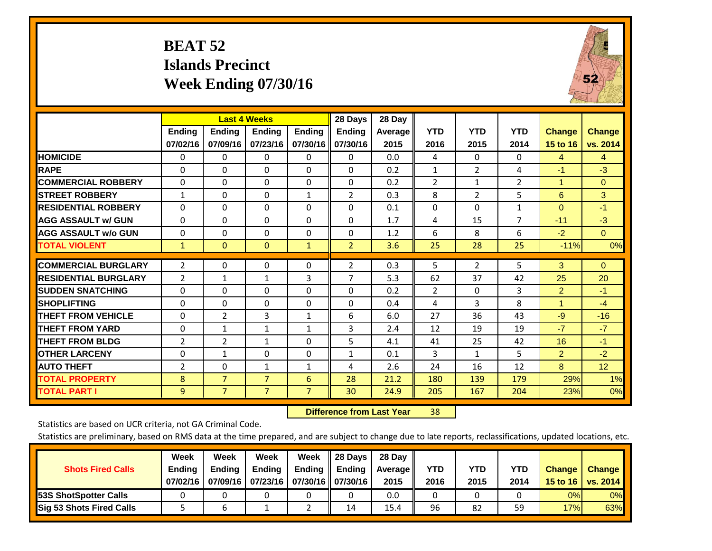## **BEAT 52 Islands Precinct Week Ending 07/30/16**

![](_page_35_Picture_1.jpeg)

|                             |                           |                           | <b>Last 4 Weeks</b>       |                           | 28 Days                   | 28 Day          |                    |                    |                    |                                  |                           |
|-----------------------------|---------------------------|---------------------------|---------------------------|---------------------------|---------------------------|-----------------|--------------------|--------------------|--------------------|----------------------------------|---------------------------|
|                             | <b>Ending</b><br>07/02/16 | <b>Ending</b><br>07/09/16 | <b>Ending</b><br>07/23/16 | <b>Ending</b><br>07/30/16 | <b>Endina</b><br>07/30/16 | Average<br>2015 | <b>YTD</b><br>2016 | <b>YTD</b><br>2015 | <b>YTD</b><br>2014 | <b>Change</b><br><b>15 to 16</b> | <b>Change</b><br>vs. 2014 |
| <b>HOMICIDE</b>             | 0                         | 0                         | $\Omega$                  | 0                         | 0                         | 0.0             | 4                  | $\Omega$           | 0                  | 4                                | $\overline{4}$            |
| <b>RAPE</b>                 | 0                         | 0                         | $\Omega$                  | $\Omega$                  | $\Omega$                  | 0.2             | 1                  | $\overline{2}$     | 4                  | $-1$                             | $-3$                      |
| <b>COMMERCIAL ROBBERY</b>   | $\Omega$                  | 0                         | $\Omega$                  | $\Omega$                  | $\Omega$                  | 0.2             | $\overline{2}$     | $\mathbf 1$        | $\overline{2}$     | 1                                | $\Omega$                  |
| <b>STREET ROBBERY</b>       | $\mathbf{1}$              | $\Omega$                  | $\Omega$                  | $\mathbf{1}$              | $\overline{2}$            | 0.3             | 8                  | $\overline{2}$     | 5                  | 6                                | 3                         |
| <b>RESIDENTIAL ROBBERY</b>  | $\Omega$                  | 0                         | $\Omega$                  | $\Omega$                  | $\Omega$                  | 0.1             | $\Omega$           | $\Omega$           | $\mathbf{1}$       | $\Omega$                         | $-1$                      |
| <b>AGG ASSAULT w/ GUN</b>   | $\Omega$                  | 0                         | $\Omega$                  | $\mathbf{0}$              | $\Omega$                  | 1.7             | 4                  | 15                 | $\overline{7}$     | $-11$                            | $-3$                      |
| <b>AGG ASSAULT w/o GUN</b>  | $\Omega$                  | 0                         | $\Omega$                  | $\Omega$                  | $\Omega$                  | 1.2             | 6                  | 8                  | 6                  | $-2$                             | $\Omega$                  |
| <b>TOTAL VIOLENT</b>        | $\mathbf{1}$              | $\mathbf{0}$              | $\mathbf{0}$              | $\mathbf{1}$              | $\overline{2}$            | 3.6             | 25                 | 28                 | 25                 | $-11%$                           | 0%                        |
| <b>COMMERCIAL BURGLARY</b>  | 2                         | $\Omega$                  | 0                         | $\mathbf{0}$              | $\overline{2}$            | 0.3             | 5                  | 2                  | 5                  | 3                                | $\Omega$                  |
| <b>RESIDENTIAL BURGLARY</b> | 2                         | 1                         | 1                         | 3                         | 7                         | 5.3             | 62                 | 37                 | 42                 | 25                               | 20                        |
| <b>SUDDEN SNATCHING</b>     | 0                         | 0                         | $\Omega$                  | $\Omega$                  | $\Omega$                  | 0.2             | 2                  | $\Omega$           | 3                  | $\overline{2}$                   | $-1$                      |
| <b>SHOPLIFTING</b>          | $\Omega$                  | $\Omega$                  | $\Omega$                  | 0                         | $\Omega$                  | 0.4             | 4                  | 3                  | 8                  | 1                                | $-4$                      |
| <b>THEFT FROM VEHICLE</b>   | $\Omega$                  | $\overline{2}$            | 3                         | $\mathbf{1}$              | 6                         | 6.0             | 27                 | 36                 | 43                 | $-9$                             | $-16$                     |
| <b>THEFT FROM YARD</b>      | $\Omega$                  | $\mathbf{1}$              | $\mathbf{1}$              | $\mathbf{1}$              | 3                         | 2.4             | 12                 | 19                 | 19                 | $-7$                             | $-7$                      |
| <b>THEFT FROM BLDG</b>      | 2                         | 2                         | $\mathbf{1}$              | $\Omega$                  | 5                         | 4.1             | 41                 | 25                 | 42                 | 16                               | $-1$                      |
| <b>OTHER LARCENY</b>        | 0                         | 1                         | 0                         | $\Omega$                  | $\mathbf 1$               | 0.1             | 3                  | 1                  | 5.                 | $\overline{2}$                   | $-2$                      |
| <b>AUTO THEFT</b>           | 2                         | 0                         | 1                         | 1                         | 4                         | 2.6             | 24                 | 16                 | 12                 | 8                                | 12                        |
| <b>TOTAL PROPERTY</b>       | 8                         | $\overline{7}$            | $\overline{7}$            | 6                         | 28                        | 21.2            | 180                | 139                | 179                | 29%                              | 1%                        |
| <b>TOTAL PART I</b>         | 9                         | $\overline{7}$            | $\overline{7}$            | $\overline{7}$            | 30                        | 24.9            | 205                | 167                | 204                | 23%                              | 0%                        |

 **Difference from Last Year**r 38

Statistics are based on UCR criteria, not GA Criminal Code.

| <b>Shots Fired Calls</b>        | Week<br><b>Ending</b><br>07/02/16 | Week<br><b>Endina</b><br>07/09/16 | <b>Week</b><br>Ending<br>  07/23/16   07/30/16    07/30/16 | Week<br>Ending | 28 Days<br><b>Ending</b> | 28 Day<br>Average II<br>2015 | YTD<br>2016 | YTD<br>2015 | YTD<br>2014 | <b>Change</b><br>15 to $16$ | <b>Change</b><br>vs. 2014 |
|---------------------------------|-----------------------------------|-----------------------------------|------------------------------------------------------------|----------------|--------------------------|------------------------------|-------------|-------------|-------------|-----------------------------|---------------------------|
| <b>153S ShotSpotter Calls</b>   |                                   |                                   |                                                            |                |                          | 0.0                          |             |             |             | 0%                          | 0%                        |
| <b>Sig 53 Shots Fired Calls</b> |                                   |                                   |                                                            |                | 14                       | 15.4                         | 96          | 82          | 59          | 17%                         | 63%                       |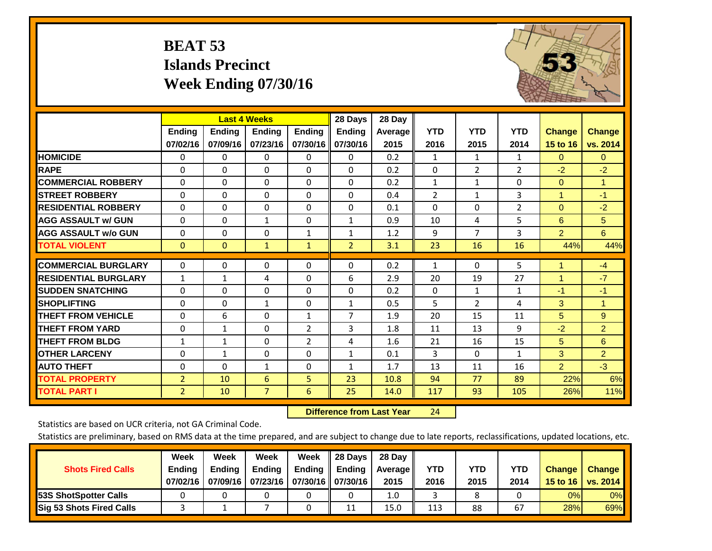## **BEAT 53 Islands Precinct Week Ending 07/30/16**

![](_page_36_Picture_1.jpeg)

|                             |                           | <b>Last 4 Weeks</b>       |                           |                           | 28 Days                   | 28 Day             |                    |                    |                    |                           |                    |
|-----------------------------|---------------------------|---------------------------|---------------------------|---------------------------|---------------------------|--------------------|--------------------|--------------------|--------------------|---------------------------|--------------------|
|                             | <b>Ending</b><br>07/02/16 | <b>Endina</b><br>07/09/16 | <b>Ending</b><br>07/23/16 | <b>Endina</b><br>07/30/16 | <b>Ending</b><br>07/30/16 | Average   <br>2015 | <b>YTD</b><br>2016 | <b>YTD</b><br>2015 | <b>YTD</b><br>2014 | <b>Change</b><br>15 to 16 | Change<br>vs. 2014 |
| <b>HOMICIDE</b>             | 0                         | 0                         | $\Omega$                  | 0                         | $\Omega$                  | 0.2                | $\mathbf{1}$       | $\mathbf{1}$       | 1                  | $\Omega$                  | $\overline{0}$     |
| <b>RAPE</b>                 | $\Omega$                  | 0                         | $\Omega$                  | 0                         | 0                         | 0.2                | $\Omega$           | $\overline{2}$     | 2                  | $-2$                      | $-2$               |
| <b>COMMERCIAL ROBBERY</b>   | $\Omega$                  | $\Omega$                  | $\Omega$                  | 0                         | $\Omega$                  | 0.2                | $\mathbf{1}$       | 1                  | $\Omega$           | $\mathbf{0}$              | $\mathbf{1}$       |
| <b>STREET ROBBERY</b>       | $\Omega$                  | $\Omega$                  | $\Omega$                  | $\Omega$                  | 0                         | 0.4                | $\overline{2}$     | $\mathbf{1}$       | 3                  | $\mathbf{1}$              | $-1$               |
| <b>RESIDENTIAL ROBBERY</b>  | 0                         | $\Omega$                  | 0                         | 0                         | $\Omega$                  | 0.1                | $\mathbf{0}$       | $\Omega$           | $\overline{2}$     | $\mathbf{0}$              | $-2$               |
| <b>AGG ASSAULT w/ GUN</b>   | $\Omega$                  | $\Omega$                  | $\mathbf{1}$              | $\Omega$                  | $\mathbf{1}$              | 0.9                | 10                 | 4                  | 5                  | 6                         | 5 <sup>5</sup>     |
| <b>AGG ASSAULT w/o GUN</b>  | 0                         | $\Omega$                  | 0                         | $\mathbf{1}$              | $\mathbf{1}$              | 1.2                | 9                  | $\overline{7}$     | 3                  | $\overline{2}$            | 6                  |
| <b>TOTAL VIOLENT</b>        | $\mathbf{0}$              | $\mathbf{0}$              | $\mathbf{1}$              | $\mathbf{1}$              | $\overline{2}$            | 3.1                | 23                 | 16                 | 16                 | 44%                       | 44%                |
| <b>COMMERCIAL BURGLARY</b>  | $\Omega$                  | $\Omega$                  | $\Omega$                  | $\Omega$                  | 0                         | 0.2                | $\mathbf{1}$       | 0                  | 5                  | 1                         | $-4$               |
| <b>RESIDENTIAL BURGLARY</b> | 1                         | 1                         | 4                         | 0                         | 6                         | 2.9                | 20                 | 19                 | 27                 | 1                         | $-7$               |
| <b>ISUDDEN SNATCHING</b>    | $\Omega$                  | 0                         | $\Omega$                  | $\Omega$                  | 0                         | 0.2                | $\Omega$           | 1                  | 1                  | -1                        | $-1$               |
| <b>SHOPLIFTING</b>          | 0                         | $\Omega$                  | 1                         | 0                         | $\mathbf{1}$              | 0.5                | 5                  | $\overline{2}$     | 4                  | 3                         | $\mathbf{1}$       |
| <b>THEFT FROM VEHICLE</b>   | $\Omega$                  | 6                         | $\Omega$                  | $\mathbf{1}$              | $\overline{7}$            | 1.9                | 20                 | 15                 | 11                 | 5                         | 9                  |
| <b>THEFT FROM YARD</b>      | 0                         | 1                         | 0                         | $\overline{2}$            | 3                         | 1.8                | 11                 | 13                 | 9                  | $-2$                      | $\overline{2}$     |
| <b>THEFT FROM BLDG</b>      | 1                         | $\mathbf{1}$              | $\Omega$                  | $\overline{2}$            | 4                         | 1.6                | 21                 | 16                 | 15                 | 5                         | 6                  |
| <b>OTHER LARCENY</b>        | $\Omega$                  | $\mathbf{1}$              | $\Omega$                  | 0                         | $\mathbf{1}$              | 0.1                | 3                  | $\Omega$           | $\mathbf{1}$       | 3                         | $\overline{2}$     |
| <b>AUTO THEFT</b>           | $\Omega$                  | $\mathbf 0$               | 1                         | $\Omega$                  | $\mathbf{1}$              | 1.7                | 13                 | 11                 | 16                 | $\overline{2}$            | $-3$               |
| <b>TOTAL PROPERTY</b>       | $\overline{2}$            | 10                        | 6                         | 5.                        | 23                        | 10.8               | 94                 | 77                 | 89                 | 22%                       | 6%                 |
| <b>TOTAL PART I</b>         | 2                         | 10                        | $\overline{7}$            | 6                         | 25                        | 14.0               | 117                | 93                 | 105                | 26%                       | 11%                |

 **Difference from Last Year**r 24

Statistics are based on UCR criteria, not GA Criminal Code.

| <b>Shots Fired Calls</b>        | Week<br><b>Ending</b><br>07/02/16 | Week<br><b>Endina</b><br>07/09/16 | <b>Week</b><br>Ending<br>  07/23/16   07/30/16    07/30/16 | Week<br>Ending | 28 Days<br><b>Ending</b> | 28 Day<br>Average II<br>2015 | YTD<br>2016 | YTD<br>2015 | YTD<br>2014 | <b>Change</b><br>15 to 16 $\vert$ | <b>Change</b><br>vs. 2014 |
|---------------------------------|-----------------------------------|-----------------------------------|------------------------------------------------------------|----------------|--------------------------|------------------------------|-------------|-------------|-------------|-----------------------------------|---------------------------|
| <b>153S ShotSpotter Calls</b>   |                                   |                                   |                                                            |                |                          | 1.0                          |             |             |             | 0%                                | 0%                        |
| <b>Sig 53 Shots Fired Calls</b> |                                   |                                   |                                                            |                | 11                       | 15.0                         | 113         | 88          | 67          | 28%                               | 69%                       |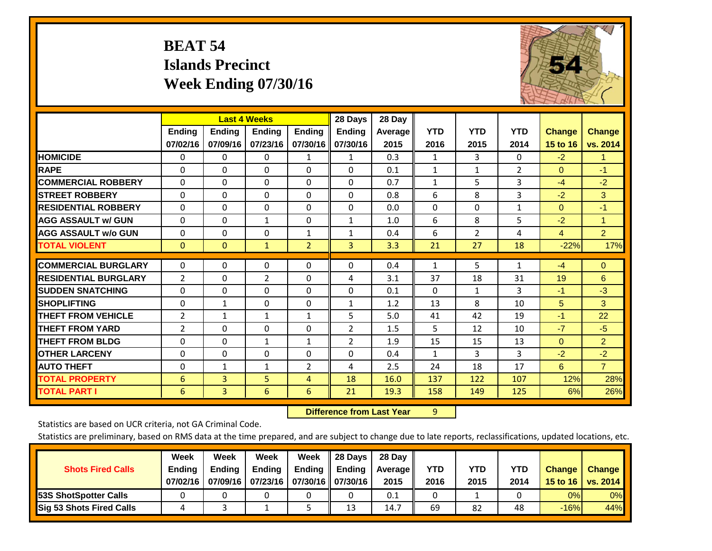## **BEAT 54 Islands Precinct Week Ending 07/30/16**

![](_page_37_Picture_1.jpeg)

|                             |                | <b>Last 4 Weeks</b> |                 |                | 28 Days        | 28 Day  |              |                |                |               |                |
|-----------------------------|----------------|---------------------|-----------------|----------------|----------------|---------|--------------|----------------|----------------|---------------|----------------|
|                             | <b>Ending</b>  | <b>Ending</b>       | <b>Ending</b>   | <b>Ending</b>  | Ending         | Average | <b>YTD</b>   | <b>YTD</b>     | <b>YTD</b>     | <b>Change</b> | <b>Change</b>  |
|                             | 07/02/16       | 07/09/16            | 07/23/16        | 07/30/16       | 07/30/16       | 2015    | 2016         | 2015           | 2014           | 15 to 16      | vs. 2014       |
| <b>HOMICIDE</b>             | 0              | $\mathbf{0}$        | $\Omega$        | $\mathbf{1}$   | 1              | 0.3     | 1            | 3              | $\Omega$       | $-2$          | $\mathbf{1}$   |
| <b>RAPE</b>                 | $\Omega$       | $\Omega$            | $\Omega$        | $\Omega$       | $\Omega$       | 0.1     | $\mathbf{1}$ | 1              | $\overline{2}$ | $\Omega$      | $-1$           |
| <b>COMMERCIAL ROBBERY</b>   | $\Omega$       | $\Omega$            | $\Omega$        | $\Omega$       | $\Omega$       | 0.7     | 1            | 5              | 3              | $-4$          | $-2$           |
| <b>STREET ROBBERY</b>       | $\Omega$       | $\Omega$            | $\Omega$        | $\Omega$       | $\Omega$       | 0.8     | 6            | 8              | 3              | $-2$          | 3              |
| <b>RESIDENTIAL ROBBERY</b>  | $\Omega$       | $\Omega$            | $\Omega$        | $\Omega$       | 0              | 0.0     | $\Omega$     | $\Omega$       | $\mathbf{1}$   | $\mathbf{0}$  | $-1$           |
| <b>AGG ASSAULT w/ GUN</b>   | $\Omega$       | $\Omega$            | $\mathbf{1}$    | 0              | 1              | 1.0     | 6            | 8              | 5              | $-2$          | 1              |
| <b>AGG ASSAULT w/o GUN</b>  | $\Omega$       | $\Omega$            | $\Omega$        | 1              | 1              | 0.4     | 6            | $\overline{2}$ | 4              | 4             | $\overline{2}$ |
| <b>TOTAL VIOLENT</b>        | $\mathbf{0}$   | $\Omega$            | $\mathbf{1}$    | $\overline{2}$ | 3              | 3.3     | 21           | 27             | 18             | $-22%$        | 17%            |
| <b>COMMERCIAL BURGLARY</b>  | $\mathbf{0}$   | $\Omega$            | $\Omega$        | $\Omega$       | $\Omega$       | 0.4     | $\mathbf{1}$ | 5              | $\mathbf{1}$   | $-4$          | $\Omega$       |
| <b>RESIDENTIAL BURGLARY</b> |                | $\Omega$            |                 | $\Omega$       | 4              | 3.1     | 37           |                | 31             |               | 6              |
|                             | $\overline{2}$ |                     | $\overline{2}$  |                |                |         |              | 18             |                | 19            |                |
| <b>SUDDEN SNATCHING</b>     | $\Omega$       | $\Omega$            | $\Omega$        | $\Omega$       | $\Omega$       | 0.1     | $\mathbf{0}$ | $\mathbf{1}$   | 3              | $-1$          | $-3$           |
| <b>SHOPLIFTING</b>          | $\Omega$       | 1                   | $\Omega$        | $\Omega$       | 1              | 1.2     | 13           | 8              | 10             | 5             | 3              |
| <b>THEFT FROM VEHICLE</b>   | 2              | $\mathbf{1}$        | $\mathbf{1}$    | $\mathbf{1}$   | 5              | 5.0     | 41           | 42             | 19             | $-1$          | 22             |
| <b>THEFT FROM YARD</b>      | $\overline{2}$ | $\Omega$            | $\Omega$        | $\Omega$       | $\overline{2}$ | 1.5     | 5            | 12             | 10             | $-7$          | $-5$           |
| <b>THEFT FROM BLDG</b>      | $\mathbf 0$    | $\Omega$            | $\mathbf{1}$    | $\mathbf{1}$   | $\overline{2}$ | 1.9     | 15           | 15             | 13             | $\mathbf{0}$  | $\overline{2}$ |
| <b>OTHER LARCENY</b>        | $\Omega$       | $\Omega$            | $\Omega$        | $\Omega$       | $\Omega$       | 0.4     | $\mathbf{1}$ | 3              | 3              | $-2$          | $-2$           |
| <b>AUTO THEFT</b>           | 0              | $\mathbf{1}$        | 1               | $\overline{2}$ | 4              | 2.5     | 24           | 18             | 17             | 6             | $\overline{7}$ |
| <b>TOTAL PROPERTY</b>       | 6              | 3                   | 5               | 4              | 18             | 16.0    | 137          | 122            | 107            | 12%           | 28%            |
| <b>TOTAL PART I</b>         | 6              | $\overline{3}$      | $6\overline{6}$ | 6              | 21             | 19.3    | 158          | 149            | 125            | 6%            | 26%            |

 **Difference from Last Year**r 9

Statistics are based on UCR criteria, not GA Criminal Code.

| <b>Shots Fired Calls</b>        | Week<br><b>Ending</b><br>07/02/16 | Week<br><b>Endina</b><br>07/09/16 | <b>Week</b><br>Ending<br>  07/23/16   07/30/16    07/30/16 | Week<br>Ending | 28 Days<br><b>Ending</b> | 28 Day<br>Average II<br>2015 | YTD<br>2016 | YTD<br>2015 | YTD<br>2014 | <b>Change</b><br>15 to $16$ | <b>Change</b><br>vs. 2014 |
|---------------------------------|-----------------------------------|-----------------------------------|------------------------------------------------------------|----------------|--------------------------|------------------------------|-------------|-------------|-------------|-----------------------------|---------------------------|
| <b>153S ShotSpotter Calls</b>   |                                   |                                   |                                                            |                |                          | 0.1                          |             |             |             | 0%                          | 0%                        |
| <b>Sig 53 Shots Fired Calls</b> |                                   |                                   |                                                            |                | 13                       | 14.7                         | 69          | 82          | 48          | $-16%$                      | 44%                       |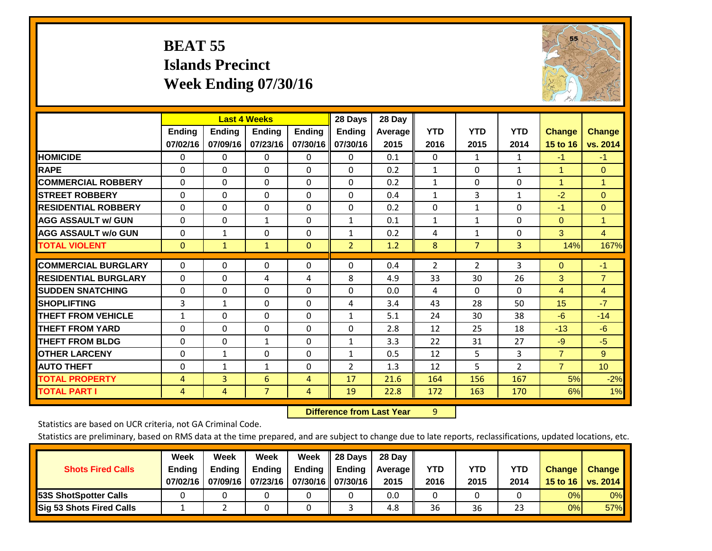## **BEAT 55 Islands Precinct Week Ending 07/30/16**

![](_page_38_Picture_1.jpeg)

|                             | <b>Last 4 Weeks</b> |                |               |               | 28 Days        | 28 Day  |              |                |                |                      |                 |
|-----------------------------|---------------------|----------------|---------------|---------------|----------------|---------|--------------|----------------|----------------|----------------------|-----------------|
|                             | <b>Ending</b>       | <b>Ending</b>  | <b>Ending</b> | <b>Endina</b> | <b>Ending</b>  | Average | <b>YTD</b>   | <b>YTD</b>     | <b>YTD</b>     | <b>Change</b>        | <b>Change</b>   |
|                             | 07/02/16            | 07/09/16       | 07/23/16      | 07/30/16      | 07/30/16       | 2015    | 2016         | 2015           | 2014           | 15 to 16             | vs. 2014        |
| <b>HOMICIDE</b>             | $\Omega$            | $\mathbf{0}$   | 0             | $\Omega$      | $\Omega$       | 0.1     | $\mathbf{0}$ | $\mathbf{1}$   | $\mathbf{1}$   | $-1$                 | $-1$            |
| <b>RAPE</b>                 | 0                   | $\Omega$       | $\Omega$      | $\Omega$      | 0              | 0.2     | 1            | 0              | $\mathbf{1}$   | 1                    | $\mathbf{0}$    |
| <b>COMMERCIAL ROBBERY</b>   | $\Omega$            | $\Omega$       | $\mathbf{0}$  | $\Omega$      | $\Omega$       | 0.2     | $\mathbf{1}$ | $\Omega$       | 0              | $\blacktriangleleft$ | $\mathbf{1}$    |
| <b>STREET ROBBERY</b>       | $\Omega$            | $\Omega$       | $\Omega$      | $\Omega$      | 0              | 0.4     | $\mathbf{1}$ | 3              | $\mathbf{1}$   | $-2$                 | $\Omega$        |
| <b>RESIDENTIAL ROBBERY</b>  | $\Omega$            | $\Omega$       | $\Omega$      | $\Omega$      | $\Omega$       | 0.2     | $\mathbf{0}$ | $\mathbf{1}$   | 0              | $-1$                 | $\mathbf{0}$    |
| <b>AGG ASSAULT w/ GUN</b>   | $\Omega$            | $\Omega$       | $\mathbf{1}$  | $\Omega$      | $\mathbf{1}$   | 0.1     | $\mathbf{1}$ | $\mathbf{1}$   | $\Omega$       | $\mathbf{0}$         | $\mathbf{1}$    |
| <b>AGG ASSAULT w/o GUN</b>  | $\Omega$            | $\mathbf{1}$   | $\Omega$      | 0             | $\mathbf{1}$   | 0.2     | 4            | $\mathbf{1}$   | 0              | 3                    | $\overline{4}$  |
| <b>TOTAL VIOLENT</b>        | $\mathbf{0}$        | $\mathbf{1}$   | $\mathbf{1}$  | $\mathbf{0}$  | $\overline{2}$ | 1.2     | 8            | $\overline{7}$ | 3              | 14%                  | 167%            |
|                             |                     |                |               |               |                |         |              |                |                |                      |                 |
| <b>COMMERCIAL BURGLARY</b>  | $\Omega$            | $\Omega$       | $\Omega$      | $\Omega$      | 0              | 0.4     | 2            | 2              | 3              | $\mathbf{0}$         | $-1$            |
| <b>RESIDENTIAL BURGLARY</b> | $\Omega$            | $\Omega$       | 4             | 4             | 8              | 4.9     | 33           | 30             | 26             | 3                    | $\overline{7}$  |
| <b>SUDDEN SNATCHING</b>     | $\Omega$            | $\Omega$       | $\Omega$      | $\Omega$      | 0              | 0.0     | 4            | $\Omega$       | 0              | $\overline{4}$       | $\overline{4}$  |
| <b>SHOPLIFTING</b>          | 3                   | $\mathbf{1}$   | $\Omega$      | $\Omega$      | 4              | 3.4     | 43           | 28             | 50             | 15                   | $-7$            |
| <b>THEFT FROM VEHICLE</b>   | $\mathbf{1}$        | $\Omega$       | $\Omega$      | $\Omega$      | $\mathbf{1}$   | 5.1     | 24           | 30             | 38             | $-6$                 | $-14$           |
| <b>THEFT FROM YARD</b>      | $\Omega$            | $\Omega$       | $\Omega$      | $\Omega$      | $\Omega$       | 2.8     | 12           | 25             | 18             | $-13$                | $-6$            |
| <b>THEFT FROM BLDG</b>      | $\Omega$            | $\Omega$       | 1             | 0             | $\mathbf{1}$   | 3.3     | 22           | 31             | 27             | $-9$                 | $-5$            |
| <b>OTHER LARCENY</b>        | $\Omega$            | $\mathbf{1}$   | $\Omega$      | 0             | $\mathbf{1}$   | 0.5     | 12           | 5.             | 3              | $\overline{7}$       | 9               |
| <b>AUTO THEFT</b>           | $\mathbf 0$         | $\mathbf{1}$   | 1             | $\Omega$      | 2              | 1.3     | 12           | 5              | $\overline{2}$ | $\overline{7}$       | 10 <sup>°</sup> |
| <b>TOTAL PROPERTY</b>       | 4                   | $\overline{3}$ | 6             | 4             | 17             | 21.6    | 164          | 156            | 167            | 5%                   | $-2%$           |
| <b>TOTAL PART I</b>         | 4                   | 4              | 7             | 4             | 19             | 22.8    | 172          | 163            | 170            | 6%                   | 1%              |

 **Difference from Last Year**r 9

Statistics are based on UCR criteria, not GA Criminal Code.

| <b>Shots Fired Calls</b>        | Week<br><b>Ending</b><br>07/02/16 | Week<br><b>Endina</b><br>07/09/16 | <b>Week</b><br><b>Ending</b><br>  07/23/16   07/30/16    07/30/16 | Week<br>Ending | 28 Days<br><b>Ending</b> | 28 Day<br>Average II<br>2015 | YTD<br>2016 | YTD<br>2015 | YTD<br>2014 | <b>Change</b><br>15 to 16 $\vert$ | <b>Change</b><br>vs. 2014 |
|---------------------------------|-----------------------------------|-----------------------------------|-------------------------------------------------------------------|----------------|--------------------------|------------------------------|-------------|-------------|-------------|-----------------------------------|---------------------------|
| <b>153S ShotSpotter Calls</b>   |                                   |                                   |                                                                   |                |                          | 0.0                          |             |             |             | 0%                                | 0%                        |
| <b>Sig 53 Shots Fired Calls</b> |                                   |                                   |                                                                   |                |                          | 4.8                          | 36          | 36          | 23          | 0%                                | 57%                       |